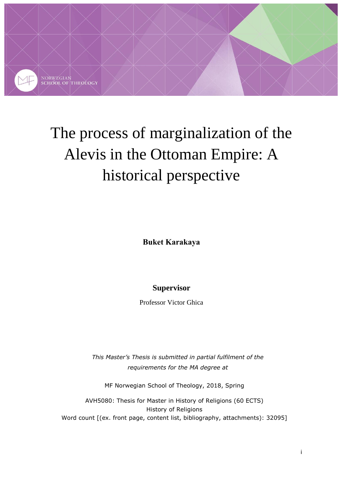

# The process of marginalization of the Alevis in the Ottoman Empire: A historical perspective

**Buket Karakaya**

# **Supervisor**

Professor Victor Ghica

*This Master's Thesis is submitted in partial fulfilment of the requirements for the MA degree at* 

MF Norwegian School of Theology, 2018, Spring

AVH5080: Thesis for Master in History of Religions (60 ECTS) History of Religions Word count [(ex. front page, content list, bibliography, attachments): 32095]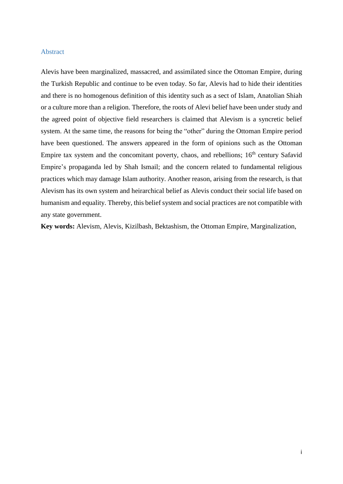#### <span id="page-1-0"></span>Abstract

Alevis have been marginalized, massacred, and assimilated since the Ottoman Empire, during the Turkish Republic and continue to be even today. So far, Alevis had to hide their identities and there is no homogenous definition of this identity such as a sect of Islam, Anatolian Shiah or a culture more than a religion. Therefore, the roots of Alevi belief have been under study and the agreed point of objective field researchers is claimed that Alevism is a syncretic belief system. At the same time, the reasons for being the "other" during the Ottoman Empire period have been questioned. The answers appeared in the form of opinions such as the Ottoman Empire tax system and the concomitant poverty, chaos, and rebellions; 16<sup>th</sup> century Safavid Empire's propaganda led by Shah Ismail; and the concern related to fundamental religious practices which may damage Islam authority. Another reason, arising from the research, is that Alevism has its own system and heirarchical belief as Alevis conduct their social life based on humanism and equality. Thereby, this belief system and social practices are not compatible with any state government.

**Key words:** Alevism, Alevis, Kizilbash, Bektashism, the Ottoman Empire, Marginalization,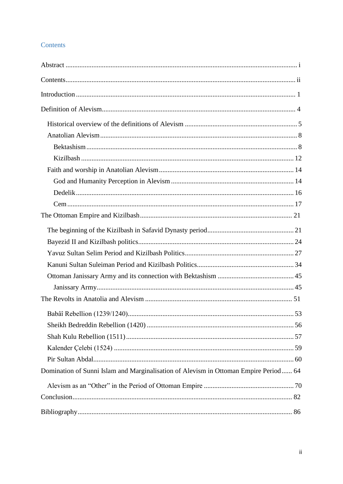## <span id="page-2-0"></span>Contents

| Domination of Sunni Islam and Marginalisation of Alevism in Ottoman Empire Period 64 |  |
|--------------------------------------------------------------------------------------|--|
|                                                                                      |  |
|                                                                                      |  |
|                                                                                      |  |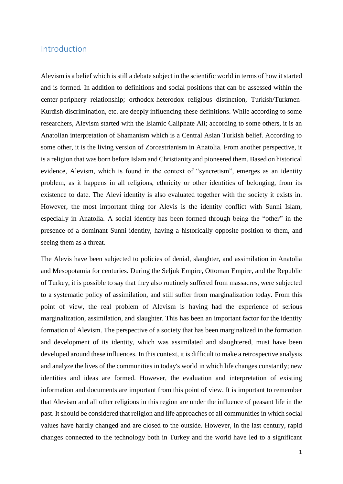## <span id="page-3-0"></span>Introduction

Alevism is a belief which is still a debate subject in the scientific world in terms of how it started and is formed. In addition to definitions and social positions that can be assessed within the center-periphery relationship; orthodox-heterodox religious distinction, Turkish/Turkmen-Kurdish discrimination, etc. are deeply influencing these definitions. While according to some researchers, Alevism started with the Islamic Caliphate Ali; according to some others, it is an Anatolian interpretation of Shamanism which is a Central Asian Turkish belief. According to some other, it is the living version of Zoroastrianism in Anatolia. From another perspective, it is a religion that was born before Islam and Christianity and pioneered them. Based on historical evidence, Alevism, which is found in the context of "syncretism", emerges as an identity problem, as it happens in all religions, ethnicity or other identities of belonging, from its existence to date. The Alevi identity is also evaluated together with the society it exists in. However, the most important thing for Alevis is the identity conflict with Sunni Islam, especially in Anatolia. A social identity has been formed through being the "other" in the presence of a dominant Sunni identity, having a historically opposite position to them, and seeing them as a threat.

The Alevis have been subjected to policies of denial, slaughter, and assimilation in Anatolia and Mesopotamia for centuries. During the Seljuk Empire, Ottoman Empire, and the Republic of Turkey, it is possible to say that they also routinely suffered from massacres, were subjected to a systematic policy of assimilation, and still suffer from marginalization today. From this point of view, the real problem of Alevism is having had the experience of serious marginalization, assimilation, and slaughter. This has been an important factor for the identity formation of Alevism. The perspective of a society that has been marginalized in the formation and development of its identity, which was assimilated and slaughtered, must have been developed around these influences. In this context, it is difficult to make a retrospective analysis and analyze the lives of the communities in today's world in which life changes constantly; new identities and ideas are formed. However, the evaluation and interpretation of existing information and documents are important from this point of view. It is important to remember that Alevism and all other religions in this region are under the influence of peasant life in the past. It should be considered that religion and life approaches of all communities in which social values have hardly changed and are closed to the outside. However, in the last century, rapid changes connected to the technology both in Turkey and the world have led to a significant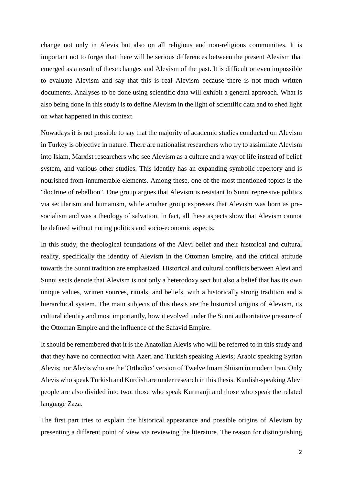change not only in Alevis but also on all religious and non-religious communities. It is important not to forget that there will be serious differences between the present Alevism that emerged as a result of these changes and Alevism of the past. It is difficult or even impossible to evaluate Alevism and say that this is real Alevism because there is not much written documents. Analyses to be done using scientific data will exhibit a general approach. What is also being done in this study is to define Alevism in the light of scientific data and to shed light on what happened in this context.

Nowadays it is not possible to say that the majority of academic studies conducted on Alevism in Turkey is objective in nature. There are nationalist researchers who try to assimilate Alevism into Islam, Marxist researchers who see Alevism as a culture and a way of life instead of belief system, and various other studies. This identity has an expanding symbolic repertory and is nourished from innumerable elements. Among these, one of the most mentioned topics is the "doctrine of rebellion". One group argues that Alevism is resistant to Sunni repressive politics via secularism and humanism, while another group expresses that Alevism was born as presocialism and was a theology of salvation. In fact, all these aspects show that Alevism cannot be defined without noting politics and socio-economic aspects.

In this study, the theological foundations of the Alevi belief and their historical and cultural reality, specifically the identity of Alevism in the Ottoman Empire, and the critical attitude towards the Sunni tradition are emphasized. Historical and cultural conflicts between Alevi and Sunni sects denote that Alevism is not only a heterodoxy sect but also a belief that has its own unique values, written sources, rituals, and beliefs, with a historically strong tradition and a hierarchical system. The main subjects of this thesis are the historical origins of Alevism, its cultural identity and most importantly, how it evolved under the Sunni authoritative pressure of the Ottoman Empire and the influence of the Safavid Empire.

It should be remembered that it is the Anatolian Alevis who will be referred to in this study and that they have no connection with Azeri and Turkish speaking Alevis; Arabic speaking Syrian Alevis; nor Alevis who are the 'Orthodox' version of Twelve Imam Shiism in modern Iran. Only Alevis who speak Turkish and Kurdish are under research in this thesis. Kurdish-speaking Alevi people are also divided into two: those who speak Kurmanji and those who speak the related language Zaza.

The first part tries to explain the historical appearance and possible origins of Alevism by presenting a different point of view via reviewing the literature. The reason for distinguishing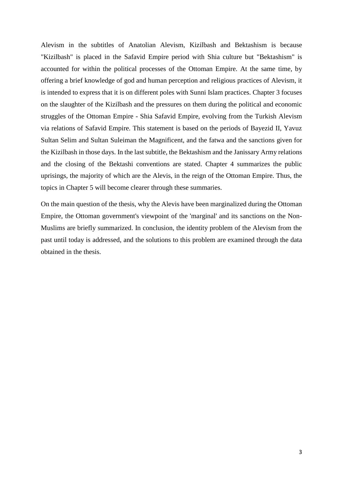Alevism in the subtitles of Anatolian Alevism, Kizilbash and Bektashism is because "Kizilbash" is placed in the Safavid Empire period with Shia culture but "Bektashism" is accounted for within the political processes of the Ottoman Empire. At the same time, by offering a brief knowledge of god and human perception and religious practices of Alevism, it is intended to express that it is on different poles with Sunni Islam practices. Chapter 3 focuses on the slaughter of the Kizilbash and the pressures on them during the political and economic struggles of the Ottoman Empire - Shia Safavid Empire, evolving from the Turkish Alevism via relations of Safavid Empire. This statement is based on the periods of Bayezid II, Yavuz Sultan Selim and Sultan Suleiman the Magnificent, and the fatwa and the sanctions given for the Kizilbash in those days. In the last subtitle, the Bektashism and the Janissary Army relations and the closing of the Bektashi conventions are stated. Chapter 4 summarizes the public uprisings, the majority of which are the Alevis, in the reign of the Ottoman Empire. Thus, the topics in Chapter 5 will become clearer through these summaries.

On the main question of the thesis, why the Alevis have been marginalized during the Ottoman Empire, the Ottoman government's viewpoint of the 'marginal' and its sanctions on the Non-Muslims are briefly summarized. In conclusion, the identity problem of the Alevism from the past until today is addressed, and the solutions to this problem are examined through the data obtained in the thesis.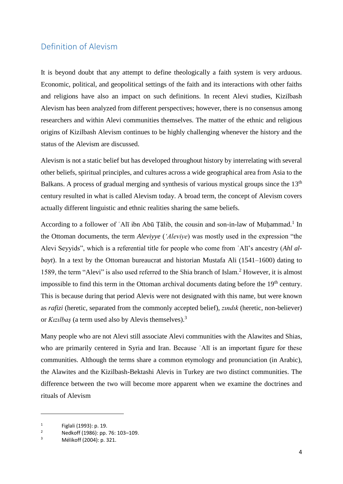# <span id="page-6-0"></span>Definition of Alevism

It is beyond doubt that any attempt to define theologically a faith system is very arduous. Economic, political, and geopolitical settings of the faith and its interactions with other faiths and religions have also an impact on such definitions. In recent Alevi studies, Kizilbash Alevism has been analyzed from different perspectives; however, there is no consensus among researchers and within Alevi communities themselves. The matter of the ethnic and religious origins of Kizilbash Alevism continues to be highly challenging whenever the history and the status of the Alevism are discussed.

Alevism is not a static belief but has developed throughout history by interrelating with several other beliefs, spiritual principles, and cultures across a wide geographical area from Asia to the Balkans. A process of gradual merging and synthesis of various mystical groups since the  $13<sup>th</sup>$ century resulted in what is called Alevism today. A broad term, the concept of Alevism covers actually different linguistic and ethnic realities sharing the same beliefs.

According to a follower of 'Alī ibn Abū Țālib, the cousin and son-in-law of Muḥammad.<sup>1</sup> In the Ottoman documents, the term *Aleviyye* (*'Aleviye*) was mostly used in the expression "the Alevi Seyyids", which is a referential title for people who come from ʿAlī's ancestry (*Ahl albayt*). In a text by the Ottoman bureaucrat and historian Mustafa Ali (1541–1600) dating to 1589, the term "Alevi" is also used referred to the Shia branch of Islam.<sup>2</sup> However, it is almost impossible to find this term in the Ottoman archival documents dating before the 19<sup>th</sup> century. This is because during that period Alevis were not designated with this name, but were known as *rafizi* (heretic, separated from the commonly accepted belief), *zındık* (heretic, non-believer) or *Kızılbaş* (a term used also by Alevis themselves).<sup>3</sup>

Many people who are not Alevi still associate Alevi communities with the Alawites and Shias, who are primarily centered in Syria and Iran. Because 'Alī is an important figure for these communities. Although the terms share a common etymology and pronunciation (in Arabic), the Alawites and the Kizilbash-Bektashi Alevis in Turkey are two distinct communities. The difference between the two will become more apparent when we examine the doctrines and rituals of Alevism

<sup>1</sup> Figlali (1993): p. 19.

<sup>&</sup>lt;sup>2</sup> Nedkoff (1986): pp. 76: 103-109.

<sup>3</sup> Mélikoff (2004): p. 321.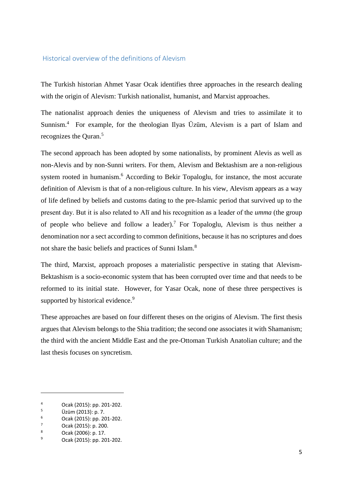### <span id="page-7-0"></span>Historical overview of the definitions of Alevism

The Turkish historian Ahmet Yasar Ocak identifies three approaches in the research dealing with the origin of Alevism: Turkish nationalist, humanist, and Marxist approaches.

The nationalist approach denies the uniqueness of Alevism and tries to assimilate it to Sunnism.<sup>4</sup> For example, for the theologian Ilyas Üzüm, Alevism is a part of Islam and recognizes the Ouran.<sup>5</sup>

The second approach has been adopted by some nationalists, by prominent Alevis as well as non-Alevis and by non-Sunni writers. For them, Alevism and Bektashism are a non-religious system rooted in humanism.<sup>6</sup> According to Bekir Topaloglu, for instance, the most accurate definition of Alevism is that of a non-religious culture. In his view, Alevism appears as a way of life defined by beliefs and customs dating to the pre-Islamic period that survived up to the present day. But it is also related to Alī and his recognition as a leader of the *umma* (the group of people who believe and follow a leader).<sup>7</sup> For Topaloglu, Alevism is thus neither a denomination nor a sect according to common definitions, because it has no scriptures and does not share the basic beliefs and practices of Sunni Islam.<sup>8</sup>

The third, Marxist, approach proposes a materialistic perspective in stating that Alevism-Bektashism is a socio-economic system that has been corrupted over time and that needs to be reformed to its initial state. However, for Yasar Ocak, none of these three perspectives is supported by historical evidence.<sup>9</sup>

These approaches are based on four different theses on the origins of Alevism. The first thesis argues that Alevism belongs to the Shia tradition; the second one associates it with Shamanism; the third with the ancient Middle East and the pre-Ottoman Turkish Anatolian culture; and the last thesis focuses on syncretism.

 $^{4}$  Ocak (2015): pp. 201-202.

 $^{5}$  Üzüm (2013): p. 7.<br><sup>6</sup> Ocak (2015): pp. 20

 $^{6}$  Ocak (2015): pp. 201-202.

 $\frac{7}{8}$  Ocak (2015): p. 200.

 $\frac{8}{9}$  Ocak (2006): p. 17.

<sup>9</sup> Ocak (2015): pp. 201-202.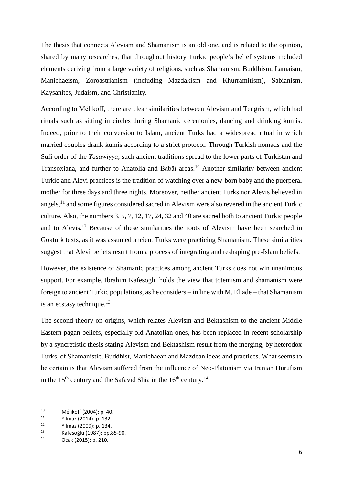The thesis that connects Alevism and Shamanism is an old one, and is related to the opinion, shared by many researches, that throughout history Turkic people's belief systems included elements deriving from a large variety of religions, such as Shamanism, Buddhism, Lamaism, Manichaeism, Zoroastrianism (including Mazdakism and Khurramitism), Sabianism, Kaysanites, Judaism, and Christianity.

According to Mélikoff, there are clear similarities between Alevism and Tengrism, which had rituals such as sitting in circles during Shamanic ceremonies, dancing and drinking kumis. Indeed, prior to their conversion to Islam, ancient Turks had a widespread ritual in which married couples drank kumis according to a strict protocol. Through Turkish nomads and the Sufi order of the *Yasawiyya*, such ancient traditions spread to the lower parts of Turkistan and Transoxiana, and further to Anatolia and Babâî areas.<sup>10</sup> Another similarity between ancient Turkic and Alevi practices is the tradition of watching over a new-born baby and the puerperal mother for three days and three nights. Moreover, neither ancient Turks nor Alevis believed in angels,<sup>11</sup> and some figures considered sacred in Alevism were also revered in the ancient Turkic culture. Also, the numbers 3, 5, 7, 12, 17, 24, 32 and 40 are sacred both to ancient Turkic people and to Alevis.<sup>12</sup> Because of these similarities the roots of Alevism have been searched in Gokturk texts, as it was assumed ancient Turks were practicing Shamanism. These similarities suggest that Alevi beliefs result from a process of integrating and reshaping pre-Islam beliefs.

However, the existence of Shamanic practices among ancient Turks does not win unanimous support. For example, Ibrahim Kafesoglu holds the view that totemism and shamanism were foreign to ancient Turkic populations, as he considers – in line with M. Eliade – that Shamanism is an ecstasy technique. $13$ 

The second theory on origins, which relates Alevism and Bektashism to the ancient Middle Eastern pagan beliefs, especially old Anatolian ones, has been replaced in recent scholarship by a syncretistic thesis stating Alevism and Bektashism result from the merging, by heterodox Turks, of Shamanistic, Buddhist, Manichaean and Mazdean ideas and practices. What seems to be certain is that Alevism suffered from the influence of Neo-Platonism via Iranian Hurufism in the  $15<sup>th</sup>$  century and the Safavid Shia in the  $16<sup>th</sup>$  century.<sup>14</sup>

<sup>&</sup>lt;sup>10</sup> Mélikoff (2004): p. 40.<br>
<sup>11</sup> V<sup>I</sup>maz (2014): p. 132

<sup>11</sup> Yılmaz (2014): p. 132.<br>12 Yılmaz (2000): p. 134.

<sup>&</sup>lt;sup>12</sup> Yılmaz (2009): p. 134.<br>
<sup>13</sup> Yafosoğlu (1987): pp. 9

<sup>&</sup>lt;sup>13</sup> Kafesoğlu (1987): pp.85-90.<br><sup>14</sup> Ocak (2015): p. 210

Ocak (2015): p. 210.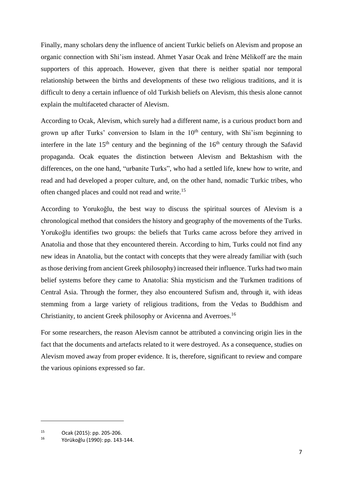Finally, many scholars deny the influence of ancient Turkic beliefs on Alevism and propose an organic connection with Shi'ism instead. Ahmet Yasar Ocak and Irène Mélikoff are the main supporters of this approach. However, given that there is neither spatial nor temporal relationship between the births and developments of these two religious traditions, and it is difficult to deny a certain influence of old Turkish beliefs on Alevism, this thesis alone cannot explain the multifaceted character of Alevism.

According to Ocak, Alevism, which surely had a different name, is a curious product born and grown up after Turks' conversion to Islam in the  $10<sup>th</sup>$  century, with Shi'ism beginning to interfere in the late  $15<sup>th</sup>$  century and the beginning of the  $16<sup>th</sup>$  century through the Safavid propaganda. Ocak equates the distinction between Alevism and Bektashism with the differences, on the one hand, "urbanite Turks", who had a settled life, knew how to write, and read and had developed a proper culture, and, on the other hand, nomadic Turkic tribes, who often changed places and could not read and write.<sup>15</sup>

According to Yorukoğlu, the best way to discuss the spiritual sources of Alevism is a chronological method that considers the history and geography of the movements of the Turks. Yorukoğlu identifies two groups: the beliefs that Turks came across before they arrived in Anatolia and those that they encountered therein. According to him, Turks could not find any new ideas in Anatolia, but the contact with concepts that they were already familiar with (such as those deriving from ancient Greek philosophy) increased their influence. Turks had two main belief systems before they came to Anatolia: Shia mysticism and the Turkmen traditions of Central Asia. Through the former, they also encountered Sufism and, through it, with ideas stemming from a large variety of religious traditions, from the Vedas to Buddhism and Christianity, to ancient Greek philosophy or Avicenna and Averroes.<sup>16</sup>

For some researchers, the reason Alevism cannot be attributed a convincing origin lies in the fact that the documents and artefacts related to it were destroyed. As a consequence, studies on Alevism moved away from proper evidence. It is, therefore, significant to review and compare the various opinions expressed so far.

<sup>&</sup>lt;sup>15</sup> Ocak (2015): pp. 205-206.<br><sup>16</sup> Värüka <sup>51</sup>: (1000): pp. 142

<sup>16</sup> Yörükoğlu (1990): pp. 143-144.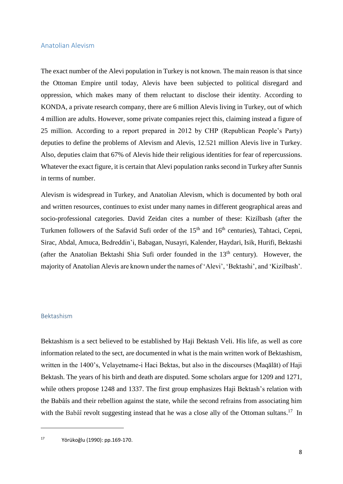#### <span id="page-10-0"></span>Anatolian Alevism

The exact number of the Alevi population in Turkey is not known. The main reason is that since the Ottoman Empire until today, Alevis have been subjected to political disregard and oppression, which makes many of them reluctant to disclose their identity. According to KONDA, a private research company, there are 6 million Alevis living in Turkey, out of which 4 million are adults. However, some private companies reject this, claiming instead a figure of 25 million. According to a report prepared in 2012 by CHP (Republican People's Party) deputies to define the problems of Alevism and Alevis, 12.521 million Alevis live in Turkey. Also, deputies claim that 67% of Alevis hide their religious identities for fear of repercussions. Whatever the exact figure, it is certain that Alevi population ranks second in Turkey after Sunnis in terms of number.

Alevism is widespread in Turkey, and Anatolian Alevism, which is documented by both oral and written resources, continues to exist under many names in different geographical areas and socio-professional categories. David Zeidan cites a number of these: Kizilbash (after the Turkmen followers of the Safavid Sufi order of the  $15<sup>th</sup>$  and  $16<sup>th</sup>$  centuries), Tahtaci, Cepni, Sirac, Abdal, Amuca, Bedreddin'i, Babagan, Nusayri, Kalender, Haydari, Isik, Hurifi, Bektashi (after the Anatolian Bektashi Shia Sufi order founded in the  $13<sup>th</sup>$  century). However, the majority of Anatolian Alevis are known under the names of 'Alevi', 'Bektashi', and 'Kizilbash'.

#### <span id="page-10-1"></span>Bektashism

 $\overline{\phantom{a}}$ 

Bektashism is a sect believed to be established by Haji Bektash Veli. His life, as well as core information related to the sect, are documented in what is the main written work of Bektashism, written in the 1400's, Velayetname-i Haci Bektas, but also in the discourses (Maqālāt) of Haji Bektash. The years of his birth and death are disputed. Some scholars argue for 1209 and 1271, while others propose 1248 and 1337. The first group emphasizes Haji Bektash's relation with the Babâîs and their rebellion against the state, while the second refrains from associating him with the Babâî revolt suggesting instead that he was a close ally of the Ottoman sultans.<sup>17</sup> In

<sup>17</sup> Yörükoğlu (1990): pp.169-170.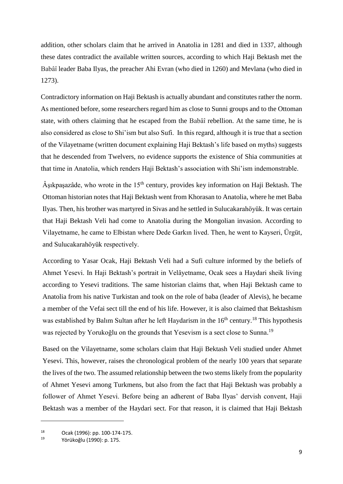addition, other scholars claim that he arrived in Anatolia in 1281 and died in 1337, although these dates contradict the available written sources, according to which Haji Bektash met the Babâî leader Baba Ilyas, the preacher Ahi Evran (who died in 1260) and Mevlana (who died in 1273).

Contradictory information on Haji Bektash is actually abundant and constitutes rather the norm. As mentioned before, some researchers regard him as close to Sunni groups and to the Ottoman state, with others claiming that he escaped from the Babâî rebellion. At the same time, he is also considered as close to Shi'ism but also Sufi. In this regard, although it is true that a section of the Vilayetname (written document explaining Haji Bektash's life based on myths) suggests that he descended from Twelvers, no evidence supports the existence of Shia communities at that time in Anatolia, which renders Haji Bektash's association with Shi'ism indemonstrable.

Âşıkpaşazâde, who wrote in the  $15<sup>th</sup>$  century, provides key information on Haji Bektash. The Ottoman historian notes that Haji Bektash went from Khorasan to Anatolia, where he met Baba Ilyas. Then, his brother was martyred in Sivas and he settled in Sulucakarahöyük. It was certain that Haji Bektash Veli had come to Anatolia during the Mongolian invasion. According to Vilayetname, he came to Elbistan where Dede Garkın lived. Then, he went to Kayseri, Ürgüt, and Sulucakarahöyük respectively.

According to Yasar Ocak, Haji Bektash Veli had a Sufi culture informed by the beliefs of Ahmet Yesevi. In Haji Bektash's portrait in Velâyetname, Ocak sees a Haydari sheik living according to Yesevi traditions. The same historian claims that, when Haji Bektash came to Anatolia from his native Turkistan and took on the role of baba (leader of Alevis), he became a member of the Vefai sect till the end of his life. However, it is also claimed that Bektashism was established by Balım Sultan after he left Haydarism in the 16<sup>th</sup> century.<sup>18</sup> This hypothesis was rejected by Yorukoğlu on the grounds that Yesevism is a sect close to Sunna.<sup>19</sup>

Based on the Vilayetname, some scholars claim that Haji Bektash Veli studied under Ahmet Yesevi. This, however, raises the chronological problem of the nearly 100 years that separate the lives of the two. The assumed relationship between the two stems likely from the popularity of Ahmet Yesevi among Turkmens, but also from the fact that Haji Bektash was probably a follower of Ahmet Yesevi. Before being an adherent of Baba Ilyas' dervish convent, Haji Bektash was a member of the Haydari sect. For that reason, it is claimed that Haji Bektash

<sup>18</sup> Ocak (1996): pp. 100-174-175.

<sup>19</sup> Yörükoğlu (1990): p. 175.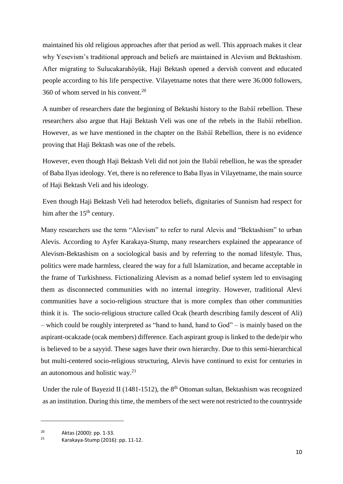maintained his old religious approaches after that period as well. This approach makes it clear why Yesevism's traditional approach and beliefs are maintained in Alevism and Bektashism. After migrating to Sulucakarahöyük, Haji Bektash opened a dervish convent and educated people according to his life perspective. Vilayetname notes that there were 36.000 followers, 360 of whom served in his convent. $20$ 

A number of researchers date the beginning of Bektashi history to the Babâî rebellion. These researchers also argue that Haji Bektash Veli was one of the rebels in the Babâî rebellion. However, as we have mentioned in the chapter on the Babâî Rebellion, there is no evidence proving that Haji Bektash was one of the rebels.

However, even though Haji Bektash Veli did not join the Babâî rebellion, he was the spreader of Baba Ilyas ideology. Yet, there is no reference to Baba Ilyas in Vilayetname, the main source of Haji Bektash Veli and his ideology.

Even though Haji Bektash Veli had heterodox beliefs, dignitaries of Sunnism had respect for him after the  $15<sup>th</sup>$  century.

Many researchers use the term "Alevism" to refer to rural Alevis and "Bektashism" to urban Alevis. According to Ayfer Karakaya-Stump, many researchers explained the appearance of Alevism-Bektashism on a sociological basis and by referring to the nomad lifestyle. Thus, politics were made harmless, cleared the way for a full Islamization, and became acceptable in the frame of Turkishness. Fictionalizing Alevism as a nomad belief system led to envisaging them as disconnected communities with no internal integrity. However, traditional Alevi communities have a socio-religious structure that is more complex than other communities think it is. The socio-religious structure called Ocak (hearth describing family descent of Ali) – which could be roughly interpreted as "hand to hand, hand to God" – is mainly based on the aspirant-ocakzade (ocak members) difference. Each aspirant group is linked to the dede/pir who is believed to be a sayyid. These sages have their own hierarchy. Due to this semi-hierarchical but multi-centered socio-religious structuring, Alevis have continued to exist for centuries in an autonomous and holistic way. 21

Under the rule of Bayezid II (1481-1512), the  $8<sup>th</sup>$  Ottoman sultan, Bektashism was recognized as an institution. During this time, the members of the sect were not restricted to the countryside

<sup>20</sup> Aktas (2000): pp. 1-33.<br><sup>21</sup> Karakaya Stump (2016)

<sup>21</sup> Karakaya-Stump (2016): pp. 11-12.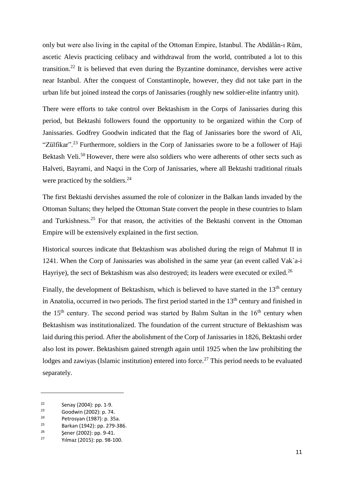only but were also living in the capital of the Ottoman Empire, Istanbul. The Abdâlân-ı Rûm, ascetic Alevis practicing celibacy and withdrawal from the world, contributed a lot to this transition.<sup>22</sup> It is believed that even during the Byzantine dominance, dervishes were active near Istanbul. After the conquest of Constantinople, however, they did not take part in the urban life but joined instead the corps of Janissaries (roughly new soldier-elite infantry unit).

There were efforts to take control over Bektashism in the Corps of Janissaries during this period, but Bektashi followers found the opportunity to be organized within the Corp of Janissaries. Godfrey Goodwin indicated that the flag of Janissaries bore the sword of Ali, "Zülfikar".<sup>23</sup> Furthermore, soldiers in the Corp of Janissaries swore to be a follower of Haji Bektash Veli.<sup>50</sup> However, there were also soldiers who were adherents of other sects such as Halveti, Bayrami, and Naqxi in the Corp of Janissaries, where all Bektashi traditional rituals were practiced by the soldiers.<sup>24</sup>

The first Bektashi dervishes assumed the role of colonizer in the Balkan lands invaded by the Ottoman Sultans; they helped the Ottoman State convert the people in these countries to Islam and Turkishness. <sup>25</sup> For that reason, the activities of the Bektashi convent in the Ottoman Empire will be extensively explained in the first section.

Historical sources indicate that Bektashism was abolished during the reign of Mahmut II in 1241. When the Corp of Janissaries was abolished in the same year (an event called Vak`a-i Hayriye), the sect of Bektashism was also destroyed; its leaders were executed or exiled.<sup>26</sup>

Finally, the development of Bektashism, which is believed to have started in the  $13<sup>th</sup>$  century in Anatolia, occurred in two periods. The first period started in the  $13<sup>th</sup>$  century and finished in the  $15<sup>th</sup>$  century. The second period was started by Balım Sultan in the  $16<sup>th</sup>$  century when Bektashism was institutionalized. The foundation of the current structure of Bektashism was laid during this period. After the abolishment of the Corp of Janissaries in 1826, Bektashi order also lost its power. Bektashism gained strength again until 1925 when the law prohibiting the lodges and zawiyas (Islamic institution) entered into force.<sup>27</sup> This period needs to be evaluated separately.

<sup>&</sup>lt;sup>22</sup> Senay (2004): pp. 1-9.<br> $23$  Canduin (2003): p. 74

<sup>&</sup>lt;sup>23</sup> Goodwin (2002): p. 74.<br><sup>24</sup> Petrosyan (1987): p. 35

<sup>&</sup>lt;sup>24</sup> Petrosyan (1987): p. 35a.<br><sup>25</sup> Barkan (1942): pp. 279-38

<sup>&</sup>lt;sup>25</sup> Barkan (1942): pp. 279-386.<br><sup>26</sup> Sanar (2003): pp. 0.41

<sup>&</sup>lt;sup>26</sup> Şener (2002): pp. 9-41.

<sup>27</sup> Yılmaz (2015): pp. 98-100.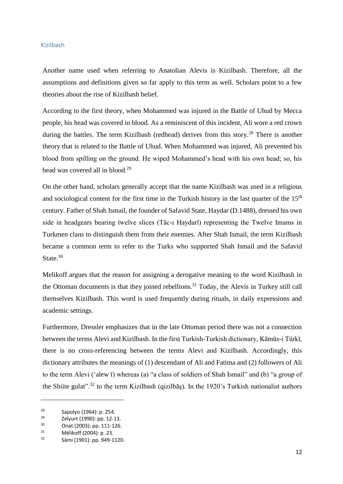#### <span id="page-14-0"></span>Kizilbash

Another name used when referring to Anatolian Alevis is Kizilbash. Therefore, all the assumptions and definitions given so far apply to this term as well. Scholars point to a few theories about the rise of Kizilbash belief.

According to the first theory, when Mohammed was injured in the Battle of Uhud by Mecca people, his head was covered in blood. As a reminiscent of this incident, Ali wore a red crown during the battles. The term Kizilbash (redhead) derives from this story.<sup>28</sup> There is another theory that is related to the Battle of Uhud. When Mohammed was injured, Ali prevented his blood from spilling on the ground. He wiped Mohammed's head with his own head; so, his head was covered all in blood.<sup>29</sup>

On the other hand, scholars generally accept that the name Kizilbash was used in a religious and sociological content for the first time in the Turkish history in the last quarter of the 15<sup>th</sup> century. Father of Shah Ismail, the founder of Safavid State, Haydar (D.1488), dressed his own side in headgears bearing twelve slices (Tâc-ı Haydarî) representing the Twelve Imams in Turkmen clans to distinguish them from their enemies. After Shah Ismail, the term Kizilbash became a common term to refer to the Turks who supported Shah Ismail and the Safavid State.<sup>30</sup>

Melikoff argues that the reason for assigning a derogative meaning to the word Kizilbash in the Ottoman documents is that they joined rebellions.<sup>31</sup> Today, the Alevis in Turkey still call themselves Kizilbash. This word is used frequently during rituals, in daily expressions and academic settings.

Furthermore, Dressler emphasizes that in the late Ottoman period there was not a connection between the terms Alevi and Kizilbash. In the first Turkish-Turkish dictionary, Kāmūs-i Türkī, there is no cross-referencing between the terms Alevi and Kizilbash. Accordingly, this dictionary attributes the meanings of (1) descendant of Ali and Fatima and (2) followers of Ali to the term Alevi ('alew ī) whereas (a) "a class of soldiers of Shah Ismail" and (b) "a group of the Shiite gulat".<sup>32</sup> to the term Kizilbash (qizilbāş). In the 1920's Turkish nationalist authors

<sup>&</sup>lt;sup>28</sup> Sapolyo (1964): p. 254.<br><sup>29</sup> Zehurt (1990): pp. 12-1

<sup>&</sup>lt;sup>29</sup> Zelyurt (1990): pp. 12-13.<br><sup>30</sup> Opet (2003): pp. 111-126.

 $30$  Onat (2003): pp. 111-126.<br> $31$  Málikoff (2004): p. 22.

 $^{31}$  Mélikoff (2004): p. 23.<br> $^{32}$  Sāmi (1901): pp. 940.1

<sup>32</sup> Sāmi (1901): pp. 949-1120.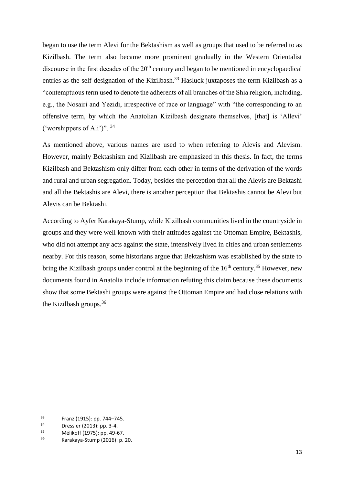began to use the term Alevi for the Bektashism as well as groups that used to be referred to as Kizilbash. The term also became more prominent gradually in the Western Orientalist discourse in the first decades of the  $20<sup>th</sup>$  century and began to be mentioned in encyclopaedical entries as the self-designation of the Kizilbash.<sup>33</sup> Hasluck juxtaposes the term Kizilbash as a "contemptuous term used to denote the adherents of all branches of the Shia religion, including, e.g., the Nosairi and Yezidi, irrespective of race or language" with "the corresponding to an offensive term, by which the Anatolian Kizilbash designate themselves, [that] is 'Allevi' ('worshippers of Ali')". <sup>34</sup>

As mentioned above, various names are used to when referring to Alevis and Alevism. However, mainly Bektashism and Kizilbash are emphasized in this thesis. In fact, the terms Kizilbash and Bektashism only differ from each other in terms of the derivation of the words and rural and urban segregation. Today, besides the perception that all the Alevis are Bektashi and all the Bektashis are Alevi, there is another perception that Bektashis cannot be Alevi but Alevis can be Bektashi.

According to Ayfer Karakaya-Stump, while Kizilbash communities lived in the countryside in groups and they were well known with their attitudes against the Ottoman Empire, Bektashis, who did not attempt any acts against the state, intensively lived in cities and urban settlements nearby. For this reason, some historians argue that Bektashism was established by the state to bring the Kizilbash groups under control at the beginning of the  $16<sup>th</sup>$  century.<sup>35</sup> However, new documents found in Anatolia include information refuting this claim because these documents show that some Bektashi groups were against the Ottoman Empire and had close relations with the Kizilbash groups.<sup>36</sup>

 $33$  Franz (1915): pp. 744–745.<br> $34$  Pressles (2013): pp. 2.4

 $3^{34}$  Dressler (2013): pp. 3-4.<br> $3^{5}$  Málikoff (1975): pp. 40.6

 $^{35}$  Mélikoff (1975): pp. 49-67.

<sup>36</sup> Karakaya-Stump (2016): p. 20.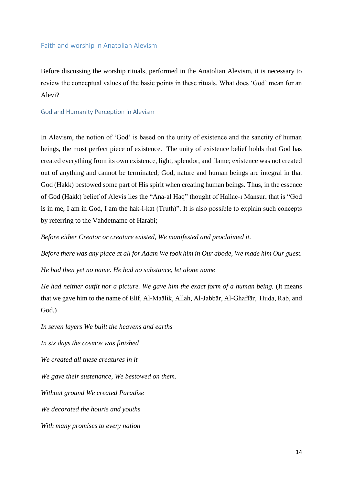#### <span id="page-16-0"></span>Faith and worship in Anatolian Alevism

Before discussing the worship rituals, performed in the Anatolian Alevism, it is necessary to review the conceptual values of the basic points in these rituals. What does 'God' mean for an Alevi?

#### <span id="page-16-1"></span>God and Humanity Perception in Alevism

In Alevism, the notion of 'God' is based on the unity of existence and the sanctity of human beings, the most perfect piece of existence. The unity of existence belief holds that God has created everything from its own existence, light, splendor, and flame; existence was not created out of anything and cannot be terminated; God, nature and human beings are integral in that God (Hakk) bestowed some part of His spirit when creating human beings. Thus, in the essence of God (Hakk) belief of Alevis lies the "Ana-al Haq" thought of Hallac-ı Mansur, that is "God is in me, I am in God, I am the hak-i-kat (Truth)". It is also possible to explain such concepts by referring to the Vahdetname of Harabi;

*Before either Creator or creature existed, We manifested and proclaimed it.* 

*Before there was any place at all for Adam We took him in Our abode, We made him Our guest.*

*He had then yet no name. He had no substance, let alone name*

*He had neither outfit nor a picture. We gave him the exact form of a human being.* (It means that we gave him to the name of Elif, Al-Maālik, Allah, Al-Jabbār, Al-Ghaffār, Huda, Rab, and God.)

*In seven layers We built the heavens and earths*

*In six days the cosmos was finished*

*We created all these creatures in it*

*We gave their sustenance, We bestowed on them.*

*Without ground We created Paradise*

*We decorated the houris and youths*

*With many promises to every nation*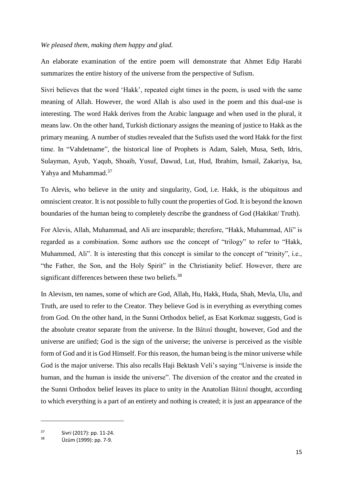#### *We pleased them, making them happy and glad.*

An elaborate examination of the entire poem will demonstrate that Ahmet Edip Harabi summarizes the entire history of the universe from the perspective of Sufism.

Sivri believes that the word 'Hakk', repeated eight times in the poem, is used with the same meaning of Allah. However, the word Allah is also used in the poem and this dual-use is interesting. The word Hakk derives from the Arabic language and when used in the plural, it means law. On the other hand, Turkish dictionary assigns the meaning of justice to Hakk as the primary meaning. A number of studies revealed that the Sufists used the word Hakk for the first time. In "Vahdetname", the historical line of Prophets is Adam, Saleh, Musa, Seth, Idris, Sulayman, Ayub, Yaqub, Shoaib, Yusuf, Dawud, Lut, Hud, Ibrahim, Ismail, Zakariya, Isa, Yahya and Muhammad.<sup>37</sup>

To Alevis, who believe in the unity and singularity, God, i.e. Hakk, is the ubiquitous and omniscient creator. It is not possible to fully count the properties of God. It is beyond the known boundaries of the human being to completely describe the grandness of God (Hakikat/ Truth).

For Alevis, Allah, Muhammad, and Ali are inseparable; therefore, "Hakk, Muhammad, Ali" is regarded as a combination. Some authors use the concept of "trilogy" to refer to "Hakk, Muhammed, Ali". It is interesting that this concept is similar to the concept of "trinity", i.e., "the Father, the Son, and the Holy Spirit" in the Christianity belief. However, there are significant differences between these two beliefs.<sup>38</sup>

In Alevism, ten names, some of which are God, Allah, Hu, Hakk, Huda, Shah, Mevla, Ulu, and Truth, are used to refer to the Creator. They believe God is in everything as everything comes from God. On the other hand, in the Sunni Orthodox belief, as Esat Korkmaz suggests, God is the absolute creator separate from the universe. In the Bâtınî thought, however, God and the universe are unified; God is the sign of the universe; the universe is perceived as the visible form of God and it is God Himself. For this reason, the human being is the minor universe while God is the major universe. This also recalls Haji Bektash Veli's saying "Universe is inside the human, and the human is inside the universe". The diversion of the creator and the created in the Sunni Orthodox belief leaves its place to unity in the Anatolian Bâtınî thought, according to which everything is a part of an entirety and nothing is created; it is just an appearance of the

 $37$  Sivri (2017): pp. 11-24.

Üzüm (1999): pp. 7-9.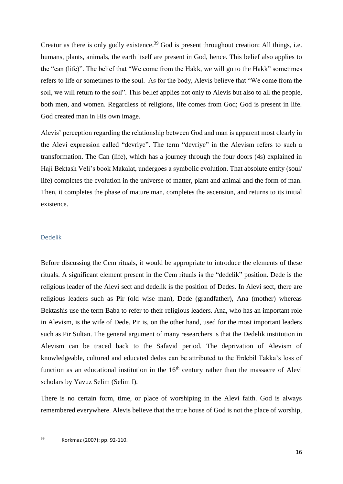Creator as there is only godly existence.<sup>39</sup> God is present throughout creation: All things, i.e. humans, plants, animals, the earth itself are present in God, hence. This belief also applies to the "can (life)". The belief that "We come from the Hakk, we will go to the Hakk" sometimes refers to life or sometimes to the soul. As for the body, Alevis believe that "We come from the soil, we will return to the soil". This belief applies not only to Alevis but also to all the people, both men, and women. Regardless of religions, life comes from God; God is present in life. God created man in His own image.

Alevis' perception regarding the relationship between God and man is apparent most clearly in the Alevi expression called "devriye". The term "devriye" in the Alevism refers to such a transformation. The Can (life), which has a journey through the four doors (4s) explained in Haji Bektash Veli's book Makalat, undergoes a symbolic evolution. That absolute entity (soul/ life) completes the evolution in the universe of matter, plant and animal and the form of man. Then, it completes the phase of mature man, completes the ascension, and returns to its initial existence.

#### <span id="page-18-0"></span>Dedelik

Before discussing the Cem rituals, it would be appropriate to introduce the elements of these rituals. A significant element present in the Cem rituals is the "dedelik" position. Dede is the religious leader of the Alevi sect and dedelik is the position of Dedes. In Alevi sect, there are religious leaders such as Pir (old wise man), Dede (grandfather), Ana (mother) whereas Bektashis use the term Baba to refer to their religious leaders. Ana, who has an important role in Alevism, is the wife of Dede. Pir is, on the other hand, used for the most important leaders such as Pir Sultan. The general argument of many researchers is that the Dedelik institution in Alevism can be traced back to the Safavid period. The deprivation of Alevism of knowledgeable, cultured and educated dedes can be attributed to the Erdebil Takka's loss of function as an educational institution in the  $16<sup>th</sup>$  century rather than the massacre of Alevi scholars by Yavuz Selim (Selim I).

There is no certain form, time, or place of worshiping in the Alevi faith. God is always remembered everywhere. Alevis believe that the true house of God is not the place of worship,

<sup>39</sup> Korkmaz (2007): pp. 92-110.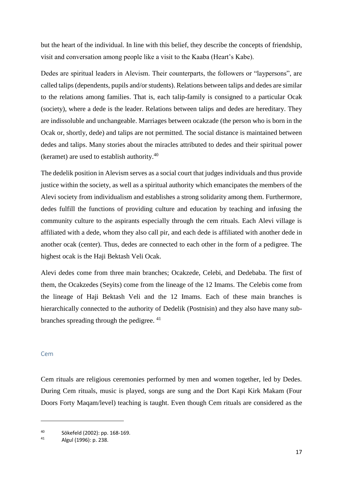but the heart of the individual. In line with this belief, they describe the concepts of friendship, visit and conversation among people like a visit to the Kaaba (Heart's Kabe).

Dedes are spiritual leaders in Alevism. Their counterparts, the followers or "laypersons", are called talips(dependents, pupils and/or students). Relations between talips and dedes are similar to the relations among families. That is, each talip-family is consigned to a particular Ocak (society), where a dede is the leader. Relations between talips and dedes are hereditary. They are indissoluble and unchangeable. Marriages between ocakzade (the person who is born in the Ocak or, shortly, dede) and talips are not permitted. The social distance is maintained between dedes and talips. Many stories about the miracles attributed to dedes and their spiritual power (keramet) are used to establish authority. $40$ 

The dedelik position in Alevism serves as a social court that judges individuals and thus provide justice within the society, as well as a spiritual authority which emancipates the members of the Alevi society from individualism and establishes a strong solidarity among them. Furthermore, dedes fulfill the functions of providing culture and education by teaching and infusing the community culture to the aspirants especially through the cem rituals. Each Alevi village is affiliated with a dede, whom they also call pir, and each dede is affiliated with another dede in another ocak (center). Thus, dedes are connected to each other in the form of a pedigree. The highest ocak is the Haji Bektash Veli Ocak.

Alevi dedes come from three main branches; Ocakzede, Celebi, and Dedebaba. The first of them, the Ocakzedes (Seyits) come from the lineage of the 12 Imams. The Celebis come from the lineage of Haji Bektash Veli and the 12 Imams. Each of these main branches is hierarchically connected to the authority of Dedelik (Postnisin) and they also have many subbranches spreading through the pedigree. <sup>41</sup>

#### <span id="page-19-0"></span>Cem

 $\overline{a}$ 

Cem rituals are religious ceremonies performed by men and women together, led by Dedes. During Cem rituals, music is played, songs are sung and the Dort Kapi Kirk Makam (Four Doors Forty Maqam/level) teaching is taught. Even though Cem rituals are considered as the

<sup>40</sup> Sökefeld (2002): pp. 168-169.

Algul (1996): p. 238.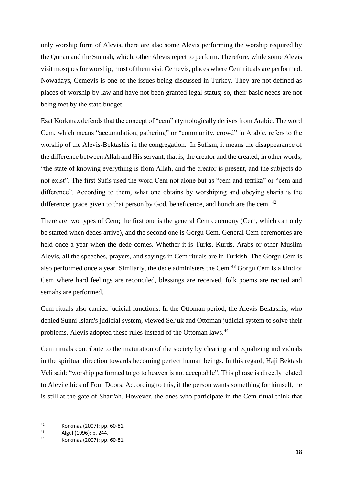only worship form of Alevis, there are also some Alevis performing the worship required by the Qur'an and the Sunnah, which, other Alevis reject to perform. Therefore, while some Alevis visit mosques for worship, most of them visit Cemevis, places where Cem rituals are performed. Nowadays, Cemevis is one of the issues being discussed in Turkey. They are not defined as places of worship by law and have not been granted legal status; so, their basic needs are not being met by the state budget.

Esat Korkmaz defends that the concept of "cem" etymologically derives from Arabic. The word Cem, which means "accumulation, gathering" or "community, crowd" in Arabic, refers to the worship of the Alevis-Bektashis in the congregation. In Sufism, it means the disappearance of the difference between Allah and His servant, that is, the creator and the created; in other words, "the state of knowing everything is from Allah, and the creator is present, and the subjects do not exist". The first Sufis used the word Cem not alone but as "cem and tefrika" or "cem and difference". According to them, what one obtains by worshiping and obeying sharia is the difference; grace given to that person by God, beneficence, and hunch are the cem. <sup>42</sup>

There are two types of Cem; the first one is the general Cem ceremony (Cem, which can only be started when dedes arrive), and the second one is Gorgu Cem. General Cem ceremonies are held once a year when the dede comes. Whether it is Turks, Kurds, Arabs or other Muslim Alevis, all the speeches, prayers, and sayings in Cem rituals are in Turkish. The Gorgu Cem is also performed once a year. Similarly, the dede administers the Cem.<sup>43</sup> Gorgu Cem is a kind of Cem where hard feelings are reconciled, blessings are received, folk poems are recited and semahs are performed.

Cem rituals also carried judicial functions. In the Ottoman period, the Alevis-Bektashis, who denied Sunni Islam's judicial system, viewed Seljuk and Ottoman judicial system to solve their problems. Alevis adopted these rules instead of the Ottoman laws.<sup>44</sup>

Cem rituals contribute to the maturation of the society by clearing and equalizing individuals in the spiritual direction towards becoming perfect human beings. In this regard, Haji Bektash Veli said: "worship performed to go to heaven is not acceptable". This phrase is directly related to Alevi ethics of Four Doors. According to this, if the person wants something for himself, he is still at the gate of Shari'ah. However, the ones who participate in the Cem ritual think that

<sup>42</sup> Korkmaz (2007): pp. 60-81.

 $43$  Algul (1996): p. 244.

<sup>44</sup> Korkmaz (2007): pp. 60-81.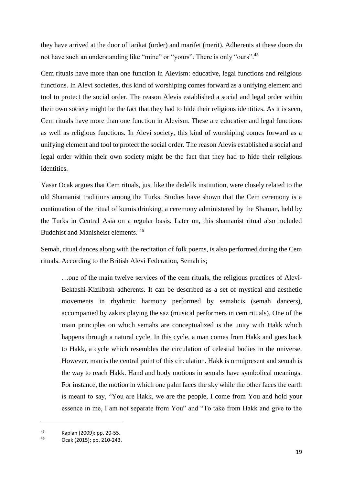they have arrived at the door of tarikat (order) and marifet (merit). Adherents at these doors do not have such an understanding like "mine" or "yours". There is only "ours".<sup>45</sup>

Cem rituals have more than one function in Alevism: educative, legal functions and religious functions. In Alevi societies, this kind of worshiping comes forward as a unifying element and tool to protect the social order. The reason Alevis established a social and legal order within their own society might be the fact that they had to hide their religious identities. As it is seen, Cem rituals have more than one function in Alevism. These are educative and legal functions as well as religious functions. In Alevi society, this kind of worshiping comes forward as a unifying element and tool to protect the social order. The reason Alevis established a social and legal order within their own society might be the fact that they had to hide their religious identities.

Yasar Ocak argues that Cem rituals, just like the dedelik institution, were closely related to the old Shamanist traditions among the Turks. Studies have shown that the Cem ceremony is a continuation of the ritual of kumis drinking, a ceremony administered by the Shaman, held by the Turks in Central Asia on a regular basis. Later on, this shamanist ritual also included Buddhist and Manisheist elements. 46

Semah, ritual dances along with the recitation of folk poems, is also performed during the Cem rituals. According to the British Alevi Federation, Semah is;

…one of the main twelve services of the cem rituals, the religious practices of Alevi-Bektashi-Kizilbash adherents. It can be described as a set of mystical and aesthetic movements in rhythmic harmony performed by semahcis (semah dancers), accompanied by zakirs playing the saz (musical performers in cem rituals). One of the main principles on which semahs are conceptualized is the unity with Hakk which happens through a natural cycle. In this cycle, a man comes from Hakk and goes back to Hakk, a cycle which resembles the circulation of celestial bodies in the universe. However, man is the central point of this circulation. Hakk is omnipresent and semah is the way to reach Hakk. Hand and body motions in semahs have symbolical meanings. For instance, the motion in which one palm faces the sky while the other faces the earth is meant to say, "You are Hakk, we are the people, I come from You and hold your essence in me, I am not separate from You" and "To take from Hakk and give to the

<sup>45</sup> Kaplan (2009): pp. 20-55.

<sup>46</sup> Ocak (2015): pp. 210-243.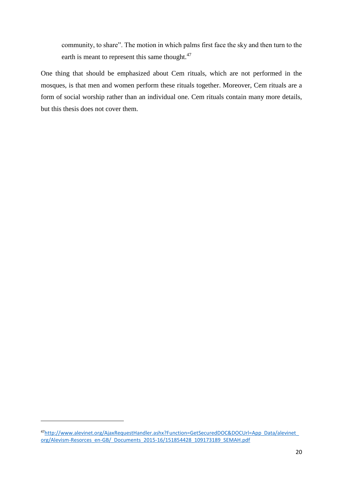community, to share". The motion in which palms first face the sky and then turn to the earth is meant to represent this same thought.<sup>47</sup>

One thing that should be emphasized about Cem rituals, which are not performed in the mosques, is that men and women perform these rituals together. Moreover, Cem rituals are a form of social worship rather than an individual one. Cem rituals contain many more details, but this thesis does not cover them.

<sup>47</sup>[http://www.alevinet.org/AjaxRequestHandler.ashx?Function=GetSecuredDOC&DOCUrl=App\\_Data/alevinet\\_](http://www.alevinet.org/AjaxRequestHandler.ashx?Function=GetSecuredDOC&DOCUrl=App_Data/alevinet_org/Alevism-Resorces_en-GB/_Documents_2015-16/151854428_109173189_SEMAH.pdf) [org/Alevism-Resorces\\_en-GB/\\_Documents\\_2015-16/151854428\\_109173189\\_SEMAH.pdf](http://www.alevinet.org/AjaxRequestHandler.ashx?Function=GetSecuredDOC&DOCUrl=App_Data/alevinet_org/Alevism-Resorces_en-GB/_Documents_2015-16/151854428_109173189_SEMAH.pdf)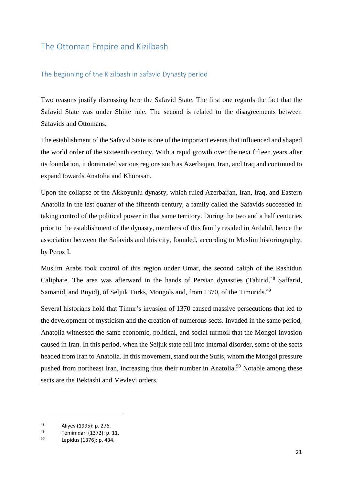# <span id="page-23-0"></span>The Ottoman Empire and Kizilbash

## <span id="page-23-1"></span>The beginning of the Kizilbash in Safavid Dynasty period

Two reasons justify discussing here the Safavid State. The first one regards the fact that the Safavid State was under Shiite rule. The second is related to the disagreements between Safavids and Ottomans.

The establishment of the Safavid State is one of the important events that influenced and shaped the world order of the sixteenth century. With a rapid growth over the next fifteen years after its foundation, it dominated various regions such as Azerbaijan, Iran, and Iraq and continued to expand towards Anatolia and Khorasan.

Upon the collapse of the Akkoyunlu dynasty, which ruled Azerbaijan, Iran, Iraq, and Eastern Anatolia in the last quarter of the fifteenth century, a family called the Safavids succeeded in taking control of the political power in that same territory. During the two and a half centuries prior to the establishment of the dynasty, members of this family resided in Ardabil, hence the association between the Safavids and this city, founded, according to Muslim historiography, by Peroz I.

Muslim Arabs took control of this region under Umar, the second caliph of the Rashidun Caliphate. The area was afterward in the hands of Persian dynasties (Tahirid.<sup>48</sup> Saffarid, Samanid, and Buyid), of Seljuk Turks, Mongols and, from 1370, of the Timurids.<sup>49</sup>

Several historians hold that Timur's invasion of 1370 caused massive persecutions that led to the development of mysticism and the creation of numerous sects. Invaded in the same period, Anatolia witnessed the same economic, political, and social turmoil that the Mongol invasion caused in Iran. In this period, when the Seljuk state fell into internal disorder, some of the sects headed from Iran to Anatolia. In this movement, stand out the Sufis, whom the Mongol pressure pushed from northeast Iran, increasing thus their number in Anatolia.<sup>50</sup> Notable among these sects are the Bektashi and Mevlevi orders.

<sup>&</sup>lt;sup>48</sup> Aliyev (1995): p. 276.

<sup>&</sup>lt;sup>49</sup> Temimdari (1372): p. 11.<br><sup>50</sup> Lapishua (1375): p. 124.

<sup>50</sup> Lapidus (1376): p. 434.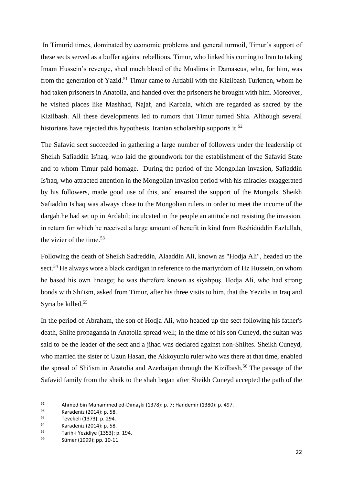In Timurid times, dominated by economic problems and general turmoil, Timur's support of these sects served as a buffer against rebellions. Timur, who linked his coming to Iran to taking Imam Hussein's revenge, shed much blood of the Muslims in Damascus, who, for him, was from the generation of Yazid.<sup>51</sup> Timur came to Ardabil with the Kizilbash Turkmen, whom he had taken prisoners in Anatolia, and handed over the prisoners he brought with him. Moreover, he visited places like Mashhad, Najaf, and Karbala, which are regarded as sacred by the Kizilbash. All these developments led to rumors that Timur turned Shia. Although several historians have rejected this hypothesis, Iranian scholarship supports it.<sup>52</sup>

The Safavid sect succeeded in gathering a large number of followers under the leadership of Sheikh Safiaddin Is'haq, who laid the groundwork for the establishment of the Safavid State and to whom Timur paid homage. During the period of the Mongolian invasion, Safiaddin Is'haq, who attracted attention in the Mongolian invasion period with his miracles exaggerated by his followers, made good use of this, and ensured the support of the Mongols. Sheikh Safiaddin Is'haq was always close to the Mongolian rulers in order to meet the income of the dargah he had set up in Ardabil; inculcated in the people an attitude not resisting the invasion, in return for which he received a large amount of benefit in kind from Reshidüddin Fazlullah, the vizier of the time. 53

Following the death of Sheikh Sadreddin, Alaaddin Ali, known as "Hodja Ali", headed up the sect.<sup>54</sup> He always wore a black cardigan in reference to the martyrdom of Hz Hussein, on whom he based his own lineage; he was therefore known as siyahpuş. Hodja Ali, who had strong bonds with Shi'ism, asked from Timur, after his three visits to him, that the Yezidis in Iraq and Syria be killed. 55

In the period of Abraham, the son of Hodja Ali, who headed up the sect following his father's death, Shiite propaganda in Anatolia spread well; in the time of his son Cuneyd, the sultan was said to be the leader of the sect and a jihad was declared against non-Shiites. Sheikh Cuneyd, who married the sister of Uzun Hasan, the Akkoyunlu ruler who was there at that time, enabled the spread of Shi'ism in Anatolia and Azerbaijan through the Kizilbash. <sup>56</sup> The passage of the Safavid family from the sheik to the shah began after Sheikh Cuneyd accepted the path of the

<sup>51</sup> Ahmed bin Muhammed ed-Dimaşki (1378): p. 7; Handemir (1380): p. 497.<br> $\frac{52}{2}$  Kanademir (2014): p. 59.

 $^{52}$  Karadeniz (2014): p. 58.<br> $^{53}$  Tevekeli (1373): p. 294

 $53$  Tevekeli (1373): p. 294.<br> $54$  Karadeniz (2014): p. 58

 $^{54}$  Karadeniz (2014): p. 58.<br> $^{55}$  Tarih i Vozidive (1252): r

 $^{55}$  Tarih-i Yezidiye (1353): p. 194.

<sup>56</sup> Sümer (1999): pp. 10-11.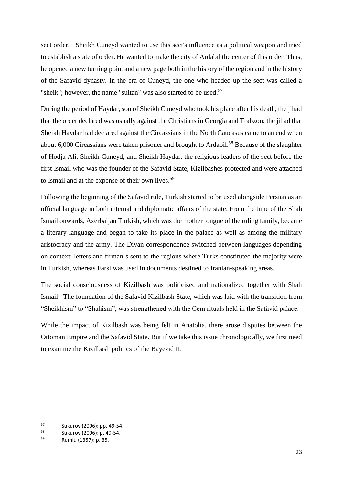sect order. Sheikh Cuneyd wanted to use this sect's influence as a political weapon and tried to establish a state of order. He wanted to make the city of Ardabil the center of this order. Thus, he opened a new turning point and a new page both in the history of the region and in the history of the Safavid dynasty. In the era of Cuneyd, the one who headed up the sect was called a "sheik"; however, the name "sultan" was also started to be used.<sup>57</sup>

During the period of Haydar, son of Sheikh Cuneyd who took his place after his death, the jihad that the order declared was usually against the Christians in Georgia and Trabzon; the jihad that Sheikh Haydar had declared against the Circassians in the North Caucasus came to an end when about 6,000 Circassians were taken prisoner and brought to Ardabil.<sup>58</sup> Because of the slaughter of Hodja Ali, Sheikh Cuneyd, and Sheikh Haydar, the religious leaders of the sect before the first Ismail who was the founder of the Safavid State, Kizilbashes protected and were attached to Ismail and at the expense of their own lives.<sup>59</sup>

Following the beginning of the Safavid rule, Turkish started to be used alongside Persian as an official language in both internal and diplomatic affairs of the state. From the time of the Shah Ismail onwards, Azerbaijan Turkish, which was the mother tongue of the ruling family, became a literary language and began to take its place in the palace as well as among the military aristocracy and the army. The Divan correspondence switched between languages depending on context: letters and firman-s sent to the regions where Turks constituted the majority were in Turkish, whereas Farsi was used in documents destined to Iranian-speaking areas.

The social consciousness of Kizilbash was politicized and nationalized together with Shah Ismail. The foundation of the Safavid Kizilbash State, which was laid with the transition from "Sheikhism" to "Shahism", was strengthened with the Cem rituals held in the Safavid palace.

While the impact of Kizilbash was being felt in Anatolia, there arose disputes between the Ottoman Empire and the Safavid State. But if we take this issue chronologically, we first need to examine the Kizilbash politics of the Bayezid II.

 $57$  Sukurov (2006): pp. 49-54.

 $^{58}$  Sukurov (2006): p. 49-54.

<sup>59</sup> Rumlu (1357): p. 35.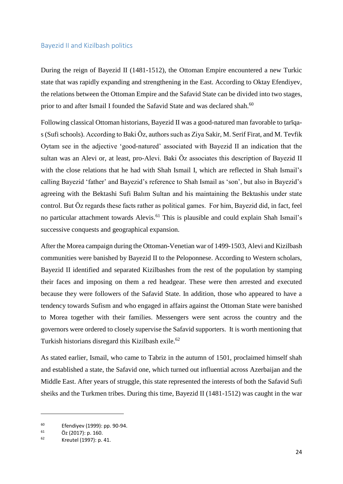#### <span id="page-26-0"></span>Bayezid II and Kizilbash politics

During the reign of Bayezid II (1481-1512), the Ottoman Empire encountered a new Turkic state that was rapidly expanding and strengthening in the East. According to Oktay Efendiyev, the relations between the Ottoman Empire and the Safavid State can be divided into two stages, prior to and after Ismail I founded the Safavid State and was declared shah.<sup>60</sup>

Following classical Ottoman historians, Bayezid II was a good-natured man favorable to tariqas(Sufi schools). According to Baki Öz, authors such as Ziya Sakir, M. Serif Firat, and M. Tevfik Oytam see in the adjective 'good-natured' associated with Bayezid II an indication that the sultan was an Alevi or, at least, pro-Alevi. Baki Öz associates this description of Bayezid II with the close relations that he had with Shah Ismail I, which are reflected in Shah Ismail's calling Bayezid 'father' and Bayezid's reference to Shah Ismail as 'son', but also in Bayezid's agreeing with the Bektashi Sufi Balım Sultan and his maintaining the Bektashis under state control. But Öz regards these facts rather as political games. For him, Bayezid did, in fact, feel no particular attachment towards Alevis. <sup>61</sup> This is plausible and could explain Shah Ismail's successive conquests and geographical expansion.

After the Morea campaign during the Ottoman-Venetian war of 1499-1503, Alevi and Kizilbash communities were banished by Bayezid II to the Peloponnese. According to Western scholars, Bayezid II identified and separated Kizilbashes from the rest of the population by stamping their faces and imposing on them a red headgear. These were then arrested and executed because they were followers of the Safavid State. In addition, those who appeared to have a tendency towards Sufism and who engaged in affairs against the Ottoman State were banished to Morea together with their families. Messengers were sent across the country and the governors were ordered to closely supervise the Safavid supporters. It is worth mentioning that Turkish historians disregard this Kizilbash exile.<sup>62</sup>

As stated earlier, Ismail, who came to Tabriz in the autumn of 1501, proclaimed himself shah and established a state, the Safavid one, which turned out influential across Azerbaijan and the Middle East. After years of struggle, this state represented the interests of both the Safavid Sufi sheiks and the Turkmen tribes. During this time, Bayezid II (1481-1512) was caught in the war

<sup>&</sup>lt;sup>60</sup> Efendiyev (1999): pp. 90-94.

 $^{61}$  Öz (2017): p. 160.

<sup>62</sup> Kreutel (1997): p. 41.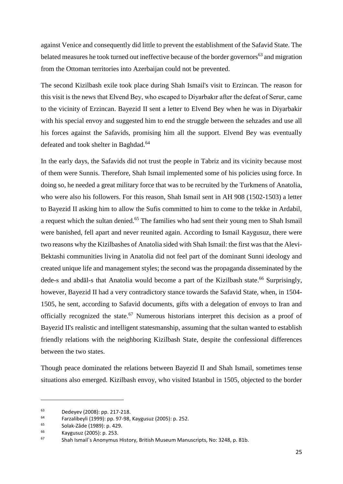against Venice and consequently did little to prevent the establishment of the Safavid State. The belated measures he took turned out ineffective because of the border governors<sup>63</sup> and migration from the Ottoman territories into Azerbaijan could not be prevented.

The second Kizilbash exile took place during Shah Ismail's visit to Erzincan. The reason for this visit is the news that Elvend Bey, who escaped to Diyarbakır after the defeat of Serur, came to the vicinity of Erzincan. Bayezid II sent a letter to Elvend Bey when he was in Diyarbakir with his special envoy and suggested him to end the struggle between the sehzades and use all his forces against the Safavids, promising him all the support. Elvend Bey was eventually defeated and took shelter in Baghdad.<sup>64</sup>

In the early days, the Safavids did not trust the people in Tabriz and its vicinity because most of them were Sunnis. Therefore, Shah Ismail implemented some of his policies using force. In doing so, he needed a great military force that was to be recruited by the Turkmens of Anatolia, who were also his followers. For this reason, Shah Ismail sent in AH 908 (1502-1503) a letter to Bayezid II asking him to allow the Sufis committed to him to come to the tekke in Ardabil, a request which the sultan denied.<sup>65</sup> The families who had sent their young men to Shah Ismail were banished, fell apart and never reunited again. According to Ismail Kaygusuz, there were two reasons why the Kizilbashes of Anatolia sided with Shah Ismail: the first was that the Alevi-Bektashi communities living in Anatolia did not feel part of the dominant Sunni ideology and created unique life and management styles; the second was the propaganda disseminated by the dede-s and abdāl-s that Anatolia would become a part of the Kizilbash state.<sup>66</sup> Surprisingly, however, Bayezid II had a very contradictory stance towards the Safavid State, when, in 1504- 1505, he sent, according to Safavid documents, gifts with a delegation of envoys to Iran and officially recognized the state.<sup>67</sup> Numerous historians interpret this decision as a proof of Bayezid II's realistic and intelligent statesmanship, assuming that the sultan wanted to establish friendly relations with the neighboring Kizilbash State, despite the confessional differences between the two states.

Though peace dominated the relations between Bayezid II and Shah Ismail, sometimes tense situations also emerged. Kizilbash envoy, who visited Istanbul in 1505, objected to the border

 $^{63}$  Dedeyev (2008): pp. 217-218.

<sup>&</sup>lt;sup>64</sup> Farzalibeyli (1999): pp. 97-98, Kaygusuz (2005): p. 252.<br><sup>65</sup> Solak-Zâde (1989): p. 429

 $^{65}$  Solak-Zâde (1989): p. 429.

 $^{66}$  Kaygusuz (2005): p. 253.

Shah Ismail`s Anonymus History, British Museum Manuscripts, No: 3248, p. 81b.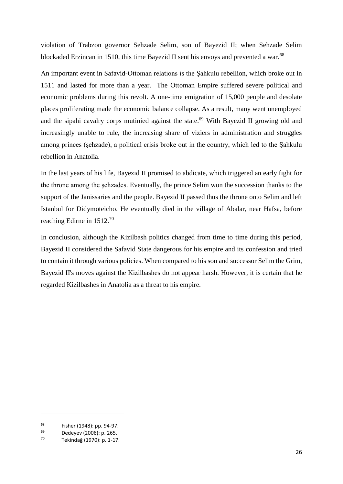violation of Trabzon governor Sehzade Selim, son of Bayezid II; when Sehzade Selim blockaded Erzincan in 1510, this time Bayezid II sent his envoys and prevented a war.<sup>68</sup>

An important event in Safavid-Ottoman relations is the Şahkulu rebellion, which broke out in 1511 and lasted for more than a year. The Ottoman Empire suffered severe political and economic problems during this revolt. A one-time emigration of 15,000 people and desolate places proliferating made the economic balance collapse. As a result, many went unemployed and the sipahi cavalry corps mutinied against the state. <sup>69</sup> With Bayezid II growing old and increasingly unable to rule, the increasing share of viziers in administration and struggles among princes (şehzade), a political crisis broke out in the country, which led to the Şahkulu rebellion in Anatolia.

In the last years of his life, Bayezid II promised to abdicate, which triggered an early fight for the throne among the şehzades. Eventually, the prince Selim won the succession thanks to the support of the Janissaries and the people. Bayezid II passed thus the throne onto Selim and left Istanbul for Didymoteicho. He eventually died in the village of Abalar, near Hafsa, before reaching Edirne in 1512.<sup>70</sup>

In conclusion, although the Kizilbash politics changed from time to time during this period, Bayezid II considered the Safavid State dangerous for his empire and its confession and tried to contain it through various policies. When compared to his son and successor Selim the Grim, Bayezid II's moves against the Kizilbashes do not appear harsh. However, it is certain that he regarded Kizilbashes in Anatolia as a threat to his empire.

 $^{68}$  Fisher (1948): pp. 94-97.

 $^{69}$  Dedeyev (2006): p. 265.

<sup>70</sup> Tekindağ (1970): p. 1-17.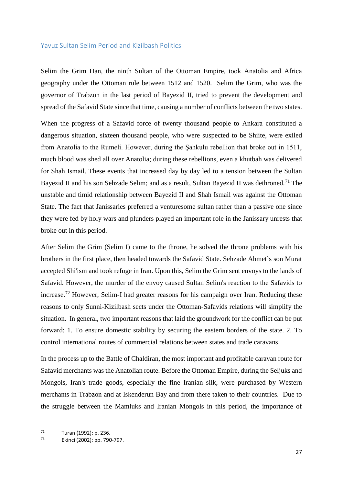#### <span id="page-29-0"></span>Yavuz Sultan Selim Period and Kizilbash Politics

Selim the Grim Han, the ninth Sultan of the Ottoman Empire, took Anatolia and Africa geography under the Ottoman rule between 1512 and 1520. Selim the Grim, who was the governor of Trabzon in the last period of Bayezid II, tried to prevent the development and spread of the Safavid State since that time, causing a number of conflicts between the two states.

When the progress of a Safavid force of twenty thousand people to Ankara constituted a dangerous situation, sixteen thousand people, who were suspected to be Shiite, were exiled from Anatolia to the Rumeli. However, during the Şahkulu rebellion that broke out in 1511, much blood was shed all over Anatolia; during these rebellions, even a khutbah was delivered for Shah Ismail. These events that increased day by day led to a tension between the Sultan Bayezid II and his son Sehzade Selim; and as a result, Sultan Bayezid II was dethroned.<sup>71</sup> The unstable and timid relationship between Bayezid II and Shah Ismail was against the Ottoman State. The fact that Janissaries preferred a venturesome sultan rather than a passive one since they were fed by holy wars and plunders played an important role in the Janissary unrests that broke out in this period.

After Selim the Grim (Selim I) came to the throne, he solved the throne problems with his brothers in the first place, then headed towards the Safavid State. Sehzade Ahmet`s son Murat accepted Shi'ism and took refuge in Iran. Upon this, Selim the Grim sent envoys to the lands of Safavid. However, the murder of the envoy caused Sultan Selim's reaction to the Safavids to increase.<sup>72</sup> However, Selim-I had greater reasons for his campaign over Iran. Reducing these reasons to only Sunni-Kizilbash sects under the Ottoman-Safavids relations will simplify the situation. In general, two important reasons that laid the groundwork for the conflict can be put forward: 1. To ensure domestic stability by securing the eastern borders of the state. 2. To control international routes of commercial relations between states and trade caravans.

In the process up to the Battle of Chaldiran, the most important and profitable caravan route for Safavid merchants was the Anatolian route. Before the Ottoman Empire, during the Seljuks and Mongols, Iran's trade goods, especially the fine Iranian silk, were purchased by Western merchants in Trabzon and at Iskenderun Bay and from there taken to their countries. Due to the struggle between the Mamluks and Iranian Mongols in this period, the importance of

 $71$  Turan (1992): p. 236.

<sup>72</sup> Ekinci (2002): pp. 790-797.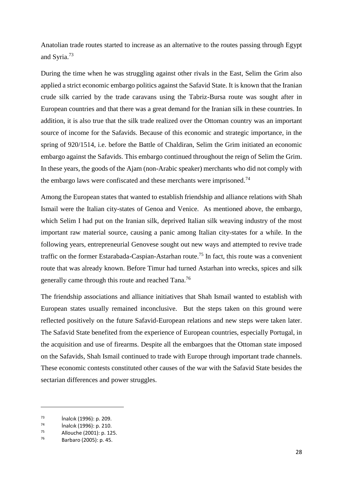Anatolian trade routes started to increase as an alternative to the routes passing through Egypt and Syria.<sup>73</sup>

During the time when he was struggling against other rivals in the East, Selim the Grim also applied a strict economic embargo politics against the Safavid State. It is known that the Iranian crude silk carried by the trade caravans using the Tabriz-Bursa route was sought after in European countries and that there was a great demand for the Iranian silk in these countries. In addition, it is also true that the silk trade realized over the Ottoman country was an important source of income for the Safavids. Because of this economic and strategic importance, in the spring of 920/1514, i.e. before the Battle of Chaldiran, Selim the Grim initiated an economic embargo against the Safavids. This embargo continued throughout the reign of Selim the Grim. In these years, the goods of the Ajam (non-Arabic speaker) merchants who did not comply with the embargo laws were confiscated and these merchants were imprisoned.<sup>74</sup>

Among the European states that wanted to establish friendship and alliance relations with Shah Ismail were the Italian city-states of Genoa and Venice. As mentioned above, the embargo, which Selim I had put on the Iranian silk, deprived Italian silk weaving industry of the most important raw material source, causing a panic among Italian city-states for a while. In the following years, entrepreneurial Genovese sought out new ways and attempted to revive trade traffic on the former Estarabada-Caspian-Astarhan route.<sup>75</sup> In fact, this route was a convenient route that was already known. Before Timur had turned Astarhan into wrecks, spices and silk generally came through this route and reached Tana.<sup>76</sup>

The friendship associations and alliance initiatives that Shah Ismail wanted to establish with European states usually remained inconclusive. But the steps taken on this ground were reflected positively on the future Safavid-European relations and new steps were taken later. The Safavid State benefited from the experience of European countries, especially Portugal, in the acquisition and use of firearms. Despite all the embargoes that the Ottoman state imposed on the Safavids, Shah Ismail continued to trade with Europe through important trade channels. These economic contests constituted other causes of the war with the Safavid State besides the sectarian differences and power struggles.

 $\frac{73}{74}$  inalcık (1996): p. 209.

<sup>74</sup> İnalcık (1996): p. 210.

<sup>75</sup> Allouche (2001): p. 125.

<sup>76</sup> Barbaro (2005): p. 45.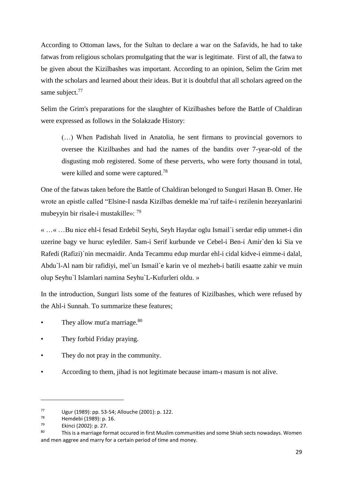According to Ottoman laws, for the Sultan to declare a war on the Safavids, he had to take fatwas from religious scholars promulgating that the war is legitimate. First of all, the fatwa to be given about the Kizilbashes was important. According to an opinion, Selim the Grim met with the scholars and learned about their ideas. But it is doubtful that all scholars agreed on the same subject.<sup>77</sup>

Selim the Grim's preparations for the slaughter of Kizilbashes before the Battle of Chaldiran were expressed as follows in the Solakzade History:

(…) When Padishah lived in Anatolia, he sent firmans to provincial governors to oversee the Kizilbashes and had the names of the bandits over 7-year-old of the disgusting mob registered. Some of these perverts, who were forty thousand in total, were killed and some were captured.<sup>78</sup>

One of the fatwas taken before the Battle of Chaldiran belonged to Sunguri Hasan B. Omer. He wrote an epistle called "Elsine-I nasda Kizilbas demekle ma`ruf taife-i rezilenin hezeyanlarini mubeyyin bir risale-i mustakille»: <sup>79</sup>

« …« …Bu nice ehl-i fesad Erdebil Seyhi, Seyh Haydar oglu Ismail`i serdar edip ummet-i din uzerine bagy ve huruc eylediler. Sam-i Serif kurbunde ve Cebel-i Ben-i Amir`den ki Sia ve Rafedi (Rafizi)`nin mecmaidir. Anda Tecammu edup murdar ehl-i cidal kidve-i eimme-i dalal, Abdu`l-Al nam bir rafidiyi, mel`un Ismail`e karin ve ol mezheb-i batili esaatte zahir ve muin olup Seyhu`l Islamlari namina Seyhu`L-Kufurleri oldu. »

In the introduction, Sunguri lists some of the features of Kizilbashes, which were refused by the Ahl-i Sunnah. To summarize these features;

- They allow mut'a marriage.<sup>80</sup>
- They forbid Friday praying.
- They do not pray in the community.
- According to them, jihad is not legitimate because imam-ı masum is not alive.

<sup>77</sup> Ugur (1989): pp. 53-54; Allouche (2001): p. 122.<br> $78$  Hemdebi (1989): p. 16

 $^{78}$  Hemdebi (1989): p. 16.<br> $^{79}$ 

<sup>79</sup> Ekinci (2002): p. 27.

<sup>80</sup> This is a marriage format occured in first Muslim communities and some Shiah sects nowadays. Women and men aggree and marry for a certain period of time and money.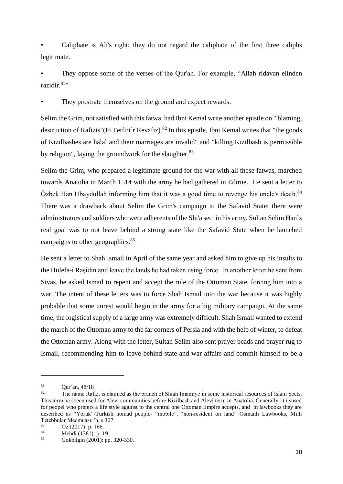• Caliphate is Ali's right; they do not regard the caliphate of the first three caliphs legitimate.

• They oppose some of the verses of the Qur'an. For example, "Allah ridavan elinden razidir.<sup>81</sup>"

They prostrate themselves on the ground and expect rewards.

Selim the Grim, not satisfied with this fatwa, had Ibni Kemal write another epistle on " blaming, destruction of Rafizis"(Fi Tetfiri`r Revafiz).<sup>82</sup> In this epistle, Ibni Kemal writes that "the goods of Kizilbashes are halal and their marriages are invalid" and "killing Kizilbash is permissible by religion", laying the groundwork for the slaughter.<sup>83</sup>

Selim the Grim, who prepared a legitimate ground for the war with all these fatwas, marched towards Anatolia in March 1514 with the army he had gathered in Edirne. He sent a letter to Özbek Han Ubaydullah informing him that it was a good time to revenge his uncle's death.<sup>84</sup> There was a drawback about Selim the Grim's campaign to the Safavid State: there were administrators and soldiers who were adherents of the Shi'a sect in his army. Sultan Selim Han`s real goal was to not leave behind a strong state like the Safavid State when he launched campaigns to other geographies.<sup>85</sup>

He sent a letter to Shah Ismail in April of the same year and asked him to give up his insults to the Hulefa-i Raşidin and leave the lands he had taken using force. In another letter he sent from Sivas, he asked Ismail to repent and accept the rule of the Ottoman State, forcing him into a war. The intent of these letters was to force Shah Ismail into the war because it was highly probable that some unrest would begin in the army for a big military campaign. At the same time, the logistical supply of a large army was extremely difficult. Shah Ismail wanted to extend the march of the Ottoman army to the far corners of Persia and with the help of winter, to defeat the Ottoman army. Along with the letter, Sultan Selim also sent prayer beads and prayer rug to Ismail, recommending him to leave behind state and war affairs and commit himself to be a

 $\frac{81}{82}$  Qur`an, 48/18

The name Rafiz, is claimed as the branch of Shiah Imamive in some historical resources of Islam Sects. This term ha sbeen used for Alevi communities before Kizilbash and Alevi term in Anatolia. Generally, it i sused for peopel who prefers a life style against to the central one Ottoman Empire accepts, and in lawbooks they are described as "Yoruk"-Turkish nomad people- "mobile", "non-resident on land" Osmanlı Lawbooks, Milli Tetebbular Mecmuası; 'h, s.307.<br> $\ddot{O} = (2017) \times 166$ 

<sup>&</sup>lt;sup>83</sup> Öz (2017): p. 166.<br><sup>84</sup> Mobdi (1381): p. 1

 $\frac{84}{85}$  Mehdi (1381): p. 19.

<sup>85</sup> Gokbilgin (2001): pp. 320-330.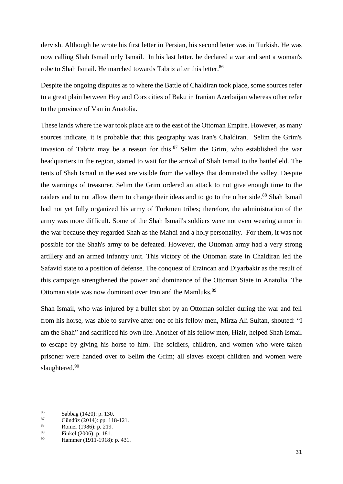dervish. Although he wrote his first letter in Persian, his second letter was in Turkish. He was now calling Shah Ismail only Ismail. In his last letter, he declared a war and sent a woman's robe to Shah Ismail. He marched towards Tabriz after this letter.<sup>86</sup>

Despite the ongoing disputes as to where the Battle of Chaldiran took place, some sources refer to a great plain between Hoy and Cors cities of Baku in Iranian Azerbaijan whereas other refer to the province of Van in Anatolia.

These lands where the war took place are to the east of the Ottoman Empire. However, as many sources indicate, it is probable that this geography was Iran's Chaldiran. Selim the Grim's invasion of Tabriz may be a reason for this. $87$  Selim the Grim, who established the war headquarters in the region, started to wait for the arrival of Shah Ismail to the battlefield. The tents of Shah Ismail in the east are visible from the valleys that dominated the valley. Despite the warnings of treasurer, Selim the Grim ordered an attack to not give enough time to the raiders and to not allow them to change their ideas and to go to the other side.<sup>88</sup> Shah Ismail had not yet fully organized his army of Turkmen tribes; therefore, the administration of the army was more difficult. Some of the Shah Ismail's soldiers were not even wearing armor in the war because they regarded Shah as the Mahdi and a holy personality. For them, it was not possible for the Shah's army to be defeated. However, the Ottoman army had a very strong artillery and an armed infantry unit. This victory of the Ottoman state in Chaldiran led the Safavid state to a position of defense. The conquest of Erzincan and Diyarbakir as the result of this campaign strengthened the power and dominance of the Ottoman State in Anatolia. The Ottoman state was now dominant over Iran and the Mamluks.<sup>89</sup>

Shah Ismail, who was injured by a bullet shot by an Ottoman soldier during the war and fell from his horse, was able to survive after one of his fellow men, Mirza Ali Sultan, shouted: "I am the Shah" and sacrificed his own life. Another of his fellow men, Hizir, helped Shah Ismail to escape by giving his horse to him. The soldiers, children, and women who were taken prisoner were handed over to Selim the Grim; all slaves except children and women were slaughtered.<sup>90</sup>

 $\frac{86}{87}$  Sabbag (1420): p. 130.<br>
Gündüz (2014): pp. 119

<sup>&</sup>lt;sup>87</sup> Gündüz (2014): pp. 118-121.<br><sup>88</sup> Pemer (1986): p. 219.

<sup>88</sup> Romer (1986): p. 219.<br>  $\frac{89}{2}$  Einhal (2006): p. 181.

 $^{89}$  Finkel (2006): p. 181.

Hammer (1911-1918): p. 431.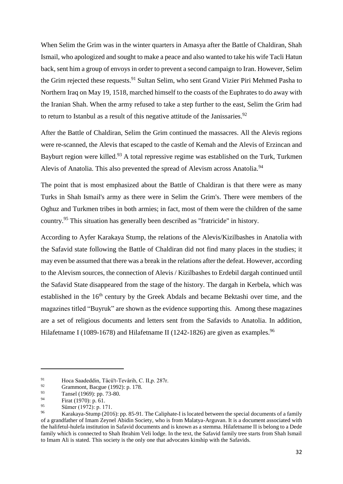When Selim the Grim was in the winter quarters in Amasya after the Battle of Chaldiran, Shah Ismail, who apologized and sought to make a peace and also wanted to take his wife Tacli Hatun back, sent him a group of envoys in order to prevent a second campaign to Iran. However, Selim the Grim rejected these requests.<sup>91</sup> Sultan Selim, who sent Grand Vizier Piri Mehmed Pasha to Northern Iraq on May 19, 1518, marched himself to the coasts of the Euphrates to do away with the Iranian Shah. When the army refused to take a step further to the east, Selim the Grim had to return to Istanbul as a result of this negative attitude of the Janissaries.<sup>92</sup>

After the Battle of Chaldiran, Selim the Grim continued the massacres. All the Alevis regions were re-scanned, the Alevis that escaped to the castle of Kemah and the Alevis of Erzincan and Bayburt region were killed.<sup>93</sup> A total repressive regime was established on the Turk, Turkmen Alevis of Anatolia. This also prevented the spread of Alevism across Anatolia.<sup>94</sup>

The point that is most emphasized about the Battle of Chaldiran is that there were as many Turks in Shah Ismail's army as there were in Selim the Grim's. There were members of the Oghuz and Turkmen tribes in both armies; in fact, most of them were the children of the same country.<sup>95</sup> This situation has generally been described as "fratricide" in history.

According to Ayfer Karakaya Stump, the relations of the Alevis/Kizilbashes in Anatolia with the Safavid state following the Battle of Chaldiran did not find many places in the studies; it may even be assumed that there was a break in the relations after the defeat. However, according to the Alevism sources, the connection of Alevis / Kizilbashes to Erdebil dargah continued until the Safavid State disappeared from the stage of the history. The dargah in Kerbela, which was established in the  $16<sup>th</sup>$  century by the Greek Abdals and became Bektashi over time, and the magazines titled "Buyruk" are shown as the evidence supporting this. Among these magazines are a set of religious documents and letters sent from the Safavids to Anatolia. In addition, Hilafetname I (1089-1678) and Hilafetname II (1242-1826) are given as examples.<sup>96</sup>

<sup>91</sup> Hoca Saadeddin, Tâcü't-Tevârih, C. II,p. 287r.

<sup>92</sup> Grammont, Bacgue (1992): p. 178.<br>
Toneal (1060): p. 72.80

<sup>&</sup>lt;sup>93</sup> Tansel (1969): pp. 73-80.<br>
First (1970): p. 61

<sup>&</sup>lt;sup>94</sup> Firat (1970): p. 61.<br><sup>95</sup> Sime (1972): p. 17

<sup>&</sup>lt;sup>95</sup> Sümer (1972): p. 171.

Karakaya-Stump (2016): pp. 85-91. The Caliphate-I is located between the special documents of a family of a grandfather of Imam Zeynel Abidin Society, who is from Malatya-Arguvan. It is a document associated with the halifetul-hulefa institution in Safavid documents and is known as a stemma. Hilafetname II is belong to a Dede family which is connected to Shah Ibrahim Veli lodge. In the text, the Safavid family tree starts from Shah Ismail to Imam Ali is stated. This society is the only one that advocates kinship with the Safavids.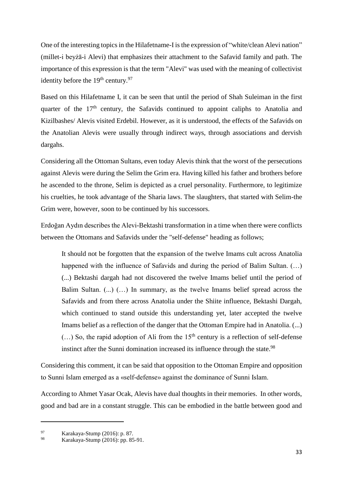One of the interesting topics in the Hilafetname-I is the expression of "white/clean Alevi nation" (millet-i beyżā-i Alevi) that emphasizes their attachment to the Safavid family and path. The importance of this expression is that the term "Alevi" was used with the meaning of collectivist identity before the  $19<sup>th</sup>$  century.<sup>97</sup>

Based on this Hilafetname I, it can be seen that until the period of Shah Suleiman in the first quarter of the  $17<sup>th</sup>$  century, the Safavids continued to appoint caliphs to Anatolia and Kizilbashes/ Alevis visited Erdebil. However, as it is understood, the effects of the Safavids on the Anatolian Alevis were usually through indirect ways, through associations and dervish dargahs.

Considering all the Ottoman Sultans, even today Alevis think that the worst of the persecutions against Alevis were during the Selim the Grim era. Having killed his father and brothers before he ascended to the throne, Selim is depicted as a cruel personality. Furthermore, to legitimize his cruelties, he took advantage of the Sharia laws. The slaughters, that started with Selim-the Grim were, however, soon to be continued by his successors.

Erdoğan Aydın describes the Alevi-Bektashi transformation in a time when there were conflicts between the Ottomans and Safavids under the "self-defense" heading as follows;

It should not be forgotten that the expansion of the twelve Imams cult across Anatolia happened with the influence of Safavids and during the period of Balim Sultan.  $(...)$ (...) Bektashi dargah had not discovered the twelve Imams belief until the period of Balim Sultan. (...) (…) In summary, as the twelve Imams belief spread across the Safavids and from there across Anatolia under the Shiite influence, Bektashi Dargah, which continued to stand outside this understanding yet, later accepted the twelve Imams belief as a reflection of the danger that the Ottoman Empire had in Anatolia. (...)  $(...)$  So, the rapid adoption of Ali from the 15<sup>th</sup> century is a reflection of self-defense instinct after the Sunni domination increased its influence through the state.<sup>98</sup>

Considering this comment, it can be said that opposition to the Ottoman Empire and opposition to Sunni Islam emerged as a «self-defense» against the dominance of Sunni Islam.

According to Ahmet Yasar Ocak, Alevis have dual thoughts in their memories. In other words, good and bad are in a constant struggle. This can be embodied in the battle between good and

<sup>97</sup> Karakaya-Stump (2016): p. 87.

Karakaya-Stump (2016): pp. 85-91.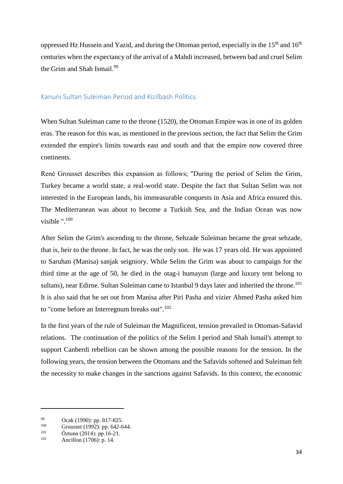oppressed Hz Hussein and Yazid, and during the Ottoman period, especially in the  $15<sup>th</sup>$  and  $16<sup>th</sup>$ centuries when the expectancy of the arrival of a Mahdi increased, between bad and cruel Selim the Grim and Shah Ismail.<sup>99</sup>

## Kanuni Sultan Suleiman Period and Kizilbash Politics

When Sultan Suleiman came to the throne (1520), the Ottoman Empire was in one of its golden eras. The reason for this was, as mentioned in the previous section, the fact that Selim the Grim extended the empire's limits towards east and south and that the empire now covered three continents.

René Grousset describes this expansion as follows; "During the period of Selim the Grim, Turkey became a world state, a real-world state. Despite the fact that Sultan Selim was not interested in the European lands, his immeasurable conquests in Asia and Africa ensured this. The Mediterranean was about to become a Turkish Sea, and the Indian Ocean was now visible ".<sup>100</sup>

After Selim the Grim's ascending to the throne, Sehzade Suleiman became the great sehzade, that is, heir to the throne. In fact, he was the only son. He was 17 years old. He was appointed to Saruhan (Manisa) sanjak seigniory. While Selim the Grim was about to campaign for the third time at the age of 50, he died in the otag-i humayun (large and luxury tent belong to sultans), near Edirne. Sultan Suleiman came to Istanbul 9 days later and inherited the throne.<sup>101</sup> It is also said that he set out from Manisa after Piri Pasha and vizier Ahmed Pasha asked him to "come before an Interregnum breaks out".<sup>102</sup>

In the first years of the rule of Suleiman the Magnificent, tension prevailed in Ottoman-Safavid relations. The continuation of the politics of the Selim I period and Shah Ismail's attempt to support Canberdi rebellion can be shown among the possible reasons for the tension. In the following years, the tension between the Ottomans and the Safavids softened and Suleiman felt the necessity to make changes in the sanctions against Safavids. In this context, the economic

<sup>99</sup> Ocak (1990): pp. 817-825.

<sup>&</sup>lt;sup>100</sup> Grousset (1992): pp. 642-644.

<sup>&</sup>lt;sup>101</sup> Öztuna (2014): pp.16-21.<br><sup>102</sup> Apaillan (1706): p. 14.

Ancillon (1706): p. 14.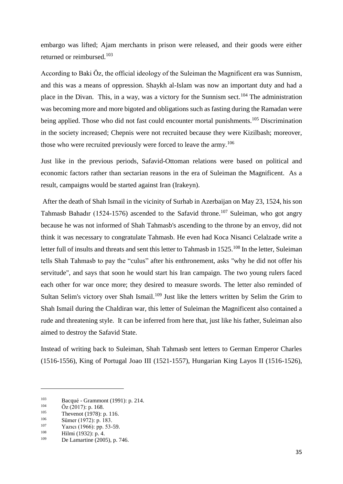embargo was lifted; Ajam merchants in prison were released, and their goods were either returned or reimbursed.<sup>103</sup>

According to Baki Öz, the official ideology of the Suleiman the Magnificent era was Sunnism, and this was a means of oppression. Shaykh al-Islam was now an important duty and had a place in the Divan. This, in a way, was a victory for the Sunnism sect.<sup>104</sup> The administration was becoming more and more bigoted and obligations such as fasting during the Ramadan were being applied. Those who did not fast could encounter mortal punishments.<sup>105</sup> Discrimination in the society increased; Chepnis were not recruited because they were Kizilbash; moreover, those who were recruited previously were forced to leave the army.<sup>106</sup>

Just like in the previous periods, Safavid-Ottoman relations were based on political and economic factors rather than sectarian reasons in the era of Suleiman the Magnificent. As a result, campaigns would be started against Iran (Irakeyn).

After the death of Shah Ismail in the vicinity of Surhab in Azerbaijan on May 23, 1524, his son Tahmasb Bahadır (1524-1576) ascended to the Safavid throne.<sup>107</sup> Suleiman, who got angry because he was not informed of Shah Tahmasb's ascending to the throne by an envoy, did not think it was necessary to congratulate Tahmasb. He even had Koca Nisanci Celalzade write a letter full of insults and threats and sent this letter to Tahmasb in 1525.<sup>108</sup> In the letter, Suleiman tells Shah Tahmasb to pay the "culus" after his enthronement, asks "why he did not offer his servitude", and says that soon he would start his Iran campaign. The two young rulers faced each other for war once more; they desired to measure swords. The letter also reminded of Sultan Selim's victory over Shah Ismail.<sup>109</sup> Just like the letters written by Selim the Grim to Shah Ismail during the Chaldiran war, this letter of Suleiman the Magnificent also contained a rude and threatening style. It can be inferred from here that, just like his father, Suleiman also aimed to destroy the Safavid State.

Instead of writing back to Suleiman, Shah Tahmasb sent letters to German Emperor Charles (1516-1556), King of Portugal Joao III (1521-1557), Hungarian King Layos II (1516-1526),

<sup>&</sup>lt;sup>103</sup> Bacqué - Grammont (1991): p. 214.

 $^{104}$   $\frac{\text{Oz (2017): p. 168.}}{\text{Thown of (1078): p.}}$ 

<sup>&</sup>lt;sup>105</sup> Thevenot (1978): p. 116.<br>
Sümer (1972): p. 183

 $\frac{106}{107}$  Sümer (1972): p. 183.

 $\frac{107}{108}$  Yazıcı (1966): pp. 53-59.

 $108$  Hilmi (1932): p. 4. De Lamartine (2005), p. 746.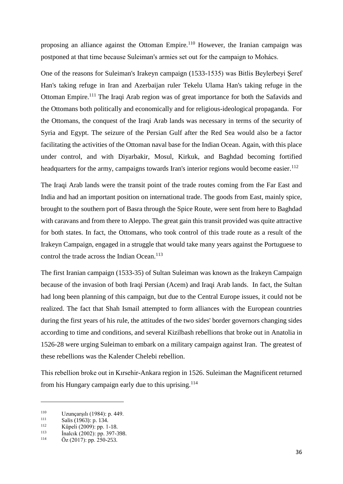proposing an alliance against the Ottoman Empire.<sup>110</sup> However, the Iranian campaign was postponed at that time because Suleiman's armies set out for the campaign to Mohács.

One of the reasons for Suleiman's Irakeyn campaign (1533-1535) was Bitlis Beylerbeyi Şeref Han's taking refuge in Iran and Azerbaijan ruler Tekelu Ulama Han's taking refuge in the Ottoman Empire.<sup>111</sup> The Iraqi Arab region was of great importance for both the Safavids and the Ottomans both politically and economically and for religious-ideological propaganda. For the Ottomans, the conquest of the Iraqi Arab lands was necessary in terms of the security of Syria and Egypt. The seizure of the Persian Gulf after the Red Sea would also be a factor facilitating the activities of the Ottoman naval base for the Indian Ocean. Again, with this place under control, and with Diyarbakir, Mosul, Kirkuk, and Baghdad becoming fortified headquarters for the army, campaigns towards Iran's interior regions would become easier.<sup>112</sup>

The Iraqi Arab lands were the transit point of the trade routes coming from the Far East and India and had an important position on international trade. The goods from East, mainly spice, brought to the southern port of Basra through the Spice Route, were sent from here to Baghdad with caravans and from there to Aleppo. The great gain this transit provided was quite attractive for both states. In fact, the Ottomans, who took control of this trade route as a result of the Irakeyn Campaign, engaged in a struggle that would take many years against the Portuguese to control the trade across the Indian Ocean.<sup>113</sup>

The first Iranian campaign (1533-35) of Sultan Suleiman was known as the Irakeyn Campaign because of the invasion of both Iraqi Persian (Acem) and Iraqi Arab lands. In fact, the Sultan had long been planning of this campaign, but due to the Central Europe issues, it could not be realized. The fact that Shah Ismail attempted to form alliances with the European countries during the first years of his rule, the attitudes of the two sides' border governors changing sides according to time and conditions, and several Kizilbash rebellions that broke out in Anatolia in 1526-28 were urging Suleiman to embark on a military campaign against Iran. The greatest of these rebellions was the Kalender Chelebi rebellion.

This rebellion broke out in Kırsehir-Ankara region in 1526. Suleiman the Magnificent returned from his Hungary campaign early due to this uprising.<sup>114</sup>

<sup>&</sup>lt;sup>110</sup> Uzunçarşılı (1984): p. 449.

 $\frac{111}{112}$  Salis (1963): p. 134.<br>
Vinali (2000): pp. 1.

<sup>&</sup>lt;sup>112</sup> Küpeli (2009): pp. 1-18.<br><sup>113</sup> **inalgk** (2002): pp. 397.3

 $\frac{113}{114}$  **inalcik** (2002): pp. 397-398.

 $Oz$  (2017): pp. 250-253.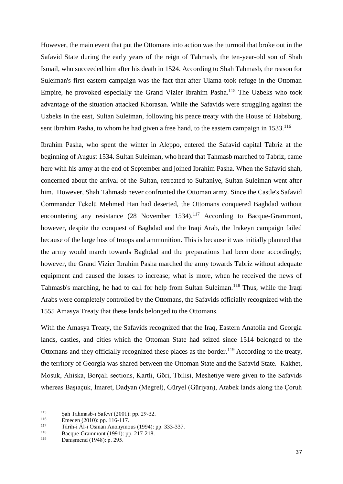However, the main event that put the Ottomans into action was the turmoil that broke out in the Safavid State during the early years of the reign of Tahmasb, the ten-year-old son of Shah Ismail, who succeeded him after his death in 1524. According to Shah Tahmasb, the reason for Suleiman's first eastern campaign was the fact that after Ulama took refuge in the Ottoman Empire, he provoked especially the Grand Vizier Ibrahim Pasha.<sup>115</sup> The Uzbeks who took advantage of the situation attacked Khorasan. While the Safavids were struggling against the Uzbeks in the east, Sultan Suleiman, following his peace treaty with the House of Habsburg, sent Ibrahim Pasha, to whom he had given a free hand, to the eastern campaign in 1533.<sup>116</sup>

Ibrahim Pasha, who spent the winter in Aleppo, entered the Safavid capital Tabriz at the beginning of August 1534. Sultan Suleiman, who heard that Tahmasb marched to Tabriz, came here with his army at the end of September and joined Ibrahim Pasha. When the Safavid shah, concerned about the arrival of the Sultan, retreated to Sultaniye, Sultan Suleiman went after him. However, Shah Tahmasb never confronted the Ottoman army. Since the Castle's Safavid Commander Tekelü Mehmed Han had deserted, the Ottomans conquered Baghdad without encountering any resistance  $(28 \text{ November } 1534)$ .<sup>117</sup> According to Bacque-Grammont, however, despite the conquest of Baghdad and the Iraqi Arab, the Irakeyn campaign failed because of the large loss of troops and ammunition. This is because it was initially planned that the army would march towards Baghdad and the preparations had been done accordingly; however, the Grand Vizier Ibrahim Pasha marched the army towards Tabriz without adequate equipment and caused the losses to increase; what is more, when he received the news of Tahmasb's marching, he had to call for help from Sultan Suleiman.<sup>118</sup> Thus, while the Iraqi Arabs were completely controlled by the Ottomans, the Safavids officially recognized with the 1555 Amasya Treaty that these lands belonged to the Ottomans.

With the Amasya Treaty, the Safavids recognized that the Iraq, Eastern Anatolia and Georgia lands, castles, and cities which the Ottoman State had seized since 1514 belonged to the Ottomans and they officially recognized these places as the border.<sup>119</sup> According to the treaty, the territory of Georgia was shared between the Ottoman State and the Safavid State. Kakhet, Mosuk, Ahiska, Borçalı sections, Kartli, Göri, Tbilisi, Meshetiye were given to the Safavids whereas Başıaçuk, İmaret, Dadyan (Megrel), Güryel (Güriyan), Atabek lands along the Çoruh

<sup>&</sup>lt;sup>115</sup> Şah Tahmasb-ı Safevî (2001): pp. 29-32.<br><sup>116</sup> Emecen (2010): pp. 116-117

<sup>116</sup> Emecen (2010): pp. 116-117.<br>117 Târîh i Âl i Osman Anonymo

<sup>117</sup> Târîh-i Âl-i Osman Anonymous (1994): pp. 333-337.<br>118 Receve Grammont (1991): pp. 217-218.

<sup>&</sup>lt;sup>118</sup> Bacque-Grammont (1991): pp. 217-218.

Danişmend (1948): p. 295.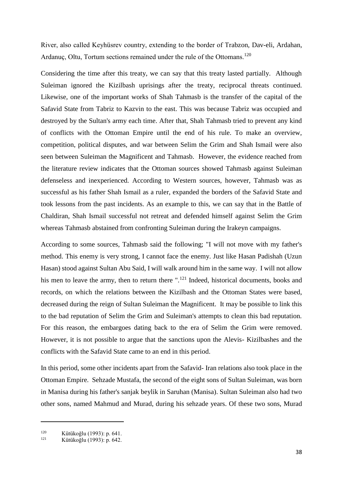River, also called Keyhüsrev country, extending to the border of Trabzon, Dav-eli, Ardahan, Ardanuc, Oltu, Tortum sections remained under the rule of the Ottomans.<sup>120</sup>

Considering the time after this treaty, we can say that this treaty lasted partially. Although Suleiman ignored the Kizilbash uprisings after the treaty, reciprocal threats continued. Likewise, one of the important works of Shah Tahmasb is the transfer of the capital of the Safavid State from Tabriz to Kazvin to the east. This was because Tabriz was occupied and destroyed by the Sultan's army each time. After that, Shah Tahmasb tried to prevent any kind of conflicts with the Ottoman Empire until the end of his rule. To make an overview, competition, political disputes, and war between Selim the Grim and Shah Ismail were also seen between Suleiman the Magnificent and Tahmasb. However, the evidence reached from the literature review indicates that the Ottoman sources showed Tahmasb against Suleiman defenseless and inexperienced. According to Western sources, however, Tahmasb was as successful as his father Shah Ismail as a ruler, expanded the borders of the Safavid State and took lessons from the past incidents. As an example to this, we can say that in the Battle of Chaldiran, Shah Ismail successful not retreat and defended himself against Selim the Grim whereas Tahmasb abstained from confronting Suleiman during the Irakeyn campaigns.

According to some sources, Tahmasb said the following; "I will not move with my father's method. This enemy is very strong, I cannot face the enemy. Just like Hasan Padishah (Uzun Hasan) stood against Sultan Abu Said, I will walk around him in the same way. I will not allow his men to leave the army, then to return there " $^{121}$  Indeed, historical documents, books and records, on which the relations between the Kizilbash and the Ottoman States were based, decreased during the reign of Sultan Suleiman the Magnificent. It may be possible to link this to the bad reputation of Selim the Grim and Suleiman's attempts to clean this bad reputation. For this reason, the embargoes dating back to the era of Selim the Grim were removed. However, it is not possible to argue that the sanctions upon the Alevis- Kizilbashes and the conflicts with the Safavid State came to an end in this period.

In this period, some other incidents apart from the Safavid- Iran relations also took place in the Ottoman Empire. Sehzade Mustafa, the second of the eight sons of Sultan Suleiman, was born in Manisa during his father's sanjak beylik in Saruhan (Manisa). Sultan Suleiman also had two other sons, named Mahmud and Murad, during his sehzade years. Of these two sons, Murad

<sup>&</sup>lt;sup>120</sup> Kütükoğlu (1993): p. 641.<br><sup>121</sup> Kütükoğlu (1993): p. 642.

Kütükoğlu (1993): p. 642.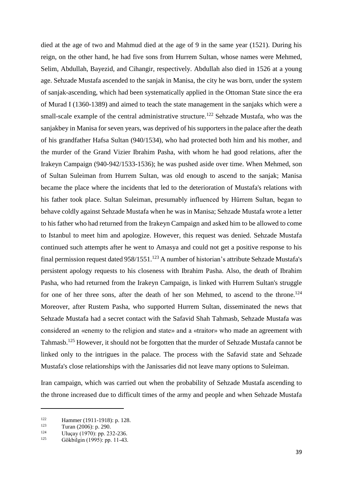died at the age of two and Mahmud died at the age of 9 in the same year (1521). During his reign, on the other hand, he had five sons from Hurrem Sultan, whose names were Mehmed, Selim, Abdullah, Bayezid, and Cihangir, respectively. Abdullah also died in 1526 at a young age. Sehzade Mustafa ascended to the sanjak in Manisa, the city he was born, under the system of sanjak-ascending, which had been systematically applied in the Ottoman State since the era of Murad I (1360-1389) and aimed to teach the state management in the sanjaks which were a small-scale example of the central administrative structure.<sup>122</sup> Sehzade Mustafa, who was the sanjakbey in Manisa for seven years, was deprived of his supporters in the palace after the death of his grandfather Hafsa Sultan (940/1534), who had protected both him and his mother, and the murder of the Grand Vizier Ibrahim Pasha, with whom he had good relations, after the Irakeyn Campaign (940-942/1533-1536); he was pushed aside over time. When Mehmed, son of Sultan Suleiman from Hurrem Sultan, was old enough to ascend to the sanjak; Manisa became the place where the incidents that led to the deterioration of Mustafa's relations with his father took place. Sultan Suleiman, presumably influenced by Hürrem Sultan, began to behave coldly against Sehzade Mustafa when he was in Manisa; Sehzade Mustafa wrote a letter to his father who had returned from the Irakeyn Campaign and asked him to be allowed to come to Istanbul to meet him and apologize. However, this request was denied. Sehzade Mustafa continued such attempts after he went to Amasya and could not get a positive response to his final permission request dated 958/1551.<sup>123</sup> A number of historian's attribute Sehzade Mustafa's persistent apology requests to his closeness with Ibrahim Pasha. Also, the death of Ibrahim Pasha, who had returned from the Irakeyn Campaign, is linked with Hurrem Sultan's struggle for one of her three sons, after the death of her son Mehmed, to ascend to the throne.<sup>124</sup> Moreover, after Rustem Pasha, who supported Hurrem Sultan, disseminated the news that Sehzade Mustafa had a secret contact with the Safavid Shah Tahmasb, Sehzade Mustafa was considered an «enemy to the religion and state» and a «traitor» who made an agreement with Tahmasb.<sup>125</sup> However, it should not be forgotten that the murder of Sehzade Mustafa cannot be linked only to the intrigues in the palace. The process with the Safavid state and Sehzade Mustafa's close relationships with the Janissaries did not leave many options to Suleiman.

Iran campaign, which was carried out when the probability of Sehzade Mustafa ascending to the throne increased due to difficult times of the army and people and when Sehzade Mustafa

<sup>122</sup> Hammer (1911-1918): p. 128.

 $\frac{123}{124}$  Turan (2006): p. 290.

<sup>&</sup>lt;sup>124</sup> Uluçay (1970): pp. 232-236.<br><sup>125</sup> Cälikiloja (1005): pp. 11.42

Gökbilgin (1995): pp. 11-43.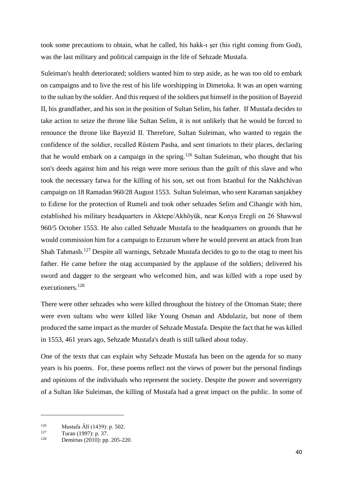took some precautions to obtain, what he called, his hakk-ı şer (his right coming from God), was the last military and political campaign in the life of Sehzade Mustafa.

Suleiman's health deteriorated; soldiers wanted him to step aside, as he was too old to embark on campaigns and to live the rest of his life worshipping in Dimetoka. It was an open warning to the sultan by the soldier. And this request of the soldiers put himself in the position of Bayezid II, his grandfather, and his son in the position of Sultan Selim, his father. If Mustafa decides to take action to seize the throne like Sultan Selim, it is not unlikely that he would be forced to renounce the throne like Bayezid II. Therefore, Sultan Suleiman, who wanted to regain the confidence of the soldier, recalled Rüstem Pasha, and sent timariots to their places, declaring that he would embark on a campaign in the spring.<sup>126</sup> Sultan Suleiman, who thought that his son's deeds against him and his reign were more serious than the guilt of this slave and who took the necessary fatwa for the killing of his son, set out from Istanbul for the Nakhchivan campaign on 18 Ramadan 960/28 August 1553. Sultan Suleiman, who sent Karaman sanjakbey to Edirne for the protection of Rumeli and took other sehzades Selim and Cihangir with him, established his military headquarters in Aktepe/Akhöyük, near Konya Eregli on 26 Shawwal 960/5 October 1553. He also called Sehzade Mustafa to the headquarters on grounds that he would commission him for a campaign to Erzurum where he would prevent an attack from Iran Shah Tahmasb.<sup>127</sup> Despite all warnings, Sehzade Mustafa decides to go to the otag to meet his father. He came before the otag accompanied by the applause of the soldiers; delivered his sword and dagger to the sergeant who welcomed him, and was killed with a rope used by executioners.<sup>128</sup>

There were other sehzades who were killed throughout the history of the Ottoman State; there were even sultans who were killed like Young Osman and Abdulaziz, but none of them produced the same impact as the murder of Sehzade Mustafa. Despite the fact that he was killed in 1553, 461 years ago, Sehzade Mustafa's death is still talked about today.

One of the texts that can explain why Sehzade Mustafa has been on the agenda for so many years is his poems. For, these poems reflect not the views of power but the personal findings and opinions of the individuals who represent the society. Despite the power and sovereignty of a Sultan like Suleiman, the killing of Mustafa had a great impact on the public. In some of

<sup>&</sup>lt;sup>126</sup> Mustafa Âlî (1439): p. 502.<br><sup>127</sup> Turan (1997): p. 37

 $127$  Turan (1997): p. 37.<br>128 Demirtes (2010): p.

Demirtas (2010): pp. 205-220.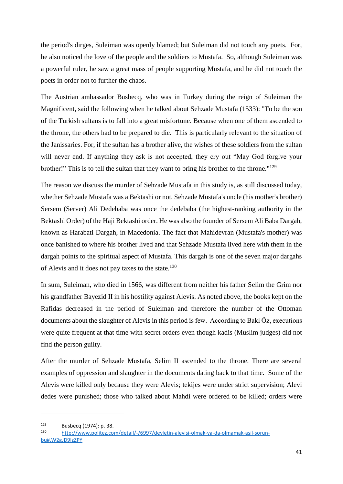the period's dirges, Suleiman was openly blamed; but Suleiman did not touch any poets. For, he also noticed the love of the people and the soldiers to Mustafa. So, although Suleiman was a powerful ruler, he saw a great mass of people supporting Mustafa, and he did not touch the poets in order not to further the chaos.

The Austrian ambassador Busbecq, who was in Turkey during the reign of Suleiman the Magnificent, said the following when he talked about Sehzade Mustafa (1533): "To be the son of the Turkish sultans is to fall into a great misfortune. Because when one of them ascended to the throne, the others had to be prepared to die. This is particularly relevant to the situation of the Janissaries. For, if the sultan has a brother alive, the wishes of these soldiers from the sultan will never end. If anything they ask is not accepted, they cry out "May God forgive your brother!" This is to tell the sultan that they want to bring his brother to the throne."<sup>129</sup>

The reason we discuss the murder of Sehzade Mustafa in this study is, as still discussed today, whether Sehzade Mustafa was a Bektashi or not. Sehzade Mustafa's uncle (his mother's brother) Sersem (Server) Ali Dedebaba was once the dedebaba (the highest-ranking authority in the Bektashi Order) of the Haji Bektashi order. He was also the founder of Sersem Ali Baba Dargah, known as Harabati Dargah, in Macedonia. The fact that Mahidevran (Mustafa's mother) was once banished to where his brother lived and that Sehzade Mustafa lived here with them in the dargah points to the spiritual aspect of Mustafa. This dargah is one of the seven major dargahs of Alevis and it does not pay taxes to the state.<sup>130</sup>

In sum, Suleiman, who died in 1566, was different from neither his father Selim the Grim nor his grandfather Bayezid II in his hostility against Alevis. As noted above, the books kept on the Rafidas decreased in the period of Suleiman and therefore the number of the Ottoman documents about the slaughter of Alevis in this period is few. According to Baki Öz, executions were quite frequent at that time with secret orders even though kadis (Muslim judges) did not find the person guilty.

After the murder of Sehzade Mustafa, Selim II ascended to the throne. There are several examples of oppression and slaughter in the documents dating back to that time. Some of the Alevis were killed only because they were Alevis; tekijes were under strict supervision; Alevi dedes were punished; those who talked about Mahdi were ordered to be killed; orders were

 $129$  Busbecq (1974): p. 38.

<sup>130</sup> [http://www.politez.com/detail/-/6997/devletin-alevisi-olmak-ya-da-olmamak-asil-sorun](http://www.politez.com/detail/-/6997/devletin-alevisi-olmak-ya-da-olmamak-asil-sorun-bu#.W2gJD9IzZPY)[bu#.W2gJD9IzZPY](http://www.politez.com/detail/-/6997/devletin-alevisi-olmak-ya-da-olmamak-asil-sorun-bu#.W2gJD9IzZPY)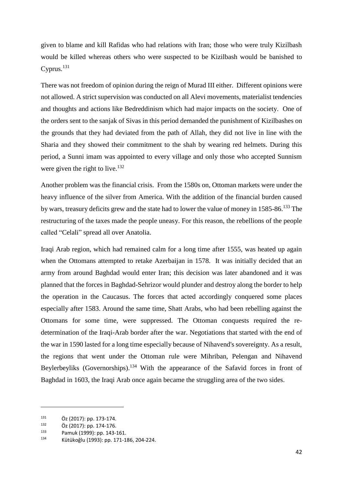given to blame and kill Rafidas who had relations with Iran; those who were truly Kizilbash would be killed whereas others who were suspected to be Kizilbash would be banished to Cyprus.<sup>131</sup>

There was not freedom of opinion during the reign of Murad III either. Different opinions were not allowed. A strict supervision was conducted on all Alevi movements, materialist tendencies and thoughts and actions like Bedreddinism which had major impacts on the society. One of the orders sent to the sanjak of Sivas in this period demanded the punishment of Kizilbashes on the grounds that they had deviated from the path of Allah, they did not live in line with the Sharia and they showed their commitment to the shah by wearing red helmets. During this period, a Sunni imam was appointed to every village and only those who accepted Sunnism were given the right to live.<sup>132</sup>

Another problem was the financial crisis. From the 1580s on, Ottoman markets were under the heavy influence of the silver from America. With the addition of the financial burden caused by wars, treasury deficits grew and the state had to lower the value of money in 1585-86.<sup>133</sup> The restructuring of the taxes made the people uneasy. For this reason, the rebellions of the people called "Celali" spread all over Anatolia.

Iraqi Arab region, which had remained calm for a long time after 1555, was heated up again when the Ottomans attempted to retake Azerbaijan in 1578. It was initially decided that an army from around Baghdad would enter Iran; this decision was later abandoned and it was planned that the forces in Baghdad-Sehrizor would plunder and destroy along the border to help the operation in the Caucasus. The forces that acted accordingly conquered some places especially after 1583. Around the same time, Shatt Arabs, who had been rebelling against the Ottomans for some time, were suppressed. The Ottoman conquests required the redetermination of the Iraqi-Arab border after the war. Negotiations that started with the end of the war in 1590 lasted for a long time especially because of Nihavend's sovereignty. As a result, the regions that went under the Ottoman rule were Mihriban, Pelengan and Nihavend Beylerbeyliks (Governorships).<sup>134</sup> With the appearance of the Safavid forces in front of Baghdad in 1603, the Iraqi Arab once again became the struggling area of the two sides.

 $131$  Öz (2017): pp. 173-174.

 $^{132}$  Öz (2017): pp. 174-176.

<sup>&</sup>lt;sup>133</sup> Pamuk (1999): pp. 143-161.<br><sup>134</sup> Kütüle žku (1993): pp. 171.1.

<sup>134</sup> Kütükoğlu (1993): pp. 171-186, 204-224.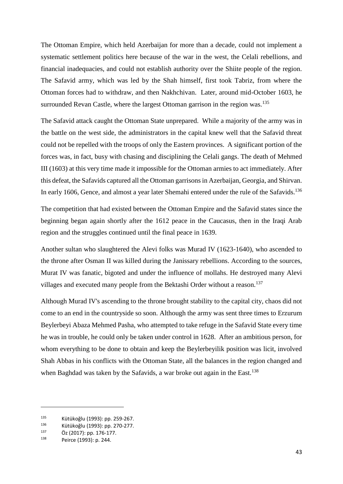The Ottoman Empire, which held Azerbaijan for more than a decade, could not implement a systematic settlement politics here because of the war in the west, the Celali rebellions, and financial inadequacies, and could not establish authority over the Shiite people of the region. The Safavid army, which was led by the Shah himself, first took Tabriz, from where the Ottoman forces had to withdraw, and then Nakhchivan. Later, around mid-October 1603, he surrounded Revan Castle, where the largest Ottoman garrison in the region was.<sup>135</sup>

The Safavid attack caught the Ottoman State unprepared. While a majority of the army was in the battle on the west side, the administrators in the capital knew well that the Safavid threat could not be repelled with the troops of only the Eastern provinces. A significant portion of the forces was, in fact, busy with chasing and disciplining the Celali gangs. The death of Mehmed III (1603) at this very time made it impossible for the Ottoman armies to act immediately. After this defeat, the Safavids captured all the Ottoman garrisons in Azerbaijan, Georgia, and Shirvan. In early 1606, Gence, and almost a year later Shemahi entered under the rule of the Safavids.<sup>136</sup>

The competition that had existed between the Ottoman Empire and the Safavid states since the beginning began again shortly after the 1612 peace in the Caucasus, then in the Iraqi Arab region and the struggles continued until the final peace in 1639.

Another sultan who slaughtered the Alevi folks was Murad IV (1623-1640), who ascended to the throne after Osman II was killed during the Janissary rebellions. According to the sources, Murat IV was fanatic, bigoted and under the influence of mollahs. He destroyed many Alevi villages and executed many people from the Bektashi Order without a reason.<sup>137</sup>

Although Murad IV's ascending to the throne brought stability to the capital city, chaos did not come to an end in the countryside so soon. Although the army was sent three times to Erzurum Beylerbeyi Abaza Mehmed Pasha, who attempted to take refuge in the Safavid State every time he was in trouble, he could only be taken under control in 1628. After an ambitious person, for whom everything to be done to obtain and keep the Beylerbeyilik position was licit, involved Shah Abbas in his conflicts with the Ottoman State, all the balances in the region changed and when Baghdad was taken by the Safavids, a war broke out again in the East.<sup>138</sup>

<sup>135</sup> Kütükoğlu (1993): pp. 259-267.<br>136 Kütükoğlu (1993): pp. 279-277.

<sup>&</sup>lt;sup>136</sup> Kütükoğlu (1993): pp. 270-277.<br><sup>137</sup> Öz. (2017): pp. 176-177.

 $^{137}$  Öz (2017): pp. 176-177.

Peirce (1993): p. 244.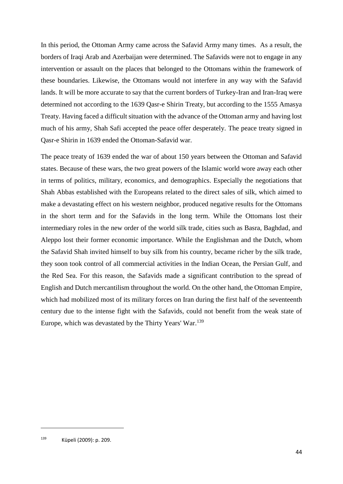In this period, the Ottoman Army came across the Safavid Army many times. As a result, the borders of Iraqi Arab and Azerbaijan were determined. The Safavids were not to engage in any intervention or assault on the places that belonged to the Ottomans within the framework of these boundaries. Likewise, the Ottomans would not interfere in any way with the Safavid lands. It will be more accurate to say that the current borders of Turkey-Iran and Iran-Iraq were determined not according to the 1639 Qasr-e Shirin Treaty, but according to the 1555 Amasya Treaty. Having faced a difficult situation with the advance of the Ottoman army and having lost much of his army, Shah Safi accepted the peace offer desperately. The peace treaty signed in Qasr-e Shirin in 1639 ended the Ottoman-Safavid war.

The peace treaty of 1639 ended the war of about 150 years between the Ottoman and Safavid states. Because of these wars, the two great powers of the Islamic world wore away each other in terms of politics, military, economics, and demographics. Especially the negotiations that Shah Abbas established with the Europeans related to the direct sales of silk, which aimed to make a devastating effect on his western neighbor, produced negative results for the Ottomans in the short term and for the Safavids in the long term. While the Ottomans lost their intermediary roles in the new order of the world silk trade, cities such as Basra, Baghdad, and Aleppo lost their former economic importance. While the Englishman and the Dutch, whom the Safavid Shah invited himself to buy silk from his country, became richer by the silk trade, they soon took control of all commercial activities in the Indian Ocean, the Persian Gulf, and the Red Sea. For this reason, the Safavids made a significant contribution to the spread of English and Dutch mercantilism throughout the world. On the other hand, the Ottoman Empire, which had mobilized most of its military forces on Iran during the first half of the seventeenth century due to the intense fight with the Safavids, could not benefit from the weak state of Europe, which was devastated by the Thirty Years' War.<sup>139</sup>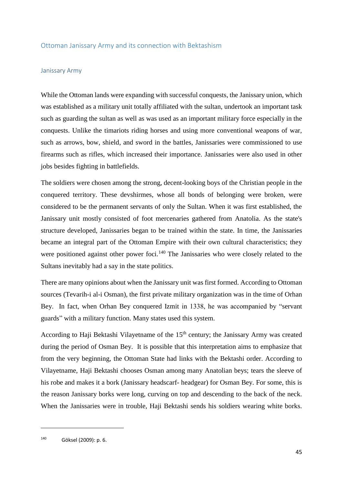# Ottoman Janissary Army and its connection with Bektashism

#### Janissary Army

While the Ottoman lands were expanding with successful conquests, the Janissary union, which was established as a military unit totally affiliated with the sultan, undertook an important task such as guarding the sultan as well as was used as an important military force especially in the conquests. Unlike the timariots riding horses and using more conventional weapons of war, such as arrows, bow, shield, and sword in the battles, Janissaries were commissioned to use firearms such as rifles, which increased their importance. Janissaries were also used in other jobs besides fighting in battlefields.

The soldiers were chosen among the strong, decent-looking boys of the Christian people in the conquered territory. These devshirmes, whose all bonds of belonging were broken, were considered to be the permanent servants of only the Sultan. When it was first established, the Janissary unit mostly consisted of foot mercenaries gathered from Anatolia. As the state's structure developed, Janissaries began to be trained within the state. In time, the Janissaries became an integral part of the Ottoman Empire with their own cultural characteristics; they were positioned against other power foci.<sup>140</sup> The Janissaries who were closely related to the Sultans inevitably had a say in the state politics.

There are many opinions about when the Janissary unit was first formed. According to Ottoman sources (Tevarih-i al-i Osman), the first private military organization was in the time of Orhan Bey. In fact, when Orhan Bey conquered Izmit in 1338, he was accompanied by "servant guards" with a military function. Many states used this system.

According to Haji Bektashi Vilayetname of the  $15<sup>th</sup>$  century; the Janissary Army was created during the period of Osman Bey. It is possible that this interpretation aims to emphasize that from the very beginning, the Ottoman State had links with the Bektashi order. According to Vilayetname, Haji Bektashi chooses Osman among many Anatolian beys; tears the sleeve of his robe and makes it a bork (Janissary headscarf- headgear) for Osman Bey. For some, this is the reason Janissary borks were long, curving on top and descending to the back of the neck. When the Janissaries were in trouble, Haji Bektashi sends his soldiers wearing white borks.

<sup>140</sup> Göksel (2009): p. 6.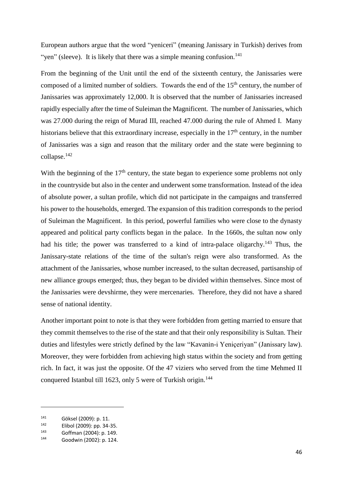European authors argue that the word "yeniceri" (meaning Janissary in Turkish) derives from "yen" (sleeve). It is likely that there was a simple meaning confusion.<sup>141</sup>

From the beginning of the Unit until the end of the sixteenth century, the Janissaries were composed of a limited number of soldiers. Towards the end of the 15<sup>th</sup> century, the number of Janissaries was approximately 12,000. It is observed that the number of Janissaries increased rapidly especially after the time of Suleiman the Magnificent. The number of Janissaries, which was 27.000 during the reign of Murad III, reached 47.000 during the rule of Ahmed I. Many historians believe that this extraordinary increase, especially in the  $17<sup>th</sup>$  century, in the number of Janissaries was a sign and reason that the military order and the state were beginning to collapse.<sup>142</sup>

With the beginning of the  $17<sup>th</sup>$  century, the state began to experience some problems not only in the countryside but also in the center and underwent some transformation. Instead of the idea of absolute power, a sultan profile, which did not participate in the campaigns and transferred his power to the households, emerged. The expansion of this tradition corresponds to the period of Suleiman the Magnificent. In this period, powerful families who were close to the dynasty appeared and political party conflicts began in the palace. In the 1660s, the sultan now only had his title; the power was transferred to a kind of intra-palace oligarchy.<sup>143</sup> Thus, the Janissary-state relations of the time of the sultan's reign were also transformed. As the attachment of the Janissaries, whose number increased, to the sultan decreased, partisanship of new alliance groups emerged; thus, they began to be divided within themselves. Since most of the Janissaries were devshirme, they were mercenaries. Therefore, they did not have a shared sense of national identity.

Another important point to note is that they were forbidden from getting married to ensure that they commit themselves to the rise of the state and that their only responsibility is Sultan. Their duties and lifestyles were strictly defined by the law "Kavanin-i Yeniçeriyan" (Janissary law). Moreover, they were forbidden from achieving high status within the society and from getting rich. In fact, it was just the opposite. Of the 47 viziers who served from the time Mehmed II conquered Istanbul till 1623, only 5 were of Turkish origin.<sup>144</sup>

<sup>141</sup> Göksel (2009): p. 11.<br>142 Flibel (2000): pp. 24

 $142$  Elibol (2009): pp. 34-35.

 $^{143}$  Goffman (2004): p. 149.

<sup>144</sup> Goodwin (2002): p. 124.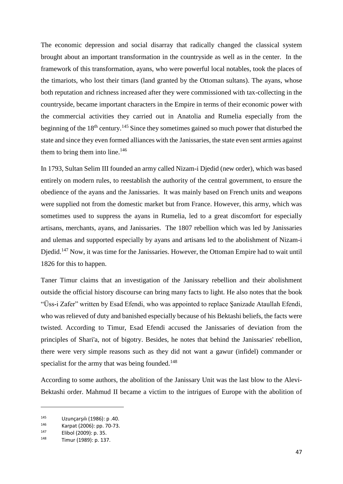The economic depression and social disarray that radically changed the classical system brought about an important transformation in the countryside as well as in the center. In the framework of this transformation, ayans, who were powerful local notables, took the places of the timariots, who lost their timars (land granted by the Ottoman sultans). The ayans, whose both reputation and richness increased after they were commissioned with tax-collecting in the countryside, became important characters in the Empire in terms of their economic power with the commercial activities they carried out in Anatolia and Rumelia especially from the beginning of the 18<sup>th</sup> century.<sup>145</sup> Since they sometimes gained so much power that disturbed the state and since they even formed alliances with the Janissaries, the state even sent armies against them to bring them into line.<sup>146</sup>

In 1793, Sultan Selim III founded an army called Nizam-i Djedid (new order), which was based entirely on modern rules, to reestablish the authority of the central government, to ensure the obedience of the ayans and the Janissaries. It was mainly based on French units and weapons were supplied not from the domestic market but from France. However, this army, which was sometimes used to suppress the ayans in Rumelia, led to a great discomfort for especially artisans, merchants, ayans, and Janissaries. The 1807 rebellion which was led by Janissaries and ulemas and supported especially by ayans and artisans led to the abolishment of Nizam-i Djedid.<sup>147</sup> Now, it was time for the Janissaries. However, the Ottoman Empire had to wait until 1826 for this to happen.

Taner Timur claims that an investigation of the Janissary rebellion and their abolishment outside the official history discourse can bring many facts to light. He also notes that the book "Üss-i Zafer" written by Esad Efendi, who was appointed to replace Şanizade Ataullah Efendi, who was relieved of duty and banished especially because of his Bektashi beliefs, the facts were twisted. According to Timur, Esad Efendi accused the Janissaries of deviation from the principles of Shari'a, not of bigotry. Besides, he notes that behind the Janissaries' rebellion, there were very simple reasons such as they did not want a gawur (infidel) commander or specialist for the army that was being founded.<sup>148</sup>

According to some authors, the abolition of the Janissary Unit was the last blow to the Alevi-Bektashi order. Mahmud II became a victim to the intrigues of Europe with the abolition of

<sup>145</sup> Uzunçarşılı (1986): p .40.<br>146 Karpat (2006): pp. 70.73.

<sup>&</sup>lt;sup>146</sup> Karpat (2006): pp. 70-73.<br><sup>147</sup> Flibel (2000): p. 25

 $147$  Elibol (2009): p. 35.

Timur (1989): p. 137.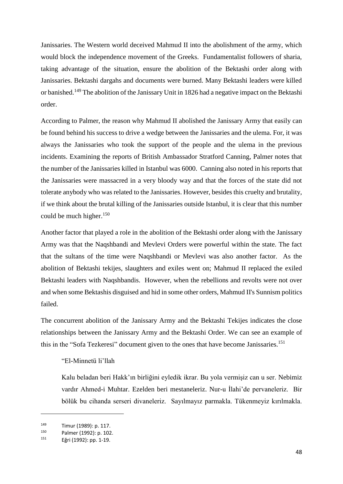Janissaries. The Western world deceived Mahmud II into the abolishment of the army, which would block the independence movement of the Greeks. Fundamentalist followers of sharia, taking advantage of the situation, ensure the abolition of the Bektashi order along with Janissaries. Bektashi dargahs and documents were burned. Many Bektashi leaders were killed or banished.<sup>149</sup> The abolition of the Janissary Unit in 1826 had a negative impact on the Bektashi order.

According to Palmer, the reason why Mahmud II abolished the Janissary Army that easily can be found behind his success to drive a wedge between the Janissaries and the ulema. For, it was always the Janissaries who took the support of the people and the ulema in the previous incidents. Examining the reports of British Ambassador Stratford Canning, Palmer notes that the number of the Janissaries killed in Istanbul was 6000. Canning also noted in his reports that the Janissaries were massacred in a very bloody way and that the forces of the state did not tolerate anybody who was related to the Janissaries. However, besides this cruelty and brutality, if we think about the brutal killing of the Janissaries outside Istanbul, it is clear that this number could be much higher.<sup>150</sup>

Another factor that played a role in the abolition of the Bektashi order along with the Janissary Army was that the Naqshbandi and Mevlevi Orders were powerful within the state. The fact that the sultans of the time were Naqshbandi or Mevlevi was also another factor. As the abolition of Bektashi tekijes, slaughters and exiles went on; Mahmud II replaced the exiled Bektashi leaders with Naqshbandis. However, when the rebellions and revolts were not over and when some Bektashis disguised and hid in some other orders, Mahmud II's Sunnism politics failed.

The concurrent abolition of the Janissary Army and the Bektashi Tekijes indicates the close relationships between the Janissary Army and the Bektashi Order. We can see an example of this in the "Sofa Tezkeresi" document given to the ones that have become Janissaries.<sup>151</sup>

#### "El-Minnetü li'llah

Kalu beladan beri Hakk'ın birliğini eyledik ikrar. Bu yola vermişiz can u ser. Nebimiz vardır Ahmed-i Muhtar. Ezelden beri mestaneleriz. Nur-u İlahi'de pervaneleriz. Bir bölük bu cihanda serseri divaneleriz. Sayılmayız parmakla. Tükenmeyiz kırılmakla.

 $^{149}$  Timur (1989): p. 117.<br> $^{150}$  Polmer (1993): p. 103

 $^{150}$  Palmer (1992): p. 102.<br> $^{151}$  F<sup>2</sup><sub>ni</sub> (1993): p. 1.19.

Eğri (1992): pp. 1-19.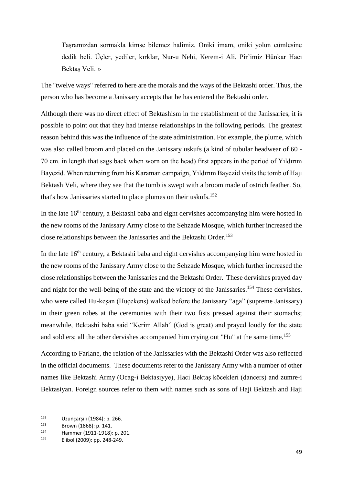Taşramızdan sormakla kimse bilemez halimiz. Oniki imam, oniki yolun cümlesine dedik beli. Üçler, yediler, kırklar, Nur-u Nebi, Kerem-i Ali, Pir'imiz Hünkar Hacı Bektaş Veli. »

The "twelve ways" referred to here are the morals and the ways of the Bektashi order. Thus, the person who has become a Janissary accepts that he has entered the Bektashi order.

Although there was no direct effect of Bektashism in the establishment of the Janissaries, it is possible to point out that they had intense relationships in the following periods. The greatest reason behind this was the influence of the state administration. For example, the plume, which was also called broom and placed on the Janissary uskufs (a kind of tubular headwear of 60 - 70 cm. in length that sags back when worn on the head) first appears in the period of Yıldırım Bayezid. When returning from his Karaman campaign, Yıldırım Bayezid visits the tomb of Haji Bektash Veli, where they see that the tomb is swept with a broom made of ostrich feather. So, that's how Janissaries started to place plumes on their uskufs. 152

In the late 16<sup>th</sup> century, a Bektashi baba and eight dervishes accompanying him were hosted in the new rooms of the Janissary Army close to the Sehzade Mosque, which further increased the close relationships between the Janissaries and the Bektashi Order.<sup>153</sup>

In the late  $16<sup>th</sup>$  century, a Bektashi baba and eight dervishes accompanying him were hosted in the new rooms of the Janissary Army close to the Sehzade Mosque, which further increased the close relationships between the Janissaries and the Bektashi Order. These dervishes prayed day and night for the well-being of the state and the victory of the Janissaries. <sup>154</sup> These dervishes, who were called Hu-keşan (Huçekens) walked before the Janissary "aga" (supreme Janissary) in their green robes at the ceremonies with their two fists pressed against their stomachs; meanwhile, Bektashi baba said "Kerim Allah" (God is great) and prayed loudly for the state and soldiers; all the other dervishes accompanied him crying out "Hu" at the same time.<sup>155</sup>

According to Farlane, the relation of the Janissaries with the Bektashi Order was also reflected in the official documents. These documents refer to the Janissary Army with a number of other names like Bektashi Army (Ocag-i Bektasiyye), Haci Bektaş köcekleri (dancers) and zumre-i Bektasiyan. Foreign sources refer to them with names such as sons of Haji Bektash and Haji

<sup>152</sup> Uzunçarşılı (1984): p. 266.<br>153 Droup (1969): p. 141

 $153$  Brown (1868): p. 141.<br>154 Hammar (1911-1918).

<sup>154</sup> Hammer (1911-1918): p. 201.

Elibol (2009): pp. 248-249.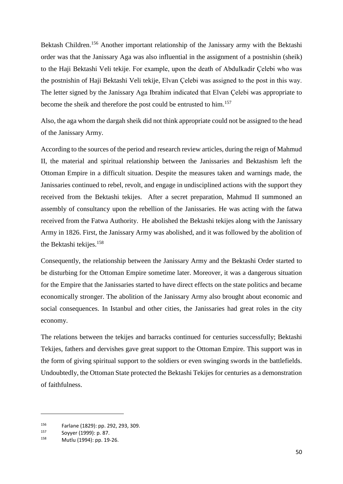Bektash Children.<sup>156</sup> Another important relationship of the Janissary army with the Bektashi order was that the Janissary Aga was also influential in the assignment of a postnishin (sheik) to the Haji Bektashi Veli tekije. For example, upon the death of Abdulkadir Çelebi who was the postnishin of Haji Bektashi Veli tekije, Elvan Çelebi was assigned to the post in this way. The letter signed by the Janissary Aga Ibrahim indicated that Elvan Çelebi was appropriate to become the sheik and therefore the post could be entrusted to him.<sup>157</sup>

Also, the aga whom the dargah sheik did not think appropriate could not be assigned to the head of the Janissary Army.

According to the sources of the period and research review articles, during the reign of Mahmud II, the material and spiritual relationship between the Janissaries and Bektashism left the Ottoman Empire in a difficult situation. Despite the measures taken and warnings made, the Janissaries continued to rebel, revolt, and engage in undisciplined actions with the support they received from the Bektashi tekijes. After a secret preparation, Mahmud II summoned an assembly of consultancy upon the rebellion of the Janissaries. He was acting with the fatwa received from the Fatwa Authority. He abolished the Bektashi tekijes along with the Janissary Army in 1826. First, the Janissary Army was abolished, and it was followed by the abolition of the Bektashi tekijes. 158

Consequently, the relationship between the Janissary Army and the Bektashi Order started to be disturbing for the Ottoman Empire sometime later. Moreover, it was a dangerous situation for the Empire that the Janissaries started to have direct effects on the state politics and became economically stronger. The abolition of the Janissary Army also brought about economic and social consequences. In Istanbul and other cities, the Janissaries had great roles in the city economy.

The relations between the tekijes and barracks continued for centuries successfully; Bektashi Tekijes, fathers and dervishes gave great support to the Ottoman Empire. This support was in the form of giving spiritual support to the soldiers or even swinging swords in the battlefields. Undoubtedly, the Ottoman State protected the Bektashi Tekijes for centuries as a demonstration of faithfulness.

<sup>156</sup> Farlane (1829): pp. 292, 293, 309.

 $157$  Soyyer (1999): p. 87.

Mutlu (1994): pp. 19-26.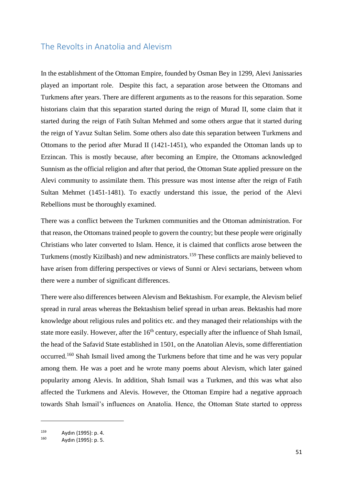# The Revolts in Anatolia and Alevism

In the establishment of the Ottoman Empire, founded by Osman Bey in 1299, Alevi Janissaries played an important role. Despite this fact, a separation arose between the Ottomans and Turkmens after years. There are different arguments as to the reasons for this separation. Some historians claim that this separation started during the reign of Murad II, some claim that it started during the reign of Fatih Sultan Mehmed and some others argue that it started during the reign of Yavuz Sultan Selim. Some others also date this separation between Turkmens and Ottomans to the period after Murad II (1421-1451), who expanded the Ottoman lands up to Erzincan. This is mostly because, after becoming an Empire, the Ottomans acknowledged Sunnism as the official religion and after that period, the Ottoman State applied pressure on the Alevi community to assimilate them. This pressure was most intense after the reign of Fatih Sultan Mehmet (1451-1481). To exactly understand this issue, the period of the Alevi Rebellions must be thoroughly examined.

There was a conflict between the Turkmen communities and the Ottoman administration. For that reason, the Ottomans trained people to govern the country; but these people were originally Christians who later converted to Islam. Hence, it is claimed that conflicts arose between the Turkmens (mostly Kizilbash) and new administrators. <sup>159</sup> These conflicts are mainly believed to have arisen from differing perspectives or views of Sunni or Alevi sectarians, between whom there were a number of significant differences.

There were also differences between Alevism and Bektashism. For example, the Alevism belief spread in rural areas whereas the Bektashism belief spread in urban areas. Bektashis had more knowledge about religious rules and politics etc. and they managed their relationships with the state more easily. However, after the 16<sup>th</sup> century, especially after the influence of Shah Ismail, the head of the Safavid State established in 1501, on the Anatolian Alevis, some differentiation occurred.<sup>160</sup> Shah Ismail lived among the Turkmens before that time and he was very popular among them. He was a poet and he wrote many poems about Alevism, which later gained popularity among Alevis. In addition, Shah Ismail was a Turkmen, and this was what also affected the Turkmens and Alevis. However, the Ottoman Empire had a negative approach towards Shah Ismail's influences on Anatolia. Hence, the Ottoman State started to oppress

 $159$  Aydın (1995): p. 4.

Aydın (1995): p. 5.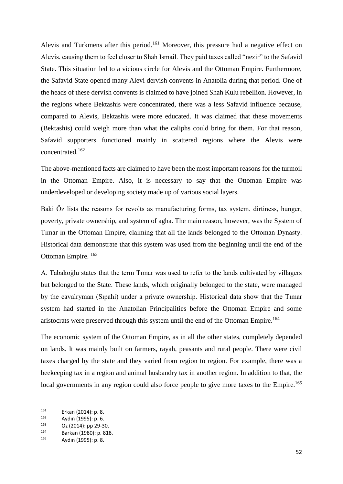Alevis and Turkmens after this period.<sup>161</sup> Moreover, this pressure had a negative effect on Alevis, causing them to feel closer to Shah Ismail. They paid taxes called "nezir" to the Safavid State. This situation led to a vicious circle for Alevis and the Ottoman Empire. Furthermore, the Safavid State opened many Alevi dervish convents in Anatolia during that period. One of the heads of these dervish convents is claimed to have joined Shah Kulu rebellion. However, in the regions where Bektashis were concentrated, there was a less Safavid influence because, compared to Alevis, Bektashis were more educated. It was claimed that these movements (Bektashis) could weigh more than what the caliphs could bring for them. For that reason, Safavid supporters functioned mainly in scattered regions where the Alevis were concentrated.<sup>162</sup>

The above-mentioned facts are claimed to have been the most important reasons for the turmoil in the Ottoman Empire. Also, it is necessary to say that the Ottoman Empire was underdeveloped or developing society made up of various social layers.

Baki Öz lists the reasons for revolts as manufacturing forms, tax system, dirtiness, hunger, poverty, private ownership, and system of agha. The main reason, however, was the System of Tımar in the Ottoman Empire, claiming that all the lands belonged to the Ottoman Dynasty. Historical data demonstrate that this system was used from the beginning until the end of the Ottoman Empire. <sup>163</sup>

A. Tabakoğlu states that the term Tımar was used to refer to the lands cultivated by villagers but belonged to the State. These lands, which originally belonged to the state, were managed by the cavalryman (Sıpahi) under a private ownership. Historical data show that the Tımar system had started in the Anatolian Principalities before the Ottoman Empire and some aristocrats were preserved through this system until the end of the Ottoman Empire.<sup>164</sup>

The economic system of the Ottoman Empire, as in all the other states, completely depended on lands. It was mainly built on farmers, rayah, peasants and rural people. There were civil taxes charged by the state and they varied from region to region. For example, there was a beekeeping tax in a region and animal husbandry tax in another region. In addition to that, the local governments in any region could also force people to give more taxes to the Empire.<sup>165</sup>

 $161$  Erkan (2014): p. 8.<br> $162$  Avdin (1995): p. 6

 $162$  Aydın (1995): p. 6.<br> $163$   $72014$ ): pp. 30.3

Öz (2014): pp 29-30.

<sup>164</sup> Barkan (1980): p. 818.

Aydın (1995): p. 8.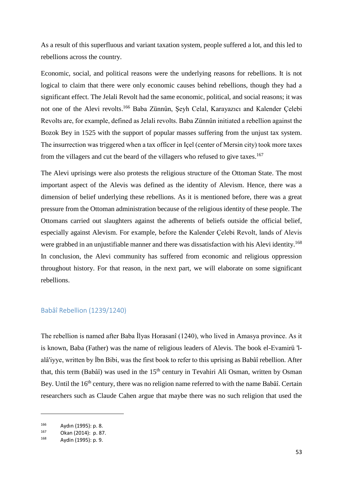As a result of this superfluous and variant taxation system, people suffered a lot, and this led to rebellions across the country.

Economic, social, and political reasons were the underlying reasons for rebellions. It is not logical to claim that there were only economic causes behind rebellions, though they had a significant effect. The Jelali Revolt had the same economic, political, and social reasons; it was not one of the Alevi revolts. <sup>166</sup> Baba Zünnûn, Şeyh Celal, Karayazıcı and Kalender Çelebi Revolts are, for example, defined as Jelali revolts. Baba Zünnûn initiated a rebellion against the Bozok Bey in 1525 with the support of popular masses suffering from the unjust tax system. The insurrection was triggered when a tax officer in Içel (center of Mersin city) took more taxes from the villagers and cut the beard of the villagers who refused to give taxes.<sup>167</sup>

The Alevi uprisings were also protests the religious structure of the Ottoman State. The most important aspect of the Alevis was defined as the identity of Alevism. Hence, there was a dimension of belief underlying these rebellions. As it is mentioned before, there was a great pressure from the Ottoman administration because of the religious identity of these people. The Ottomans carried out slaughters against the adherents of beliefs outside the official belief, especially against Alevism. For example, before the Kalender Çelebi Revolt, lands of Alevis were grabbed in an unjustifiable manner and there was dissatisfaction with his Alevi identity.<sup>168</sup> In conclusion, the Alevi community has suffered from economic and religious oppression throughout history. For that reason, in the next part, we will elaborate on some significant rebellions.

# Babâî Rebellion (1239/1240)

The rebellion is named after Baba İlyas Horasanî (1240), who lived in Amasya province. As it is known, Baba (Father) was the name of religious leaders of Alevis. The book el-Evamirü 'lalâ'iyye, written by İbn Bibi, was the first book to refer to this uprising as Babâî rebellion. After that, this term (Babâî) was used in the  $15<sup>th</sup>$  century in Tevahiri Ali Osman, written by Osman Bey. Until the 16<sup>th</sup> century, there was no religion name referred to with the name Babâî. Certain researchers such as Claude Cahen argue that maybe there was no such religion that used the

<sup>166</sup> Aydın (1995): p. 8.

<sup>167</sup> Okan (2014): p. 87.

<sup>168</sup> Aydin (1995): p. 9.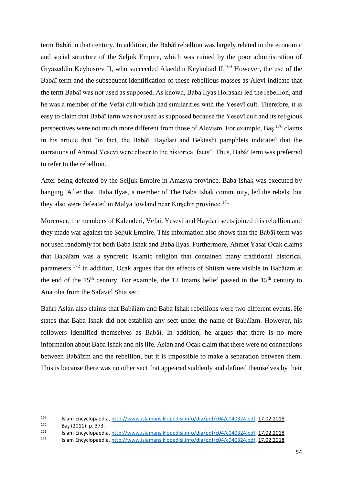term Babâî in that century. In addition, the Babâî rebellion was largely related to the economic and social structure of the Seljuk Empire, which was ruined by the poor administration of Giyaseddin Keyhusrev II, who succeeded Alaeddin Keykubad II.<sup>169</sup> However, the use of the Babâî term and the subsequent identification of these rebellious masses as Alevi indicate that the term Babâî was not used as supposed. As known, Baba İlyas Horasani led the rebellion, and he was a member of the Vefaî cult which had similarities with the Yesevî cult. Therefore, it is easy to claim that Babâî term was not used as supposed because the Yesevî cult and its religious perspectives were not much more different from those of Alevism. For example, Baş <sup>170</sup> claims in his article that "in fact, the Babâî, Haydari and Bektashi pamphlets indicated that the narrations of Ahmed Yesevi were closer to the historical facts". Thus, Babâî term was preferred to refer to the rebellion.

After being defeated by the Seljuk Empire in Amasya province, Baba Ishak was executed by hanging. After that, Baba Ilyas, a member of The Baba Ishak community, led the rebels; but they also were defeated in Malya lowland near Kırşehir province.<sup>171</sup>

Moreover, the members of Kalenderi, Vefai, Yesevi and Haydari sects joined this rebellion and they made war against the Seljuk Empire. This information also shows that the Babâî term was not used randomly for both Baba Ishak and Baba Ilyas. Furthermore, Ahmet Yasar Ocak claims that Babâîzm was a syncretic Islamic religion that contained many traditional historical parameters.<sup>172</sup> In addition, Ocak argues that the effects of Shiism were visible in Babâîzm at the end of the  $15<sup>th</sup>$  century. For example, the 12 Imams belief passed in the  $15<sup>th</sup>$  century to Anatolia from the Safavid Shia sect.

Bahri Aslan also claims that Babâîzm and Baba Ishak rebellions were two different events. He states that Baba Ishak did not establish any sect under the name of Babâîzm. However, his followers identified themselves as Babâî. In addition, he argues that there is no more information about Baba Ishak and his life. Aslan and Ocak claim that there were no connections between Babâîzm and the rebellion, but it is impossible to make a separation between them. This is because there was no other sect that appeared suddenly and defined themselves by their

<sup>169</sup> Islam Encyclopaedia[, http://www.islamansiklopedisi.info/dia/pdf/c04/c040324.pdf,](http://www.islamansiklopedisi.info/dia/pdf/c04/c040324.pdf) 17.02.2018

 $^{170}$  Baş (2011): p. 373.

<sup>171</sup> Islam Encyclopaedia[, http://www.islamansiklopedisi.info/dia/pdf/c04/c040324.pdf,](http://www.islamansiklopedisi.info/dia/pdf/c04/c040324.pdf) 17.02.2018

<sup>172</sup> Islam Encyclopaedia[, http://www.islamansiklopedisi.info/dia/pdf/c04/c040324.pdf,](http://www.islamansiklopedisi.info/dia/pdf/c04/c040324.pdf) 17.02.2018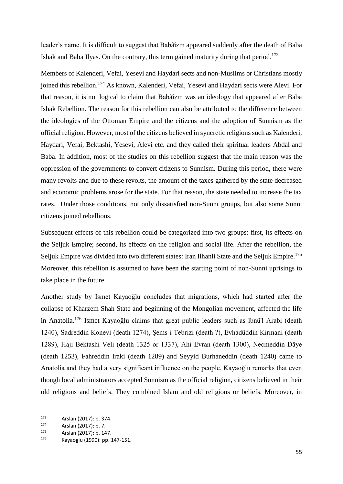leader's name. It is difficult to suggest that Babâîzm appeared suddenly after the death of Baba Ishak and Baba Ilyas. On the contrary, this term gained maturity during that period.<sup>173</sup>

Members of Kalenderi, Vefai, Yesevi and Haydari sects and non-Muslims or Christians mostly joined this rebellion.<sup>174</sup> As known, Kalenderi, Vefai, Yesevi and Haydari sects were Alevi. For that reason, it is not logical to claim that Babâîzm was an ideology that appeared after Baba Ishak Rebellion. The reason for this rebellion can also be attributed to the difference between the ideologies of the Ottoman Empire and the citizens and the adoption of Sunnism as the official religion. However, most of the citizens believed in syncretic religions such as Kalenderi, Haydari, Vefai, Bektashi, Yesevi, Alevi etc. and they called their spiritual leaders Abdal and Baba. In addition, most of the studies on this rebellion suggest that the main reason was the oppression of the governments to convert citizens to Sunnism. During this period, there were many revolts and due to these revolts, the amount of the taxes gathered by the state decreased and economic problems arose for the state. For that reason, the state needed to increase the tax rates. Under those conditions, not only dissatisfied non-Sunni groups, but also some Sunni citizens joined rebellions.

Subsequent effects of this rebellion could be categorized into two groups: first, its effects on the Seljuk Empire; second, its effects on the religion and social life. After the rebellion, the Seljuk Empire was divided into two different states: Iran Ilhanli State and the Seljuk Empire.<sup>175</sup> Moreover, this rebellion is assumed to have been the starting point of non-Sunni uprisings to take place in the future.

Another study by Ismet Kayaoğlu concludes that migrations, which had started after the collapse of Kharzem Shah State and beginning of the Mongolian movement, affected the life in Anatolia. <sup>176</sup> Ismet Kayaoğlu claims that great public leaders such as lbnü'l Arabi (death 1240), Sadreddin Konevi (death 1274), Şems-i Tebrizi (death ?), Evhadüddin Kirmani (death 1289), Haji Bektashi Veli (death 1325 or 1337), Ahi Evran (death 1300), Necmeddin Dâye (death 1253), Fahreddin lraki (death 1289) and Seyyid Burhaneddin (death 1240) came to Anatolia and they had a very significant influence on the people. Kayaoğlu remarks that even though local administrators accepted Sunnism as the official religion, citizens believed in their old religions and beliefs. They combined Islam and old religions or beliefs. Moreover, in

<sup>173</sup> Arslan (2017): p. 374.

 $174$  Arslan (2017): p. 7.<br> $175$  Arslan (2017): p. 14

 $1^{175}$  Arslan (2017): p. 147.

Kayaoglu (1990): pp. 147-151.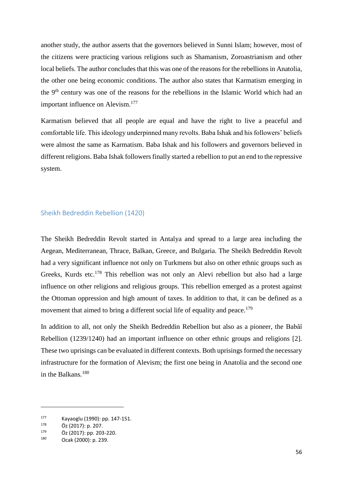another study, the author asserts that the governors believed in Sunni Islam; however, most of the citizens were practicing various religions such as Shamanism, Zoroastrianism and other local beliefs. The author concludes that this was one of the reasons for the rebellions in Anatolia, the other one being economic conditions. The author also states that Karmatism emerging in the 9th century was one of the reasons for the rebellions in the Islamic World which had an important influence on Alevism.<sup>177</sup>

Karmatism believed that all people are equal and have the right to live a peaceful and comfortable life. This ideology underpinned many revolts. Baba Ishak and his followers' beliefs were almost the same as Karmatism. Baba Ishak and his followers and governors believed in different religions. Baba Ishak followers finally started a rebellion to put an end to the repressive system.

#### Sheikh Bedreddin Rebellion (1420)

The Sheikh Bedreddin Revolt started in Antalya and spread to a large area including the Aegean, Mediterranean, Thrace, Balkan, Greece, and Bulgaria. The Sheikh Bedreddin Revolt had a very significant influence not only on Turkmens but also on other ethnic groups such as Greeks, Kurds etc.<sup>178</sup> This rebellion was not only an Alevi rebellion but also had a large influence on other religions and religious groups. This rebellion emerged as a protest against the Ottoman oppression and high amount of taxes. In addition to that, it can be defined as a movement that aimed to bring a different social life of equality and peace.<sup>179</sup>

In addition to all, not only the Sheikh Bedreddin Rebellion but also as a pioneer, the Babâî Rebellion (1239/1240) had an important influence on other ethnic groups and religions [2]. These two uprisings can be evaluated in different contexts. Both uprisings formed the necessary infrastructure for the formation of Alevism; the first one being in Anatolia and the second one in the Balkans. 180

<sup>&</sup>lt;sup>177</sup> Kayaoglu (1990): pp. 147-151.<br><sup>178</sup> Öz (2017): p. 207

 $^{178}$  Öz (2017): p. 207.<br> $^{179}$  Öz (2017): pp. 202

 $^{179}$  Öz (2017): pp. 203-220.

Ocak (2000): p. 239.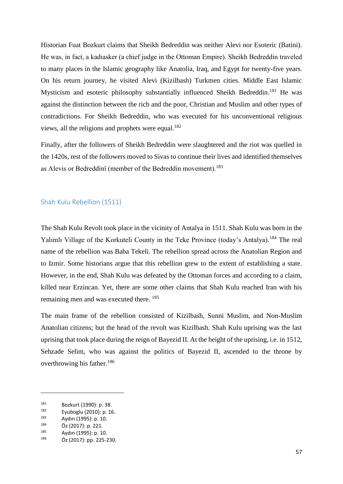Historian Fuat Bozkurt claims that Sheikh Bedreddin was neither Alevi nor Esoteric (Batini). He was, in fact, a kadıasker (a chief judge in the Ottoman Empire). Sheikh Bedreddin traveled to many places in the Islamic geography like Anatolia, Iraq, and Egypt for twenty-five years. On his return journey, he visited Alevi (Kizilbash) Turkmen cities. Middle East Islamic Mysticism and esoteric philosophy substantially influenced Sheikh Bedreddin.<sup>181</sup> He was against the distinction between the rich and the poor, Christian and Muslim and other types of contradictions. For Sheikh Bedreddin, who was executed for his unconventional religious views, all the religions and prophets were equal.<sup>182</sup>

Finally, after the followers of Sheikh Bedreddin were slaughtered and the riot was quelled in the 1420s, rest of the followers moved to Sivas to continue their lives and identified themselves as Alevis or Bedreddinî (member of the Bedreddin movement).<sup>183</sup>

# Shah Kulu Rebellion (1511)

The Shah Kulu Revolt took place in the vicinity of Antalya in 1511. Shah Kulu was born in the Yalımlı Village of the Korkuteli County in the Teke Province (today's Antalya).<sup>184</sup> The real name of the rebellion was Baba Tekeli. The rebellion spread across the Anatolian Region and to Izmir. Some historians argue that this rebellion grew to the extent of establishing a state. However, in the end, Shah Kulu was defeated by the Ottoman forces and according to a claim, killed near Erzincan. Yet, there are some other claims that Shah Kulu reached Iran with his remaining men and was executed there. <sup>185</sup>

The main frame of the rebellion consisted of Kizilbash, Sunni Muslim, and Non-Muslim Anatolian citizens; but the head of the revolt was Kizilbash. Shah Kulu uprising was the last uprising that took place during the reign of Bayezid II. At the height of the uprising, i.e. in 1512, Sehzade Selim, who was against the politics of Bayezid II, ascended to the throne by overthrowing his father. 186

<sup>181</sup> Bozkurt (1990): p. 38.<br>182 Eurhardu (2010): p. 10

 $182$  Eyuboglu (2010): p. 16.<br> $183$  Aydın (1995): p. 10

 $183$  Aydın (1995): p. 10.<br> $184$   $\ddot{O} = (2017) \cdot p$ , 221.

 $^{184}$  Öz (2017): p. 221.<br> $^{185}$  Avdua (1005): p. 10

 $185$  Aydın (1995): p. 10.<br> $186$   $\ddot{O} = (2017) \cdot 25.225$ 

Öz (2017): pp. 225-230.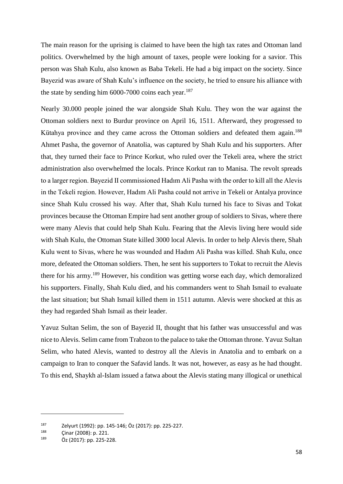The main reason for the uprising is claimed to have been the high tax rates and Ottoman land politics. Overwhelmed by the high amount of taxes, people were looking for a savior. This person was Shah Kulu, also known as Baba Tekeli. He had a big impact on the society. Since Bayezid was aware of Shah Kulu's influence on the society, he tried to ensure his alliance with the state by sending him 6000-7000 coins each year.<sup>187</sup>

Nearly 30.000 people joined the war alongside Shah Kulu. They won the war against the Ottoman soldiers next to Burdur province on April 16, 1511. Afterward, they progressed to Kütahya province and they came across the Ottoman soldiers and defeated them again.<sup>188</sup> Ahmet Pasha, the governor of Anatolia, was captured by Shah Kulu and his supporters. After that, they turned their face to Prince Korkut, who ruled over the Tekeli area, where the strict administration also overwhelmed the locals. Prince Korkut ran to Manisa. The revolt spreads to a larger region. Bayezid II commissioned Hadım Ali Pasha with the order to kill all the Alevis in the Tekeli region. However, Hadım Ali Pasha could not arrive in Tekeli or Antalya province since Shah Kulu crossed his way. After that, Shah Kulu turned his face to Sivas and Tokat provinces because the Ottoman Empire had sent another group of soldiers to Sivas, where there were many Alevis that could help Shah Kulu. Fearing that the Alevis living here would side with Shah Kulu, the Ottoman State killed 3000 local Alevis. In order to help Alevis there, Shah Kulu went to Sivas, where he was wounded and Hadım Ali Pasha was killed. Shah Kulu, once more, defeated the Ottoman soldiers. Then, he sent his supporters to Tokat to recruit the Alevis there for his army.<sup>189</sup> However, his condition was getting worse each day, which demoralized his supporters. Finally, Shah Kulu died, and his commanders went to Shah Ismail to evaluate the last situation; but Shah Ismail killed them in 1511 autumn. Alevis were shocked at this as they had regarded Shah Ismail as their leader.

Yavuz Sultan Selim, the son of Bayezid II, thought that his father was unsuccessful and was nice to Alevis. Selim came from Trabzon to the palace to take the Ottoman throne. Yavuz Sultan Selim, who hated Alevis, wanted to destroy all the Alevis in Anatolia and to embark on a campaign to Iran to conquer the Safavid lands. It was not, however, as easy as he had thought. To this end, Shaykh al-Islam issued a fatwa about the Alevis stating many illogical or unethical

<sup>&</sup>lt;sup>187</sup> Zelyurt (1992): pp. 145-146; Öz (2017): pp. 225-227.

 $^{188}$  Cinar (2008): p. 221.<br> $^{189}$   $\ddot{6}$  (2017): p. 225.2

Öz (2017): pp. 225-228.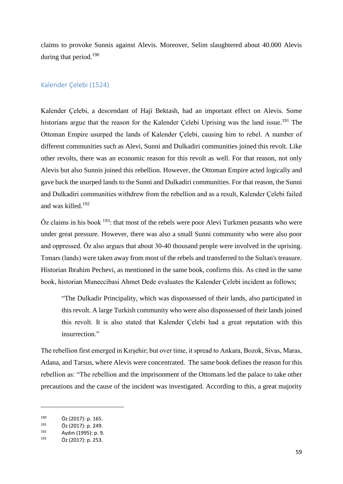claims to provoke Sunnis against Alevis. Moreover, Selim slaughtered about 40.000 Alevis during that period.<sup>190</sup>

# Kalender Çelebi (1524)

Kalender Çelebi, a descendant of Haji Bektash, had an important effect on Alevis. Some historians argue that the reason for the Kalender Çelebi Uprising was the land issue.<sup>191</sup> The Ottoman Empire usurped the lands of Kalender Çelebi, causing him to rebel. A number of different communities such as Alevi, Sunni and Dulkadiri communities joined this revolt. Like other revolts, there was an economic reason for this revolt as well. For that reason, not only Alevis but also Sunnis joined this rebellion. However, the Ottoman Empire acted logically and gave back the usurped lands to the Sunni and Dulkadiri communities. For that reason, the Sunni and Dulkadiri communities withdrew from the rebellion and as a result, Kalender Çelebi failed and was killed. 192

 $\ddot{O}z$  claims in his book  $193$ : that most of the rebels were poor Alevi Turkmen peasants who were under great pressure. However, there was also a small Sunni community who were also poor and oppressed. Öz also argues that about 30-40 thousand people were involved in the uprising. Tımars (lands) were taken away from most of the rebels and transferred to the Sultan's treasure. Historian Ibrahim Pechevi, as mentioned in the same book, confirms this. As cited in the same book, historian Muneccibasi Ahmet Dede evaluates the Kalender Çelebi incident as follows;

"The Dulkadir Principality, which was dispossessed of their lands, also participated in this revolt. A large Turkish community who were also dispossessed of their lands joined this revolt. It is also stated that Kalender Çelebi had a great reputation with this insurrection."

The rebellion first emerged in Kırşehir; but over time, it spread to Ankara, Bozok, Sivas, Maras, Adana, and Tarsus, where Alevis were concentrated. The same book defines the reason for this rebellion as: "The rebellion and the imprisonment of the Ottomans led the palace to take other precautions and the cause of the incident was investigated. According to this, a great majority

 $^{190}$  Öz (2017): p. 165.<br>  $^{191}$  Öz (2017): p. 240.

Öz (2017): p. 249.

 $192$  Aydın (1995): p. 9.<br>  $193$   $\ddot{6}$ , (2017): p. 352.

Öz (2017): p. 253.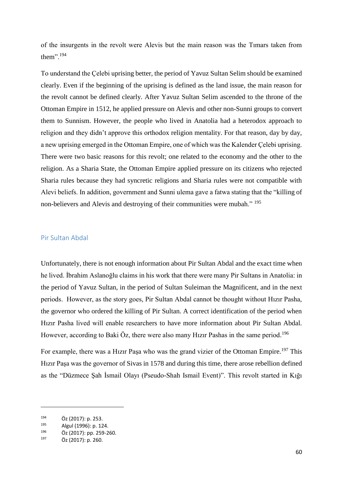of the insurgents in the revolt were Alevis but the main reason was the Tımars taken from them".<sup>194</sup>

To understand the Çelebi uprising better, the period of Yavuz Sultan Selim should be examined clearly. Even if the beginning of the uprising is defined as the land issue, the main reason for the revolt cannot be defined clearly. After Yavuz Sultan Selim ascended to the throne of the Ottoman Empire in 1512, he applied pressure on Alevis and other non-Sunni groups to convert them to Sunnism. However, the people who lived in Anatolia had a heterodox approach to religion and they didn't approve this orthodox religion mentality. For that reason, day by day, a new uprising emerged in the Ottoman Empire, one of which was the Kalender Çelebi uprising. There were two basic reasons for this revolt; one related to the economy and the other to the religion. As a Sharia State, the Ottoman Empire applied pressure on its citizens who rejected Sharia rules because they had syncretic religions and Sharia rules were not compatible with Alevi beliefs. In addition, government and Sunni ulema gave a fatwa stating that the "killing of non-believers and Alevis and destroying of their communities were mubah." <sup>195</sup>

# Pir Sultan Abdal

Unfortunately, there is not enough information about Pir Sultan Abdal and the exact time when he lived. İbrahim Aslanoğlu claims in his work that there were many Pir Sultans in Anatolia: in the period of Yavuz Sultan, in the period of Sultan Suleiman the Magnificent, and in the next periods. However, as the story goes, Pir Sultan Abdal cannot be thought without Hızır Pasha, the governor who ordered the killing of Pir Sultan. A correct identification of the period when Hızır Pasha lived will enable researchers to have more information about Pir Sultan Abdal. However, according to Baki Öz, there were also many Hızır Pashas in the same period.<sup>196</sup>

For example, there was a Hızır Paşa who was the grand vizier of the Ottoman Empire.<sup>197</sup> This Hızır Paşa was the governor of Sivas in 1578 and during this time, there arose rebellion defined as the "Düzmece Şah İsmail Olayı (Pseudo-Shah Ismail Event)". This revolt started in Kığı

 $194$  Öz (2017): p. 253.

Algul (1996): p. 124.

 $^{196}$  Öz (2017): pp. 259-260.

Öz (2017): p. 260.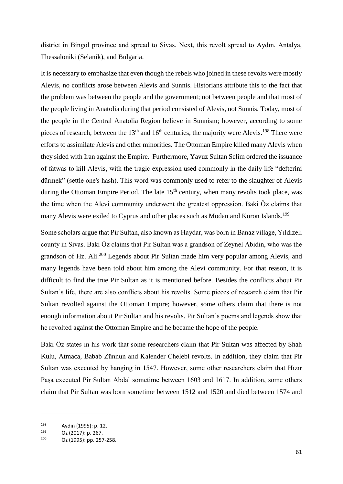district in Bingöl province and spread to Sivas. Next, this revolt spread to Aydın, Antalya, Thessaloniki (Selanik), and Bulgaria.

It is necessary to emphasize that even though the rebels who joined in these revolts were mostly Alevis, no conflicts arose between Alevis and Sunnis. Historians attribute this to the fact that the problem was between the people and the government; not between people and that most of the people living in Anatolia during that period consisted of Alevis, not Sunnis. Today, most of the people in the Central Anatolia Region believe in Sunnism; however, according to some pieces of research, between the  $13<sup>th</sup>$  and  $16<sup>th</sup>$  centuries, the majority were Alevis.<sup>198</sup> There were efforts to assimilate Alevis and other minorities. The Ottoman Empire killed many Alevis when they sided with Iran against the Empire. Furthermore, Yavuz Sultan Selim ordered the issuance of fatwas to kill Alevis, with the tragic expression used commonly in the daily life "defterini dürmek" (settle one's hash). This word was commonly used to refer to the slaughter of Alevis during the Ottoman Empire Period. The late  $15<sup>th</sup>$  century, when many revolts took place, was the time when the Alevi community underwent the greatest oppression. Baki Öz claims that many Alevis were exiled to Cyprus and other places such as Modan and Koron Islands.<sup>199</sup>

Some scholars argue that Pir Sultan, also known as Haydar, was born in Banaz village, Yıldızeli county in Sivas. Baki Öz claims that Pir Sultan was a grandson of Zeynel Abidin, who was the grandson of Hz. Ali.<sup>200</sup> Legends about Pir Sultan made him very popular among Alevis, and many legends have been told about him among the Alevi community. For that reason, it is difficult to find the true Pir Sultan as it is mentioned before. Besides the conflicts about Pir Sultan's life, there are also conflicts about his revolts. Some pieces of research claim that Pir Sultan revolted against the Ottoman Empire; however, some others claim that there is not enough information about Pir Sultan and his revolts. Pir Sultan's poems and legends show that he revolted against the Ottoman Empire and he became the hope of the people.

Baki Öz states in his work that some researchers claim that Pir Sultan was affected by Shah Kulu, Atmaca, Babab Zünnun and Kalender Chelebi revolts. In addition, they claim that Pir Sultan was executed by hanging in 1547. However, some other researchers claim that Hızır Paşa executed Pir Sultan Abdal sometime between 1603 and 1617. In addition, some others claim that Pir Sultan was born sometime between 1512 and 1520 and died between 1574 and

<sup>&</sup>lt;sup>198</sup> Aydın (1995): p. 12.<br><sup>199</sup> Öz (2013): p. 267.

 $^{199}$  Öz (2017): p. 267.<br>
<sup>200</sup> Öz (1005): p. 257

Öz (1995): pp. 257-258.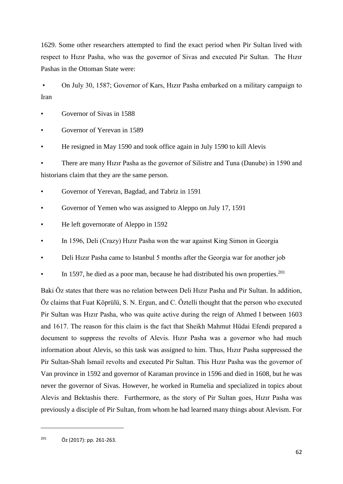1629. Some other researchers attempted to find the exact period when Pir Sultan lived with respect to Hızır Pasha, who was the governor of Sivas and executed Pir Sultan. The Hızır Pashas in the Ottoman State were:

• On July 30, 1587; Governor of Kars, Hizir Pasha embarked on a military campaign to Iran

Governor of Sivas in 1588

Governor of Yerevan in 1589

• He resigned in May 1590 and took office again in July 1590 to kill Alevis

• There are many Hızır Pasha as the governor of Silistre and Tuna (Danube) in 1590 and historians claim that they are the same person.

• Governor of Yerevan, Bagdad, and Tabriz in 1591

Governor of Yemen who was assigned to Aleppo on July 17, 1591

• He left governorate of Aleppo in 1592

• In 1596, Deli (Crazy) Hızır Pasha won the war against King Simon in Georgia

• Deli Hızır Pasha came to Istanbul 5 months after the Georgia war for another job

In 1597, he died as a poor man, because he had distributed his own properties.<sup>201</sup>

Baki Öz states that there was no relation between Deli Hızır Pasha and Pir Sultan. In addition, Öz claims that Fuat Köprülü, S. N. Ergun, and C. Öztelli thought that the person who executed Pir Sultan was Hızır Pasha, who was quite active during the reign of Ahmed I between 1603 and 1617. The reason for this claim is the fact that Sheikh Mahmut Hüdai Efendi prepared a document to suppress the revolts of Alevis. Hızır Pasha was a governor who had much information about Alevis, so this task was assigned to him. Thus, Hızır Pasha suppressed the Pir Sultan-Shah Ismail revolts and executed Pir Sultan. This Hızır Pasha was the governor of Van province in 1592 and governor of Karaman province in 1596 and died in 1608, but he was never the governor of Sivas. However, he worked in Rumelia and specialized in topics about Alevis and Bektashis there. Furthermore, as the story of Pir Sultan goes, Hızır Pasha was previously a disciple of Pir Sultan, from whom he had learned many things about Alevism. For

<sup>201</sup> Öz (2017): pp. 261-263.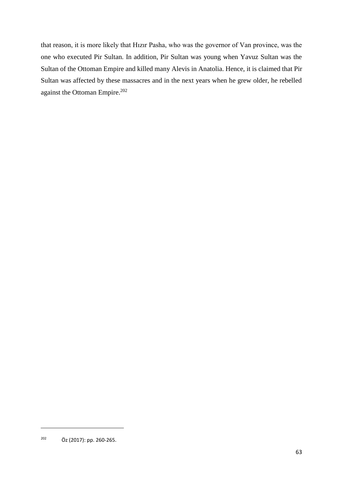that reason, it is more likely that Hızır Pasha, who was the governor of Van province, was the one who executed Pir Sultan. In addition, Pir Sultan was young when Yavuz Sultan was the Sultan of the Ottoman Empire and killed many Alevis in Anatolia. Hence, it is claimed that Pir Sultan was affected by these massacres and in the next years when he grew older, he rebelled against the Ottoman Empire. 202

<sup>202</sup> Öz (2017): pp. 260-265.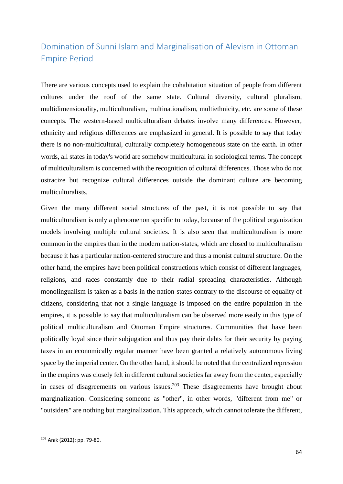# Domination of Sunni Islam and Marginalisation of Alevism in Ottoman Empire Period

There are various concepts used to explain the cohabitation situation of people from different cultures under the roof of the same state. Cultural diversity, cultural pluralism, multidimensionality, multiculturalism, multinationalism, multiethnicity, etc. are some of these concepts. The western-based multiculturalism debates involve many differences. However, ethnicity and religious differences are emphasized in general. It is possible to say that today there is no non-multicultural, culturally completely homogeneous state on the earth. In other words, all states in today's world are somehow multicultural in sociological terms. The concept of multiculturalism is concerned with the recognition of cultural differences. Those who do not ostracize but recognize cultural differences outside the dominant culture are becoming multiculturalists.

Given the many different social structures of the past, it is not possible to say that multiculturalism is only a phenomenon specific to today, because of the political organization models involving multiple cultural societies. It is also seen that multiculturalism is more common in the empires than in the modern nation-states, which are closed to multiculturalism because it has a particular nation-centered structure and thus a monist cultural structure. On the other hand, the empires have been political constructions which consist of different languages, religions, and races constantly due to their radial spreading characteristics. Although monolingualism is taken as a basis in the nation-states contrary to the discourse of equality of citizens, considering that not a single language is imposed on the entire population in the empires, it is possible to say that multiculturalism can be observed more easily in this type of political multiculturalism and Ottoman Empire structures. Communities that have been politically loyal since their subjugation and thus pay their debts for their security by paying taxes in an economically regular manner have been granted a relatively autonomous living space by the imperial center. On the other hand, it should be noted that the centralized repression in the empires was closely felt in different cultural societies far away from the center, especially in cases of disagreements on various issues.<sup>203</sup> These disagreements have brought about marginalization. Considering someone as "other", in other words, "different from me" or "outsiders" are nothing but marginalization. This approach, which cannot tolerate the different,

<sup>203</sup> Anık (2012): pp. 79-80.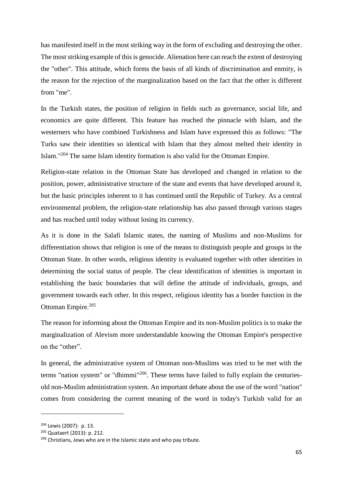has manifested itself in the most striking way in the form of excluding and destroying the other. The most striking example of this is genocide. Alienation here can reach the extent of destroying the "other". This attitude, which forms the basis of all kinds of discrimination and enmity, is the reason for the rejection of the marginalization based on the fact that the other is different from "me".

In the Turkish states, the position of religion in fields such as governance, social life, and economics are quite different. This feature has reached the pinnacle with Islam, and the westerners who have combined Turkishness and Islam have expressed this as follows: "The Turks saw their identities so identical with Islam that they almost melted their identity in Islam."<sup>204</sup> The same Islam identity formation is also valid for the Ottoman Empire.

Religion-state relation in the Ottoman State has developed and changed in relation to the position, power, administrative structure of the state and events that have developed around it, but the basic principles inherent to it has continued until the Republic of Turkey. As a central environmental problem, the religion-state relationship has also passed through various stages and has reached until today without losing its currency.

As it is done in the Salafi Islamic states, the naming of Muslims and non-Muslims for differentiation shows that religion is one of the means to distinguish people and groups in the Ottoman State. In other words, religious identity is evaluated together with other identities in determining the social status of people. The clear identification of identities is important in establishing the basic boundaries that will define the attitude of individuals, groups, and government towards each other. In this respect, religious identity has a border function in the Ottoman Empire.<sup>205</sup>

The reason for informing about the Ottoman Empire and its non-Muslim politics is to make the marginalization of Alevism more understandable knowing the Ottoman Empire's perspective on the "other".

In general, the administrative system of Ottoman non-Muslims was tried to be met with the terms "nation system" or "dhimmi"<sup>206</sup>. These terms have failed to fully explain the centuriesold non-Muslim administration system. An important debate about the use of the word "nation" comes from considering the current meaning of the word in today's Turkish valid for an

<sup>204</sup> Lewis (2007): p. 13.

<sup>205</sup> Quataert (2013): p. 212.

<sup>&</sup>lt;sup>206</sup> Christians, Jews who are in the Islamic state and who pay tribute.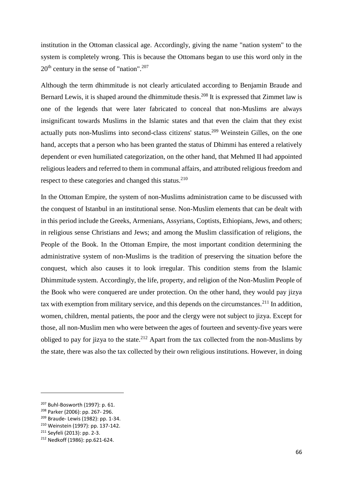institution in the Ottoman classical age. Accordingly, giving the name "nation system" to the system is completely wrong. This is because the Ottomans began to use this word only in the  $20<sup>th</sup>$  century in the sense of "nation".<sup>207</sup>

Although the term dhimmitude is not clearly articulated according to Benjamin Braude and Bernard Lewis, it is shaped around the dhimmitude thesis.<sup>208</sup> It is expressed that Zimmet law is one of the legends that were later fabricated to conceal that non-Muslims are always insignificant towards Muslims in the Islamic states and that even the claim that they exist actually puts non-Muslims into second-class citizens' status.<sup>209</sup> Weinstein Gilles, on the one hand, accepts that a person who has been granted the status of Dhimmi has entered a relatively dependent or even humiliated categorization, on the other hand, that Mehmed II had appointed religious leaders and referred to them in communal affairs, and attributed religious freedom and respect to these categories and changed this status.<sup>210</sup>

In the Ottoman Empire, the system of non-Muslims administration came to be discussed with the conquest of Istanbul in an institutional sense. Non-Muslim elements that can be dealt with in this period include the Greeks, Armenians, Assyrians, Coptists, Ethiopians, Jews, and others; in religious sense Christians and Jews; and among the Muslim classification of religions, the People of the Book. In the Ottoman Empire, the most important condition determining the administrative system of non-Muslims is the tradition of preserving the situation before the conquest, which also causes it to look irregular. This condition stems from the Islamic Dhimmitude system. Accordingly, the life, property, and religion of the Non-Muslim People of the Book who were conquered are under protection. On the other hand, they would pay jizya tax with exemption from military service, and this depends on the circumstances.<sup>211</sup> In addition, women, children, mental patients, the poor and the clergy were not subject to jizya. Except for those, all non-Muslim men who were between the ages of fourteen and seventy-five years were obliged to pay for jizya to the state.<sup>212</sup> Apart from the tax collected from the non-Muslims by the state, there was also the tax collected by their own religious institutions. However, in doing

<sup>207</sup> Buhl-Bosworth (1997): p. 61.

<sup>208</sup> Parker (2006): pp. 267- 296.

<sup>209</sup> Braude- Lewis (1982): pp. 1-34.

<sup>210</sup> Weinstein (1997): pp. 137-142.

<sup>211</sup> Seyfeli (2013): pp. 2-3.

<sup>212</sup> Nedkoff (1986): pp.621-624.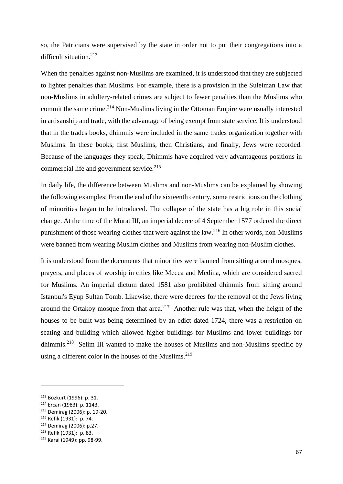so, the Patricians were supervised by the state in order not to put their congregations into a difficult situation.<sup>213</sup>

When the penalties against non-Muslims are examined, it is understood that they are subjected to lighter penalties than Muslims. For example, there is a provision in the Suleiman Law that non-Muslims in adultery-related crimes are subject to fewer penalties than the Muslims who commit the same crime.<sup>214</sup> Non-Muslims living in the Ottoman Empire were usually interested in artisanship and trade, with the advantage of being exempt from state service. It is understood that in the trades books, dhimmis were included in the same trades organization together with Muslims. In these books, first Muslims, then Christians, and finally, Jews were recorded. Because of the languages they speak, Dhimmis have acquired very advantageous positions in commercial life and government service.<sup>215</sup>

In daily life, the difference between Muslims and non-Muslims can be explained by showing the following examples: From the end of the sixteenth century, some restrictions on the clothing of minorities began to be introduced. The collapse of the state has a big role in this social change. At the time of the Murat III, an imperial decree of 4 September 1577 ordered the direct punishment of those wearing clothes that were against the law.<sup>216</sup> In other words, non-Muslims were banned from wearing Muslim clothes and Muslims from wearing non-Muslim clothes.

It is understood from the documents that minorities were banned from sitting around mosques, prayers, and places of worship in cities like Mecca and Medina, which are considered sacred for Muslims. An imperial dictum dated 1581 also prohibited dhimmis from sitting around Istanbul's Eyup Sultan Tomb. Likewise, there were decrees for the removal of the Jews living around the Ortakoy mosque from that area.<sup>217</sup> Another rule was that, when the height of the houses to be built was being determined by an edict dated 1724, there was a restriction on seating and building which allowed higher buildings for Muslims and lower buildings for dhimmis.<sup>218</sup> Selim III wanted to make the houses of Muslims and non-Muslims specific by using a different color in the houses of the Muslims. $219$ 

<sup>213</sup> Bozkurt (1996): p. 31.

<sup>214</sup> Ercan (1983): p. 1143.

<sup>215</sup> Demirag (2006): p. 19-20.

<sup>216</sup> Refik (1931): p. 74.

<sup>217</sup> Demirag (2006): p.27.

<sup>218</sup> Refik (1931): p. 83.

<sup>219</sup> Karal (1949): pp. 98-99.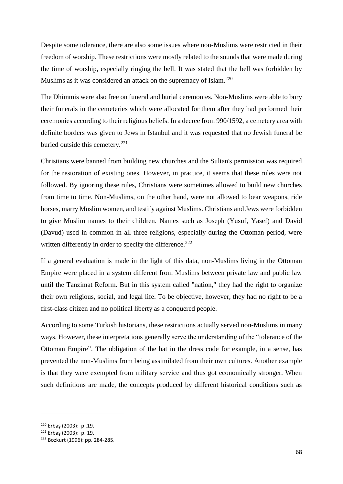Despite some tolerance, there are also some issues where non-Muslims were restricted in their freedom of worship. These restrictions were mostly related to the sounds that were made during the time of worship, especially ringing the bell. It was stated that the bell was forbidden by Muslims as it was considered an attack on the supremacy of Islam.<sup>220</sup>

The Dhimmis were also free on funeral and burial ceremonies. Non-Muslims were able to bury their funerals in the cemeteries which were allocated for them after they had performed their ceremonies according to their religious beliefs. In a decree from 990/1592, a cemetery area with definite borders was given to Jews in Istanbul and it was requested that no Jewish funeral be buried outside this cemetery.<sup>221</sup>

Christians were banned from building new churches and the Sultan's permission was required for the restoration of existing ones. However, in practice, it seems that these rules were not followed. By ignoring these rules, Christians were sometimes allowed to build new churches from time to time. Non-Muslims, on the other hand, were not allowed to bear weapons, ride horses, marry Muslim women, and testify against Muslims. Christians and Jews were forbidden to give Muslim names to their children. Names such as Joseph (Yusuf, Yasef) and David (Davud) used in common in all three religions, especially during the Ottoman period, were written differently in order to specify the difference.<sup>222</sup>

If a general evaluation is made in the light of this data, non-Muslims living in the Ottoman Empire were placed in a system different from Muslims between private law and public law until the Tanzimat Reform. But in this system called "nation," they had the right to organize their own religious, social, and legal life. To be objective, however, they had no right to be a first-class citizen and no political liberty as a conquered people.

According to some Turkish historians, these restrictions actually served non-Muslims in many ways. However, these interpretations generally serve the understanding of the "tolerance of the Ottoman Empire". The obligation of the hat in the dress code for example, in a sense, has prevented the non-Muslims from being assimilated from their own cultures. Another example is that they were exempted from military service and thus got economically stronger. When such definitions are made, the concepts produced by different historical conditions such as

<sup>220</sup> Erbaş (2003): p .19.

<sup>221</sup> Erbaş (2003): p. 19.

<sup>222</sup> Bozkurt (1996): pp. 284-285.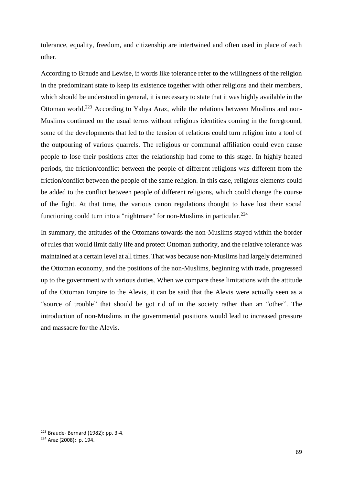tolerance, equality, freedom, and citizenship are intertwined and often used in place of each other.

According to Braude and Lewise, if words like tolerance refer to the willingness of the religion in the predominant state to keep its existence together with other religions and their members, which should be understood in general, it is necessary to state that it was highly available in the Ottoman world.<sup>223</sup> According to Yahya Araz, while the relations between Muslims and non-Muslims continued on the usual terms without religious identities coming in the foreground, some of the developments that led to the tension of relations could turn religion into a tool of the outpouring of various quarrels. The religious or communal affiliation could even cause people to lose their positions after the relationship had come to this stage. In highly heated periods, the friction/conflict between the people of different religions was different from the friction/conflict between the people of the same religion. In this case, religious elements could be added to the conflict between people of different religions, which could change the course of the fight. At that time, the various canon regulations thought to have lost their social functioning could turn into a "nightmare" for non-Muslims in particular.<sup>224</sup>

In summary, the attitudes of the Ottomans towards the non-Muslims stayed within the border of rules that would limit daily life and protect Ottoman authority, and the relative tolerance was maintained at a certain level at all times. That was because non-Muslims had largely determined the Ottoman economy, and the positions of the non-Muslims, beginning with trade, progressed up to the government with various duties. When we compare these limitations with the attitude of the Ottoman Empire to the Alevis, it can be said that the Alevis were actually seen as a "source of trouble" that should be got rid of in the society rather than an "other". The introduction of non-Muslims in the governmental positions would lead to increased pressure and massacre for the Alevis.

<sup>223</sup> Braude- Bernard (1982): pp. 3-4.

<sup>224</sup> Araz (2008): p. 194.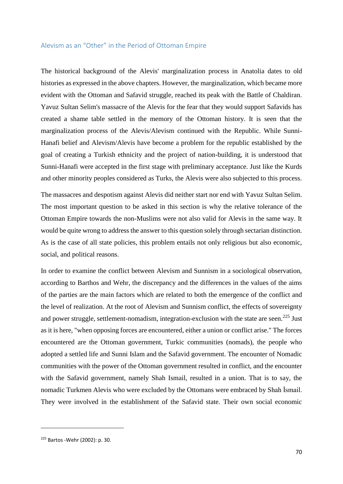## Alevism as an "Other" in the Period of Ottoman Empire

The historical background of the Alevis' marginalization process in Anatolia dates to old histories as expressed in the above chapters. However, the marginalization, which became more evident with the Ottoman and Safavid struggle, reached its peak with the Battle of Chaldiran. Yavuz Sultan Selim's massacre of the Alevis for the fear that they would support Safavids has created a shame table settled in the memory of the Ottoman history. It is seen that the marginalization process of the Alevis/Alevism continued with the Republic. While Sunni-Hanafi belief and Alevism/Alevis have become a problem for the republic established by the goal of creating a Turkish ethnicity and the project of nation-building, it is understood that Sunni-Hanafi were accepted in the first stage with preliminary acceptance. Just like the Kurds and other minority peoples considered as Turks, the Alevis were also subjected to this process.

The massacres and despotism against Alevis did neither start nor end with Yavuz Sultan Selim. The most important question to be asked in this section is why the relative tolerance of the Ottoman Empire towards the non-Muslims were not also valid for Alevis in the same way. It would be quite wrong to address the answer to this question solely through sectarian distinction. As is the case of all state policies, this problem entails not only religious but also economic, social, and political reasons.

In order to examine the conflict between Alevism and Sunnism in a sociological observation, according to Barthos and Wehr, the discrepancy and the differences in the values of the aims of the parties are the main factors which are related to both the emergence of the conflict and the level of realization. At the root of Alevism and Sunnism conflict, the effects of sovereignty and power struggle, settlement-nomadism, integration-exclusion with the state are seen.<sup>225</sup> Just as it is here, "when opposing forces are encountered, either a union or conflict arise." The forces encountered are the Ottoman government, Turkic communities (nomads), the people who adopted a settled life and Sunni Islam and the Safavid government. The encounter of Nomadic communities with the power of the Ottoman government resulted in conflict, and the encounter with the Safavid government, namely Shah Ismail, resulted in a union. That is to say, the nomadic Turkmen Alevis who were excluded by the Ottomans were embraced by Shah İsmail. They were involved in the establishment of the Safavid state. Their own social economic

<sup>225</sup> Bartos -Wehr (2002): p. 30.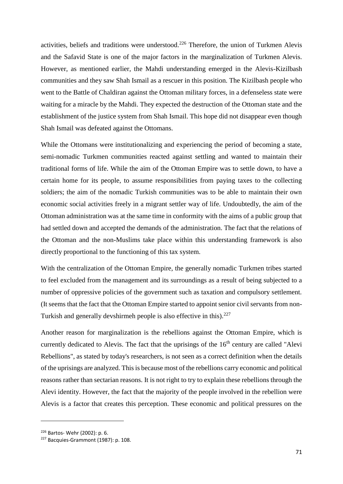activities, beliefs and traditions were understood.<sup>226</sup> Therefore, the union of Turkmen Alevis and the Safavid State is one of the major factors in the marginalization of Turkmen Alevis. However, as mentioned earlier, the Mahdi understanding emerged in the Alevis-Kizilbash communities and they saw Shah Ismail as a rescuer in this position. The Kizilbash people who went to the Battle of Chaldiran against the Ottoman military forces, in a defenseless state were waiting for a miracle by the Mahdi. They expected the destruction of the Ottoman state and the establishment of the justice system from Shah Ismail. This hope did not disappear even though Shah Ismail was defeated against the Ottomans.

While the Ottomans were institutionalizing and experiencing the period of becoming a state, semi-nomadic Turkmen communities reacted against settling and wanted to maintain their traditional forms of life. While the aim of the Ottoman Empire was to settle down, to have a certain home for its people, to assume responsibilities from paying taxes to the collecting soldiers; the aim of the nomadic Turkish communities was to be able to maintain their own economic social activities freely in a migrant settler way of life. Undoubtedly, the aim of the Ottoman administration was at the same time in conformity with the aims of a public group that had settled down and accepted the demands of the administration. The fact that the relations of the Ottoman and the non-Muslims take place within this understanding framework is also directly proportional to the functioning of this tax system.

With the centralization of the Ottoman Empire, the generally nomadic Turkmen tribes started to feel excluded from the management and its surroundings as a result of being subjected to a number of oppressive policies of the government such as taxation and compulsory settlement. (It seems that the fact that the Ottoman Empire started to appoint senior civil servants from non-Turkish and generally devshirmeh people is also effective in this). $227$ 

Another reason for marginalization is the rebellions against the Ottoman Empire, which is currently dedicated to Alevis. The fact that the uprisings of the 16<sup>th</sup> century are called "Alevi Rebellions", as stated by today's researchers, is not seen as a correct definition when the details of the uprisings are analyzed. This is because most of the rebellions carry economic and political reasons rather than sectarian reasons. It is not right to try to explain these rebellions through the Alevi identity. However, the fact that the majority of the people involved in the rebellion were Alevis is a factor that creates this perception. These economic and political pressures on the

 $\overline{a}$ 

<sup>226</sup> Bartos- Wehr (2002): p. 6.

<sup>227</sup> Bacquies-Grammont (1987): p. 108.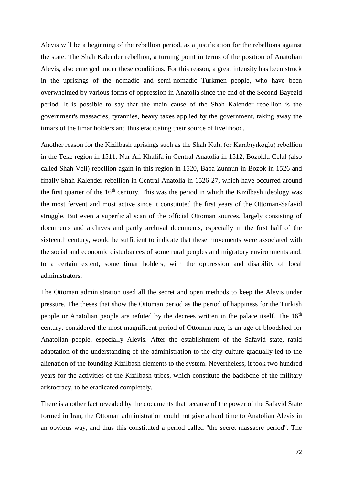Alevis will be a beginning of the rebellion period, as a justification for the rebellions against the state. The Shah Kalender rebellion, a turning point in terms of the position of Anatolian Alevis, also emerged under these conditions. For this reason, a great intensity has been struck in the uprisings of the nomadic and semi-nomadic Turkmen people, who have been overwhelmed by various forms of oppression in Anatolia since the end of the Second Bayezid period. It is possible to say that the main cause of the Shah Kalender rebellion is the government's massacres, tyrannies, heavy taxes applied by the government, taking away the timars of the timar holders and thus eradicating their source of livelihood.

Another reason for the Kizilbash uprisings such as the Shah Kulu (or Karabıyıkoglu) rebellion in the Teke region in 1511, Nur Ali Khalifa in Central Anatolia in 1512, Bozoklu Celal (also called Shah Veli) rebellion again in this region in 1520, Baba Zunnun in Bozok in 1526 and finally Shah Kalender rebellion in Central Anatolia in 1526-27, which have occurred around the first quarter of the  $16<sup>th</sup>$  century. This was the period in which the Kizilbash ideology was the most fervent and most active since it constituted the first years of the Ottoman-Safavid struggle. But even a superficial scan of the official Ottoman sources, largely consisting of documents and archives and partly archival documents, especially in the first half of the sixteenth century, would be sufficient to indicate that these movements were associated with the social and economic disturbances of some rural peoples and migratory environments and, to a certain extent, some timar holders, with the oppression and disability of local administrators.

The Ottoman administration used all the secret and open methods to keep the Alevis under pressure. The theses that show the Ottoman period as the period of happiness for the Turkish people or Anatolian people are refuted by the decrees written in the palace itself. The  $16<sup>th</sup>$ century, considered the most magnificent period of Ottoman rule, is an age of bloodshed for Anatolian people, especially Alevis. After the establishment of the Safavid state, rapid adaptation of the understanding of the administration to the city culture gradually led to the alienation of the founding Kizilbash elements to the system. Nevertheless, it took two hundred years for the activities of the Kizilbash tribes, which constitute the backbone of the military aristocracy, to be eradicated completely.

There is another fact revealed by the documents that because of the power of the Safavid State formed in Iran, the Ottoman administration could not give a hard time to Anatolian Alevis in an obvious way, and thus this constituted a period called "the secret massacre period". The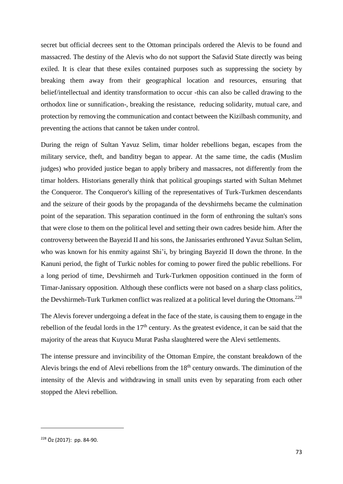secret but official decrees sent to the Ottoman principals ordered the Alevis to be found and massacred. The destiny of the Alevis who do not support the Safavid State directly was being exiled. It is clear that these exiles contained purposes such as suppressing the society by breaking them away from their geographical location and resources, ensuring that belief/intellectual and identity transformation to occur -this can also be called drawing to the orthodox line or sunnification-, breaking the resistance, reducing solidarity, mutual care, and protection by removing the communication and contact between the Kizilbash community, and preventing the actions that cannot be taken under control.

During the reign of Sultan Yavuz Selim, timar holder rebellions began, escapes from the military service, theft, and banditry began to appear. At the same time, the cadis (Muslim judges) who provided justice began to apply bribery and massacres, not differently from the timar holders. Historians generally think that political groupings started with Sultan Mehmet the Conqueror. The Conqueror's killing of the representatives of Turk-Turkmen descendants and the seizure of their goods by the propaganda of the devshirmehs became the culmination point of the separation. This separation continued in the form of enthroning the sultan's sons that were close to them on the political level and setting their own cadres beside him. After the controversy between the Bayezid II and his sons, the Janissaries enthroned Yavuz Sultan Selim, who was known for his enmity against Shi'i, by bringing Bayezid II down the throne. In the Kanuni period, the fight of Turkic nobles for coming to power fired the public rebellions. For a long period of time, Devshirmeh and Turk-Turkmen opposition continued in the form of Timar-Janissary opposition. Although these conflicts were not based on a sharp class politics, the Devshirmeh-Turk Turkmen conflict was realized at a political level during the Ottomans.<sup>228</sup>

The Alevis forever undergoing a defeat in the face of the state, is causing them to engage in the rebellion of the feudal lords in the  $17<sup>th</sup>$  century. As the greatest evidence, it can be said that the majority of the areas that Kuyucu Murat Pasha slaughtered were the Alevi settlements.

The intense pressure and invincibility of the Ottoman Empire, the constant breakdown of the Alevis brings the end of Alevi rebellions from the  $18<sup>th</sup>$  century onwards. The diminution of the intensity of the Alevis and withdrawing in small units even by separating from each other stopped the Alevi rebellion.

<sup>228</sup> Öz (2017): pp. 84-90.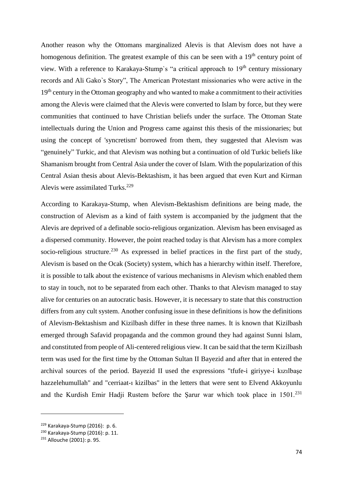Another reason why the Ottomans marginalized Alevis is that Alevism does not have a homogenous definition. The greatest example of this can be seen with a  $19<sup>th</sup>$  century point of view. With a reference to Karakaya-Stump's "a critical approach to  $19<sup>th</sup>$  century missionary records and Ali Gako`s Story", The American Protestant missionaries who were active in the 19<sup>th</sup> century in the Ottoman geography and who wanted to make a commitment to their activities among the Alevis were claimed that the Alevis were converted to Islam by force, but they were communities that continued to have Christian beliefs under the surface. The Ottoman State intellectuals during the Union and Progress came against this thesis of the missionaries; but using the concept of 'syncretism' borrowed from them, they suggested that Alevism was "genuinely" Turkic, and that Alevism was nothing but a continuation of old Turkic beliefs like Shamanism brought from Central Asia under the cover of Islam. With the popularization of this Central Asian thesis about Alevis-Bektashism, it has been argued that even Kurt and Kirman Alevis were assimilated Turks.<sup>229</sup>

According to Karakaya-Stump, when Alevism-Bektashism definitions are being made, the construction of Alevism as a kind of faith system is accompanied by the judgment that the Alevis are deprived of a definable socio-religious organization. Alevism has been envisaged as a dispersed community. However, the point reached today is that Alevism has a more complex socio-religious structure.<sup>230</sup> As expressed in belief practices in the first part of the study, Alevism is based on the Ocak (Society) system, which has a hierarchy within itself. Therefore, it is possible to talk about the existence of various mechanisms in Alevism which enabled them to stay in touch, not to be separated from each other. Thanks to that Alevism managed to stay alive for centuries on an autocratic basis. However, it is necessary to state that this construction differs from any cult system. Another confusing issue in these definitions is how the definitions of Alevism-Bektashism and Kizilbash differ in these three names. It is known that Kizilbash emerged through Safavid propaganda and the common ground they had against Sunni Islam, and constituted from people of Ali-centered religious view. It can be said that the term Kizilbash term was used for the first time by the Ottoman Sultan II Bayezid and after that in entered the archival sources of the period. Bayezid II used the expressions "tfufe-i giriyye-i kızılbaşe hazzelehumullah" and "cerriaat-ı kizilbas" in the letters that were sent to Elvend Akkoyunlu and the Kurdish Emir Hadji Rustem before the Sarur war which took place in  $1501<sup>231</sup>$ 

<sup>229</sup> Karakaya-Stump (2016): p. 6.

<sup>230</sup> Karakaya-Stump (2016): p. 11.

<sup>231</sup> Allouche (2001): p. 95.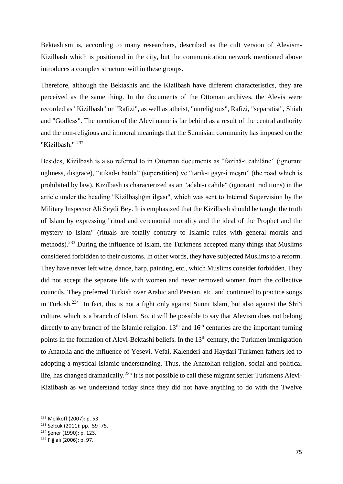Bektashism is, according to many researchers, described as the cult version of Alevism-Kizilbash which is positioned in the city, but the communication network mentioned above introduces a complex structure within these groups.

Therefore, although the Bektashis and the Kizilbash have different characteristics, they are perceived as the same thing. In the documents of the Ottoman archives, the Alevis were recorded as "Kizilbash" or "Rafizi", as well as atheist, "unreligious", Rafizi, "separatist", Shiah and "Godless". The mention of the Alevi name is far behind as a result of the central authority and the non-religious and immoral meanings that the Sunnisian community has imposed on the "Kizilbash." <sup>232</sup>

Besides, Kizilbash is also referred to in Ottoman documents as "fazihâ-i cahilâne" (ignorant ugliness, disgrace), "itikad-ı batıla" (superstition) ve "tarik-i gayr-i meşru" (the road which is prohibited by law). Kizilbash is characterized as an "adaht-ı cahile" (ignorant traditions) in the article under the heading "Kizilbaşlığın ilgası", which was sent to Internal Supervision by the Military Inspector Ali Seydi Bey. It is emphasized that the Kizilbash should be taught the truth of Islam by expressing "ritual and ceremonial morality and the ideal of the Prophet and the mystery to Islam" (rituals are totally contrary to Islamic rules with general morals and methods).<sup>233</sup> During the influence of Islam, the Turkmens accepted many things that Muslims considered forbidden to their customs. In other words, they have subjected Muslims to a reform. They have never left wine, dance, harp, painting, etc., which Muslims consider forbidden. They did not accept the separate life with women and never removed women from the collective councils. They preferred Turkish over Arabic and Persian, etc. and continued to practice songs in Turkish.<sup>234</sup> In fact, this is not a fight only against Sunni Islam, but also against the Shi'i culture, which is a branch of Islam. So, it will be possible to say that Alevism does not belong directly to any branch of the Islamic religion.  $13<sup>th</sup>$  and  $16<sup>th</sup>$  centuries are the important turning points in the formation of Alevi-Bektashi beliefs. In the 13<sup>th</sup> century, the Turkmen immigration to Anatolia and the influence of Yesevi, Vefai, Kalenderi and Haydari Turkmen fathers led to adopting a mystical Islamic understanding. Thus, the Anatolian religion, social and political life, has changed dramatically.<sup>235</sup> It is not possible to call these migrant settler Turkmens Alevi-Kizilbash as we understand today since they did not have anything to do with the Twelve

 $\overline{a}$ 

<sup>232</sup> Melikoff (2007): p. 53.

<sup>233</sup> Selcuk (2011): pp. 59 -75.

<sup>234</sup> Şener (1990): p. 123.

<sup>235</sup> Fığlalı (2006): p. 97.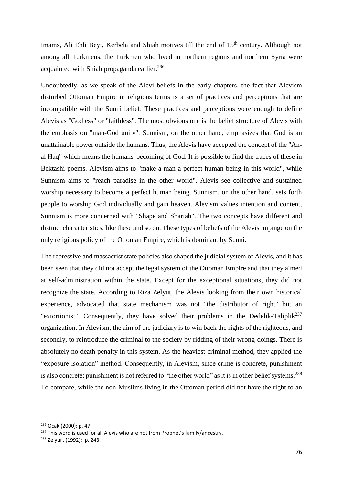Imams, Ali Ehli Beyt, Kerbela and Shiah motives till the end of 15<sup>th</sup> century. Although not among all Turkmens, the Turkmen who lived in northern regions and northern Syria were acquainted with Shiah propaganda earlier. 236

Undoubtedly, as we speak of the Alevi beliefs in the early chapters, the fact that Alevism disturbed Ottoman Empire in religious terms is a set of practices and perceptions that are incompatible with the Sunni belief. These practices and perceptions were enough to define Alevis as "Godless" or "faithless". The most obvious one is the belief structure of Alevis with the emphasis on "man-God unity". Sunnism, on the other hand, emphasizes that God is an unattainable power outside the humans. Thus, the Alevis have accepted the concept of the "Anal Haq" which means the humans' becoming of God. It is possible to find the traces of these in Bektashi poems. Alevism aims to "make a man a perfect human being in this world", while Sunnism aims to "reach paradise in the other world". Alevis see collective and sustained worship necessary to become a perfect human being. Sunnism, on the other hand, sets forth people to worship God individually and gain heaven. Alevism values intention and content, Sunnism is more concerned with "Shape and Shariah". The two concepts have different and distinct characteristics, like these and so on. These types of beliefs of the Alevis impinge on the only religious policy of the Ottoman Empire, which is dominant by Sunni.

The repressive and massacrist state policies also shaped the judicial system of Alevis, and it has been seen that they did not accept the legal system of the Ottoman Empire and that they aimed at self-administration within the state. Except for the exceptional situations, they did not recognize the state. According to Riza Zelyut, the Alevis looking from their own historical experience, advocated that state mechanism was not "the distributor of right" but an "extortionist". Consequently, they have solved their problems in the Dedelik-Taliplik<sup>237</sup> organization. In Alevism, the aim of the judiciary is to win back the rights of the righteous, and secondly, to reintroduce the criminal to the society by ridding of their wrong-doings. There is absolutely no death penalty in this system. As the heaviest criminal method, they applied the "exposure-isolation" method. Consequently, in Alevism, since crime is concrete, punishment is also concrete; punishment is not referred to "the other world" as it is in other belief systems.<sup>238</sup> To compare, while the non-Muslims living in the Ottoman period did not have the right to an

<sup>236</sup> Ocak (2000): p. 47.

<sup>&</sup>lt;sup>237</sup> This word is used for all Alevis who are not from Prophet's family/ancestry.

<sup>238</sup> Zelyurt (1992): p. 243.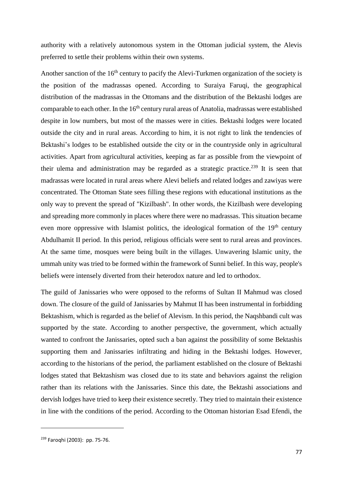authority with a relatively autonomous system in the Ottoman judicial system, the Alevis preferred to settle their problems within their own systems.

Another sanction of the  $16<sup>th</sup>$  century to pacify the Alevi-Turkmen organization of the society is the position of the madrassas opened. According to Suraiya Faruqi, the geographical distribution of the madrassas in the Ottomans and the distribution of the Bektashi lodges are comparable to each other. In the 16<sup>th</sup> century rural areas of Anatolia, madrassas were established despite in low numbers, but most of the masses were in cities. Bektashi lodges were located outside the city and in rural areas. According to him, it is not right to link the tendencies of Bektashi's lodges to be established outside the city or in the countryside only in agricultural activities. Apart from agricultural activities, keeping as far as possible from the viewpoint of their ulema and administration may be regarded as a strategic practice.<sup>239</sup> It is seen that madrassas were located in rural areas where Alevi beliefs and related lodges and zawiyas were concentrated. The Ottoman State sees filling these regions with educational institutions as the only way to prevent the spread of "Kizilbash". In other words, the Kizilbash were developing and spreading more commonly in places where there were no madrassas. This situation became even more oppressive with Islamist politics, the ideological formation of the  $19<sup>th</sup>$  century Abdulhamit II period. In this period, religious officials were sent to rural areas and provinces. At the same time, mosques were being built in the villages. Unwavering Islamic unity, the ummah unity was tried to be formed within the framework of Sunni belief. In this way, people's beliefs were intensely diverted from their heterodox nature and led to orthodox.

The guild of Janissaries who were opposed to the reforms of Sultan II Mahmud was closed down. The closure of the guild of Janissaries by Mahmut II has been instrumental in forbidding Bektashism, which is regarded as the belief of Alevism. In this period, the Naqshbandi cult was supported by the state. According to another perspective, the government, which actually wanted to confront the Janissaries, opted such a ban against the possibility of some Bektashis supporting them and Janissaries infiltrating and hiding in the Bektashi lodges. However, according to the historians of the period, the parliament established on the closure of Bektashi lodges stated that Bektashism was closed due to its state and behaviors against the religion rather than its relations with the Janissaries. Since this date, the Bektashi associations and dervish lodges have tried to keep their existence secretly. They tried to maintain their existence in line with the conditions of the period. According to the Ottoman historian Esad Efendi, the

<sup>239</sup> Faroqhi (2003): pp. 75-76.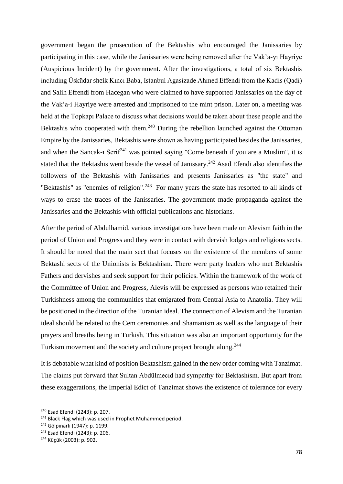government began the prosecution of the Bektashis who encouraged the Janissaries by participating in this case, while the Janissaries were being removed after the Vak'a-yı Hayriye (Auspicious Incident) by the government. After the investigations, a total of six Bektashis including Üsküdar sheik Kıncı Baba, Istanbul Agasizade Ahmed Effendi from the Kadis (Qadi) and Salih Effendi from Hacegan who were claimed to have supported Janissaries on the day of the Vak'a-i Hayriye were arrested and imprisoned to the mint prison. Later on, a meeting was held at the Topkapı Palace to discuss what decisions would be taken about these people and the Bektashis who cooperated with them.<sup>240</sup> During the rebellion launched against the Ottoman Empire by the Janissaries, Bektashis were shown as having participated besides the Janissaries, and when the Sancak-i Serif<sup>241</sup> was pointed saying "Come beneath if you are a Muslim", it is stated that the Bektashis went beside the vessel of Janissary.<sup>242</sup> Asad Efendi also identifies the followers of the Bektashis with Janissaries and presents Janissaries as "the state" and "Bektashis" as "enemies of religion".<sup>243</sup> For many years the state has resorted to all kinds of ways to erase the traces of the Janissaries. The government made propaganda against the Janissaries and the Bektashis with official publications and historians.

After the period of Abdulhamid, various investigations have been made on Alevism faith in the period of Union and Progress and they were in contact with dervish lodges and religious sects. It should be noted that the main sect that focuses on the existence of the members of some Bektashi sects of the Unionists is Bektashism. There were party leaders who met Bektashis Fathers and dervishes and seek support for their policies. Within the framework of the work of the Committee of Union and Progress, Alevis will be expressed as persons who retained their Turkishness among the communities that emigrated from Central Asia to Anatolia. They will be positioned in the direction of the Turanian ideal. The connection of Alevism and the Turanian ideal should be related to the Cem ceremonies and Shamanism as well as the language of their prayers and breaths being in Turkish. This situation was also an important opportunity for the Turkism movement and the society and culture project brought along.<sup>244</sup>

It is debatable what kind of position Bektashism gained in the new order coming with Tanzimat. The claims put forward that Sultan Abdülmecid had sympathy for Bektashism. But apart from these exaggerations, the Imperial Edict of Tanzimat shows the existence of tolerance for every

<sup>240</sup> Esad Efendi (1243): p. 207.

<sup>&</sup>lt;sup>241</sup> Black Flag which was used in Prophet Muhammed period.

<sup>242</sup> Gölpınarlı (1947): p. 1199.

<sup>243</sup> Esad Efendi (1243): p. 206.

<sup>244</sup> Küçük (2003): p. 902.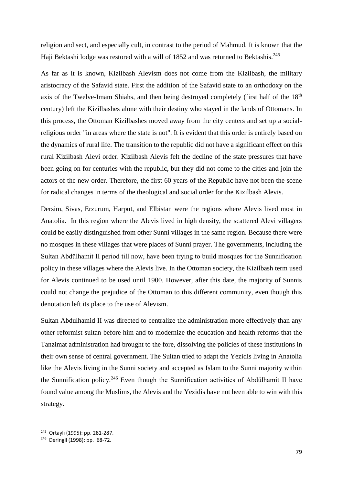religion and sect, and especially cult, in contrast to the period of Mahmud. It is known that the Haji Bektashi lodge was restored with a will of 1852 and was returned to Bektashis.<sup>245</sup>

As far as it is known, Kizilbash Alevism does not come from the Kizilbash, the military aristocracy of the Safavid state. First the addition of the Safavid state to an orthodoxy on the axis of the Twelve-Imam Shiahs, and then being destroyed completely (first half of the 18<sup>th</sup>) century) left the Kizilbashes alone with their destiny who stayed in the lands of Ottomans. In this process, the Ottoman Kizilbashes moved away from the city centers and set up a socialreligious order "in areas where the state is not". It is evident that this order is entirely based on the dynamics of rural life. The transition to the republic did not have a significant effect on this rural Kizilbash Alevi order. Kizilbash Alevis felt the decline of the state pressures that have been going on for centuries with the republic, but they did not come to the cities and join the actors of the new order. Therefore, the first 60 years of the Republic have not been the scene for radical changes in terms of the theological and social order for the Kizilbash Alevis.

Dersim, Sivas, Erzurum, Harput, and Elbistan were the regions where Alevis lived most in Anatolia. In this region where the Alevis lived in high density, the scattered Alevi villagers could be easily distinguished from other Sunni villages in the same region. Because there were no mosques in these villages that were places of Sunni prayer. The governments, including the Sultan Abdülhamit II period till now, have been trying to build mosques for the Sunnification policy in these villages where the Alevis live. In the Ottoman society, the Kizilbash term used for Alevis continued to be used until 1900. However, after this date, the majority of Sunnis could not change the prejudice of the Ottoman to this different community, even though this denotation left its place to the use of Alevism.

Sultan Abdulhamid II was directed to centralize the administration more effectively than any other reformist sultan before him and to modernize the education and health reforms that the Tanzimat administration had brought to the fore, dissolving the policies of these institutions in their own sense of central government. The Sultan tried to adapt the Yezidis living in Anatolia like the Alevis living in the Sunni society and accepted as Islam to the Sunni majority within the Sunnification policy.<sup>246</sup> Even though the Sunnification activities of Abdülhamit II have found value among the Muslims, the Alevis and the Yezidis have not been able to win with this strategy.

 $\overline{a}$ 

<sup>245</sup> Ortaylı (1995): pp. 281-287.

<sup>246</sup> Deringil (1998): pp. 68-72.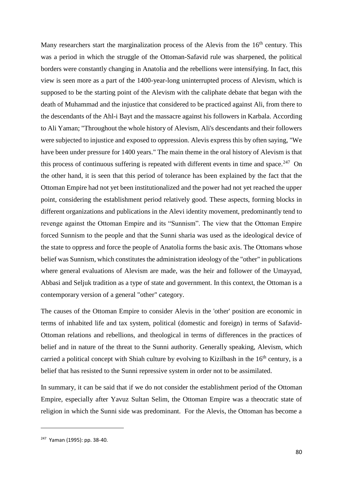Many researchers start the marginalization process of the Alevis from the  $16<sup>th</sup>$  century. This was a period in which the struggle of the Ottoman-Safavid rule was sharpened, the political borders were constantly changing in Anatolia and the rebellions were intensifying. In fact, this view is seen more as a part of the 1400-year-long uninterrupted process of Alevism, which is supposed to be the starting point of the Alevism with the caliphate debate that began with the death of Muhammad and the injustice that considered to be practiced against Ali, from there to the descendants of the Ahl-i Bayt and the massacre against his followers in Karbala. According to Ali Yaman; "Throughout the whole history of Alevism, Ali's descendants and their followers were subjected to injustice and exposed to oppression. Alevis express this by often saying, "We have been under pressure for 1400 years." The main theme in the oral history of Alevism is that this process of continuous suffering is repeated with different events in time and space.<sup>247</sup> On the other hand, it is seen that this period of tolerance has been explained by the fact that the Ottoman Empire had not yet been institutionalized and the power had not yet reached the upper point, considering the establishment period relatively good. These aspects, forming blocks in different organizations and publications in the Alevi identity movement, predominantly tend to revenge against the Ottoman Empire and its "Sunnism". The view that the Ottoman Empire forced Sunnism to the people and that the Sunni sharia was used as the ideological device of the state to oppress and force the people of Anatolia forms the basic axis. The Ottomans whose belief was Sunnism, which constitutes the administration ideology of the "other" in publications where general evaluations of Alevism are made, was the heir and follower of the Umayyad, Abbasi and Seljuk tradition as a type of state and government. In this context, the Ottoman is a contemporary version of a general "other" category.

The causes of the Ottoman Empire to consider Alevis in the 'other' position are economic in terms of inhabited life and tax system, political (domestic and foreign) in terms of Safavid-Ottoman relations and rebellions, and theological in terms of differences in the practices of belief and in nature of the threat to the Sunni authority. Generally speaking, Alevism, which carried a political concept with Shiah culture by evolving to Kizilbash in the  $16<sup>th</sup>$  century, is a belief that has resisted to the Sunni repressive system in order not to be assimilated.

In summary, it can be said that if we do not consider the establishment period of the Ottoman Empire, especially after Yavuz Sultan Selim, the Ottoman Empire was a theocratic state of religion in which the Sunni side was predominant. For the Alevis, the Ottoman has become a

<sup>247</sup> Yaman (1995): pp. 38-40.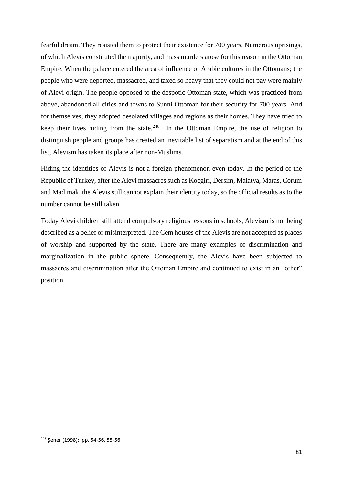fearful dream. They resisted them to protect their existence for 700 years. Numerous uprisings, of which Alevis constituted the majority, and mass murders arose for this reason in the Ottoman Empire. When the palace entered the area of influence of Arabic cultures in the Ottomans; the people who were deported, massacred, and taxed so heavy that they could not pay were mainly of Alevi origin. The people opposed to the despotic Ottoman state, which was practiced from above, abandoned all cities and towns to Sunni Ottoman for their security for 700 years. And for themselves, they adopted desolated villages and regions as their homes. They have tried to keep their lives hiding from the state. $248$  In the Ottoman Empire, the use of religion to distinguish people and groups has created an inevitable list of separatism and at the end of this list, Alevism has taken its place after non-Muslims.

Hiding the identities of Alevis is not a foreign phenomenon even today. In the period of the Republic of Turkey, after the Alevi massacres such as Kocgiri, Dersim, Malatya, Maras, Corum and Madimak, the Alevis still cannot explain their identity today, so the official results as to the number cannot be still taken.

Today Alevi children still attend compulsory religious lessons in schools, Alevism is not being described as a belief or misinterpreted. The Cem houses of the Alevis are not accepted as places of worship and supported by the state. There are many examples of discrimination and marginalization in the public sphere. Consequently, the Alevis have been subjected to massacres and discrimination after the Ottoman Empire and continued to exist in an "other" position.

<sup>248</sup> Şener (1998): pp. 54-56, 55-56.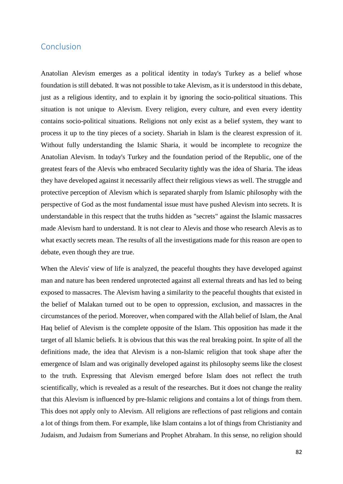## Conclusion

Anatolian Alevism emerges as a political identity in today's Turkey as a belief whose foundation is still debated. It was not possible to take Alevism, as it is understood in this debate, just as a religious identity, and to explain it by ignoring the socio-political situations. This situation is not unique to Alevism. Every religion, every culture, and even every identity contains socio-political situations. Religions not only exist as a belief system, they want to process it up to the tiny pieces of a society. Shariah in Islam is the clearest expression of it. Without fully understanding the Islamic Sharia, it would be incomplete to recognize the Anatolian Alevism. In today's Turkey and the foundation period of the Republic, one of the greatest fears of the Alevis who embraced Secularity tightly was the idea of Sharia. The ideas they have developed against it necessarily affect their religious views as well. The struggle and protective perception of Alevism which is separated sharply from Islamic philosophy with the perspective of God as the most fundamental issue must have pushed Alevism into secrets. It is understandable in this respect that the truths hidden as "secrets" against the Islamic massacres made Alevism hard to understand. It is not clear to Alevis and those who research Alevis as to what exactly secrets mean. The results of all the investigations made for this reason are open to debate, even though they are true.

When the Alevis' view of life is analyzed, the peaceful thoughts they have developed against man and nature has been rendered unprotected against all external threats and has led to being exposed to massacres. The Alevism having a similarity to the peaceful thoughts that existed in the belief of Malakan turned out to be open to oppression, exclusion, and massacres in the circumstances of the period. Moreover, when compared with the Allah belief of Islam, the Anal Haq belief of Alevism is the complete opposite of the Islam. This opposition has made it the target of all Islamic beliefs. It is obvious that this was the real breaking point. In spite of all the definitions made, the idea that Alevism is a non-Islamic religion that took shape after the emergence of Islam and was originally developed against its philosophy seems like the closest to the truth. Expressing that Alevism emerged before Islam does not reflect the truth scientifically, which is revealed as a result of the researches. But it does not change the reality that this Alevism is influenced by pre-Islamic religions and contains a lot of things from them. This does not apply only to Alevism. All religions are reflections of past religions and contain a lot of things from them. For example, like Islam contains a lot of things from Christianity and Judaism, and Judaism from Sumerians and Prophet Abraham. In this sense, no religion should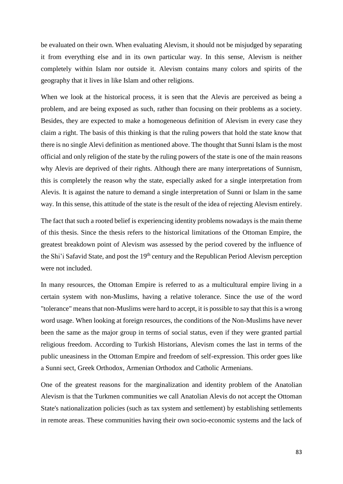be evaluated on their own. When evaluating Alevism, it should not be misjudged by separating it from everything else and in its own particular way. In this sense, Alevism is neither completely within Islam nor outside it. Alevism contains many colors and spirits of the geography that it lives in like Islam and other religions.

When we look at the historical process, it is seen that the Alevis are perceived as being a problem, and are being exposed as such, rather than focusing on their problems as a society. Besides, they are expected to make a homogeneous definition of Alevism in every case they claim a right. The basis of this thinking is that the ruling powers that hold the state know that there is no single Alevi definition as mentioned above. The thought that Sunni Islam is the most official and only religion of the state by the ruling powers of the state is one of the main reasons why Alevis are deprived of their rights. Although there are many interpretations of Sunnism, this is completely the reason why the state, especially asked for a single interpretation from Alevis. It is against the nature to demand a single interpretation of Sunni or Islam in the same way. In this sense, this attitude of the state is the result of the idea of rejecting Alevism entirely.

The fact that such a rooted belief is experiencing identity problems nowadays is the main theme of this thesis. Since the thesis refers to the historical limitations of the Ottoman Empire, the greatest breakdown point of Alevism was assessed by the period covered by the influence of the Shi'i Safavid State, and post the 19<sup>th</sup> century and the Republican Period Alevism perception were not included.

In many resources, the Ottoman Empire is referred to as a multicultural empire living in a certain system with non-Muslims, having a relative tolerance. Since the use of the word "tolerance" means that non-Muslims were hard to accept, it is possible to say that this is a wrong word usage. When looking at foreign resources, the conditions of the Non-Muslims have never been the same as the major group in terms of social status, even if they were granted partial religious freedom. According to Turkish Historians, Alevism comes the last in terms of the public uneasiness in the Ottoman Empire and freedom of self-expression. This order goes like a Sunni sect, Greek Orthodox, Armenian Orthodox and Catholic Armenians.

One of the greatest reasons for the marginalization and identity problem of the Anatolian Alevism is that the Turkmen communities we call Anatolian Alevis do not accept the Ottoman State's nationalization policies (such as tax system and settlement) by establishing settlements in remote areas. These communities having their own socio-economic systems and the lack of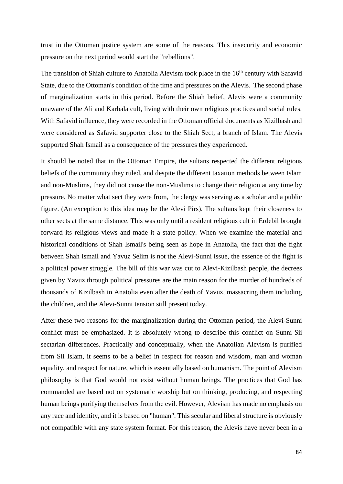trust in the Ottoman justice system are some of the reasons. This insecurity and economic pressure on the next period would start the "rebellions".

The transition of Shiah culture to Anatolia Alevism took place in the  $16<sup>th</sup>$  century with Safavid State, due to the Ottoman's condition of the time and pressures on the Alevis. The second phase of marginalization starts in this period. Before the Shiah belief, Alevis were a community unaware of the Ali and Karbala cult, living with their own religious practices and social rules. With Safavid influence, they were recorded in the Ottoman official documents as Kizilbash and were considered as Safavid supporter close to the Shiah Sect, a branch of Islam. The Alevis supported Shah Ismail as a consequence of the pressures they experienced.

It should be noted that in the Ottoman Empire, the sultans respected the different religious beliefs of the community they ruled, and despite the different taxation methods between Islam and non-Muslims, they did not cause the non-Muslims to change their religion at any time by pressure. No matter what sect they were from, the clergy was serving as a scholar and a public figure. (An exception to this idea may be the Alevi Pirs). The sultans kept their closeness to other sects at the same distance. This was only until a resident religious cult in Erdebil brought forward its religious views and made it a state policy. When we examine the material and historical conditions of Shah Ismail's being seen as hope in Anatolia, the fact that the fight between Shah Ismail and Yavuz Selim is not the Alevi-Sunni issue, the essence of the fight is a political power struggle. The bill of this war was cut to Alevi-Kizilbash people, the decrees given by Yavuz through political pressures are the main reason for the murder of hundreds of thousands of Kizilbash in Anatolia even after the death of Yavuz, massacring them including the children, and the Alevi-Sunni tension still present today.

After these two reasons for the marginalization during the Ottoman period, the Alevi-Sunni conflict must be emphasized. It is absolutely wrong to describe this conflict on Sunni-Sii sectarian differences. Practically and conceptually, when the Anatolian Alevism is purified from Sii Islam, it seems to be a belief in respect for reason and wisdom, man and woman equality, and respect for nature, which is essentially based on humanism. The point of Alevism philosophy is that God would not exist without human beings. The practices that God has commanded are based not on systematic worship but on thinking, producing, and respecting human beings purifying themselves from the evil. However, Alevism has made no emphasis on any race and identity, and it is based on "human". This secular and liberal structure is obviously not compatible with any state system format. For this reason, the Alevis have never been in a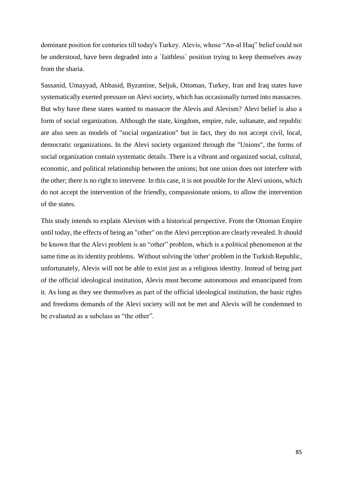dominant position for centuries till today's Turkey. Alevis, whose "An-al Haq" belief could not be understood, have been degraded into a `faithless` position trying to keep themselves away from the sharia.

Sassanid, Umayyad, Abbasid, Byzantine, Seljuk, Ottoman, Turkey, Iran and Iraq states have systematically exerted pressure on Alevi society, which has occasionally turned into massacres. But why have these states wanted to massacre the Alevis and Alevism? Alevi belief is also a form of social organization. Although the state, kingdom, empire, rule, sultanate, and republic are also seen as models of "social organization" but in fact, they do not accept civil, local, democratic organizations. In the Alevi society organized through the "Unions", the forms of social organization contain systematic details. There is a vibrant and organized social, cultural, economic, and political relationship between the unions; but one union does not interfere with the other; there is no right to intervene. In this case, it is not possible for the Alevi unions, which do not accept the intervention of the friendly, compassionate unions, to allow the intervention of the states.

This study intends to explain Alevism with a historical perspective. From the Ottoman Empire until today, the effects of being an "other" on the Alevi perception are clearly revealed. It should be known that the Alevi problem is an "other" problem, which is a political phenomenon at the same time as its identity problems. Without solving the 'other' problem in the Turkish Republic, unfortunately, Alevis will not be able to exist just as a religious identity. Instead of being part of the official ideological institution, Alevis must become autonomous and emancipated from it. As long as they see themselves as part of the official ideological institution, the basic rights and freedoms demands of the Alevi society will not be met and Alevis will be condemned to be evaluated as a subclass as "the other".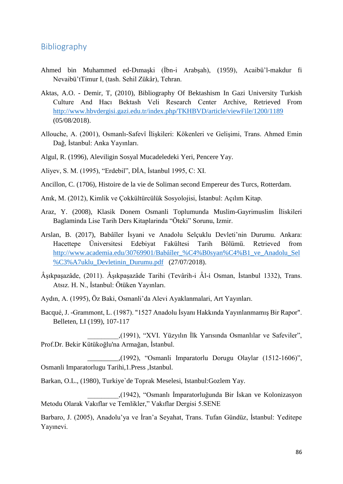## Bibliography

- Ahmed bin Muhammed ed-Dımaşki (İbn-i Arabşah), (1959), Acaibü'l-makdur fi Nevaibü'tTimur I, (tash. Sehil Zükâr), Tehran.
- Aktas, A.O. Demir, T, (2010), Bibliography Of Bektashism In Gazi University Turkish Culture And Hacı Bektash Veli Research Center Archive, Retrieved From <http://www.hbvdergisi.gazi.edu.tr/index.php/TKHBVD/article/viewFile/1200/1189> (05/08/2018).
- Allouche, A. (2001), Osmanlı-Safevî İlişkileri: Kökenleri ve Gelişimi, Trans. Ahmed Emin Dağ, İstanbul: Anka Yayınları.
- Algul, R. (1996), Aleviligin Sosyal Mucadeledeki Yeri, Pencere Yay.
- Aliyev, S. M. (1995), "Erdebil", DİA, İstanbul 1995, C: XI.
- Ancillon, C. (1706), Histoire de la vie de Soliman second Empereur des Turcs, Rotterdam.
- Anık, M. (2012), Kimlik ve Çokkültürcülük Sosyolojisi, İstanbul: Açılım Kitap.
- Araz, Y. (2008), Klasik Donem Osmanli Toplumunda Muslim-Gayrimuslim İliskileri Baglaminda Lise Tarih Ders Kitaplarinda "Öteki" Sorunu, Izmir.
- Arslan, B. (2017), Babâîler İsyani ve Anadolu Selçuklu Devleti'nin Durumu. Ankara: Hacettepe Üniversitesi Edebiyat Fakültesi Tarih Bölümü. Retrieved from http://www.academia.edu/30769901/Babâîler %C4%B0syan%C4%B1\_ve\_Anadolu\_Sel [%C3%A7uklu\\_Devletinin\\_Durumu.pdf](http://www.academia.edu/30769901/Babailer_%C4%B0syan%C4%B1_ve_Anadolu_Sel%C3%A7uklu_Devletinin_Durumu.pdf) (27/07/2018).
- Âşıkpaşazâde, (2011). Âşıkpaşazâde Tarihi (Tevârih-i Âl-i Osman, İstanbul 1332), Trans. Atsız. H. N., İstanbul: Ötüken Yayınları.
- Aydın, A. (1995), Öz Baki, Osmanli'da Alevi Ayaklanmalari, Art Yayınları.
- Bacqué, J. -Grammont, L. (1987). "1527 Anadolu İsyanı Hakkında Yayınlanmamış Bir Rapor". Belleten, LI (199), 107-117

 \_\_\_\_\_\_\_\_\_,(1991), "XVI. Yüzyılın İlk Yarısında Osmanlılar ve Safeviler", Prof.Dr. Bekir Kütükoğlu'na Armağan, İstanbul.

 $\ldots$ (1992), "Osmanli Imparatorlu Dorugu Olaylar (1512-1606)", Osmanli Imparatorlugu Tarihi,1.Press ,Istanbul.

Barkan, O.L., (1980), Turkiye`de Toprak Meselesi, Istanbul:Gozlem Yay.

 \_\_\_\_\_\_\_\_\_,(1942), "Osmanlı İmparatorluğunda Bir İskan ve Kolonizasyon Metodu Olarak Vakıflar ve Temlikler," Vakıflar Dergisi 5.SENE

Barbaro, J. (2005), Anadolu'ya ve İran'a Seyahat, Trans. Tufan Gündüz, İstanbul: Yeditepe Yayınevi.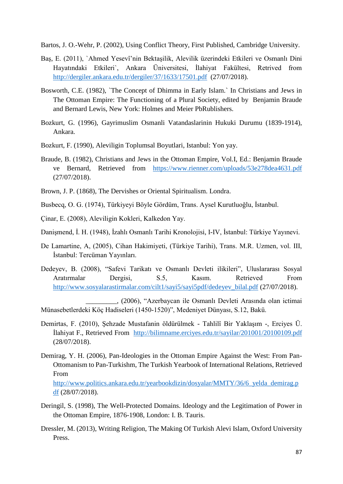Bartos, J. O.-Wehr, P. (2002), Using Conflict Theory, First Published, Cambridge University.

- Baş, E. (2011), `Ahmed Yesevî'nin Bektaşilik, Alevilik üzerindeki Etkileri ve Osmanlı Dini Hayatındaki Etkileri`, Ankara Üniversitesi, İlahiyat Fakültesi, Retrived from <http://dergiler.ankara.edu.tr/dergiler/37/1633/17501.pdf>(27/07/2018).
- Bosworth, C.E. (1982), `The Concept of Dhimma in Early Islam.` In Christians and Jews in The Ottoman Empire: The Functioning of a Plural Society, edited by Benjamin Braude and Bernard Lewis, New York: Holmes and Meier PbRublishers.
- Bozkurt, G. (1996), Gayrimuslim Osmanli Vatandaslarinin Hukuki Durumu (1839-1914), Ankara.
- Bozkurt, F. (1990), Aleviligin Toplumsal Boyutlari, Istanbul: Yon yay.
- Braude, B. (1982), Christians and Jews in the Ottoman Empire, Vol.I, Ed.: Benjamin Braude ve Bernard, Retrieved from <https://www.rienner.com/uploads/53e278dea4631.pdf> (27/07/2018).
- Brown, J. P. (1868), The Dervishes or Oriental Spiritualism. Londra.
- Busbecq, O. G. (1974), Türkiyeyi Böyle Gördüm, Trans. Aysel Kurutluoğlu, İstanbul.
- Çinar, E. (2008), Aleviligin Kokleri, Kalkedon Yay.
- Danişmend, İ. H. (1948), İzahlı Osmanlı Tarihi Kronolojisi, I-IV, İstanbul: Türkiye Yayınevi.
- De Lamartine, A, (2005), Cihan Hakimiyeti, (Türkiye Tarihi), Trans. M.R. Uzmen, vol. III, İstanbul: Tercüman Yayınları.
- Dedeyev, B. (2008), "Safevi Tarikatı ve Osmanlı Devleti ilikileri", Uluslararası Sosyal Aratırmalar Dergisi, S.5, Kasım. Retrieved From [http://www.sosyalarastirmalar.com/cilt1/sayi5/sayi5pdf/dedeyev\\_bilal.pdf](http://www.sosyalarastirmalar.com/cilt1/sayi5/sayi5pdf/dedeyev_bilal.pdf) (27/07/2018).

 \_\_\_\_\_\_\_\_\_, (2006), "Azerbaycan ile Osmanlı Devleti Arasında olan ictimai Münasebetlerdeki Köç Hadiseleri (1450-1520)", Medeniyet Dünyası, S.12, Bakü.

- Demirtas, F. (2010), Şehzade Mustafanin öldürülmek Tahlilî Bir Yaklaşım -, Erciyes Ü. İlahiyat F., Retrieved From <http://bilimname.erciyes.edu.tr/sayilar/201001/20100109.pdf> (28/07/2018).
- Demirag, Y. H. (2006), Pan-Ideologies in the Ottoman Empire Against the West: From Pan-Ottomanism to Pan-Turkishm, The Turkish Yearbook of International Relations, Retrieved From

[http://www.politics.ankara.edu.tr/yearbookdizin/dosyalar/MMTY/36/6\\_yelda\\_demirag.p](http://www.politics.ankara.edu.tr/yearbookdizin/dosyalar/MMTY/36/6_yelda_demirag.pdf) [df](http://www.politics.ankara.edu.tr/yearbookdizin/dosyalar/MMTY/36/6_yelda_demirag.pdf) (28/07/2018).

- Deringil, S. (1998), The Well-Protected Domains. Ideology and the Legitimation of Power in the Ottoman Empire, 1876-1908, London: I. B. Tauris.
- Dressler, M. (2013), Writing Religion, The Making Of Turkish Alevi Islam, Oxford University Press.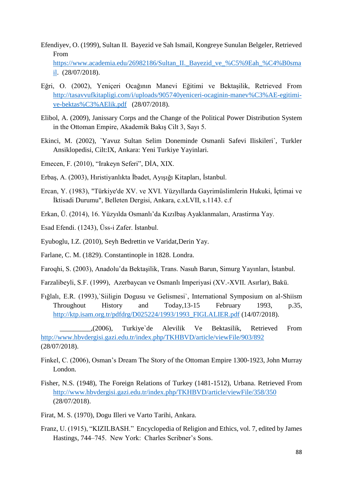- Efendiyev, O. (1999), Sultan II. Bayezid ve Sah Ismail, Kongreye Sunulan Belgeler, Retrieved From [https://www.academia.edu/26982186/Sultan\\_II.\\_Bayezid\\_ve\\_%C5%9Eah\\_%C4%B0sma](https://www.academia.edu/26982186/Sultan_II._Bayezid_ve_%C5%9Eah_%C4%B0smail) [il.](https://www.academia.edu/26982186/Sultan_II._Bayezid_ve_%C5%9Eah_%C4%B0smail) (28/07/2018).
- Eğri, O. (2002), Yeniçeri Ocağının Manevi Eğitimi ve Bektaşilik, Retrieved From [http://tasavvufkitapligi.com/i/uploads/905740yeniceri-ocaginin-manev%C3%AE-egitimi](http://tasavvufkitapligi.com/i/uploads/905740yeniceri-ocaginin-manev%C3%AE-egitimi-ve-bektas%C3%AElik.pdf)[ve-bektas%C3%AElik.pdf](http://tasavvufkitapligi.com/i/uploads/905740yeniceri-ocaginin-manev%C3%AE-egitimi-ve-bektas%C3%AElik.pdf) (28/07/2018).
- Elibol, A. (2009), Janissary Corps and the Change of the Political Power Distribution System in the Ottoman Empire, Akademik Bakış Cilt 3, Sayı 5.
- Ekinci, M. (2002), `Yavuz Sultan Selim Doneminde Osmanli Safevi Iliskileri`, Turkler Ansiklopedisi, Cilt:IX, Ankara: Yeni Turkiye Yayinlari.
- Emecen, F. (2010), "Irakeyn Seferi", DİA, XIX.
- Erbaş, A. (2003), Hıristiyanlıkta İbadet, Ayışığı Kitapları, İstanbul.
- Ercan, Y. (1983), "Türkiye'de XV. ve XVI. Yüzyıllarda Gayrimüslimlerin Hukuki, İçtimai ve İktisadi Durumu", Belleten Dergisi, Ankara, c.xLVII, s.1143. c.f
- Erkan, Ü. (2014), 16. Yüzyılda Osmanlı'da Kızılbaş Ayaklanmaları, Arastirma Yay.
- Esad Efendi. (1243), Üss-i Zafer. İstanbul.
- Eyuboglu, I.Z. (2010), Seyh Bedrettin ve Varidat,Derin Yay.
- Farlane, C. M. (1829). Constantinople in 1828. Londra.
- Faroqhi, S. (2003), Anadolu'da Bektaşilik, Trans. Nasuh Barun, Simurg Yayınları, İstanbul.
- Farzalibeyli, S.F. (1999), Azerbaycan ve Osmanlı Imperiyasi (XV.-XVII. Asırlar), Bakü.
- Fığlalı, E.R. (1993),`Siiligin Dogusu ve Gelismesi`, International Symposium on al-Shiism Throughout History and Today,13-15 February 1993, p.35, [http://ktp.isam.org.tr/pdfdrg/D025224/1993/1993\\_FIGLALIER.pdf](http://ktp.isam.org.tr/pdfdrg/D025224/1993/1993_FIGLALIER.pdf) (14/07/2018).

 \_\_\_\_\_\_\_\_\_,(2006), Turkiye`de Alevilik Ve Bektasilik, Retrieved From <http://www.hbvdergisi.gazi.edu.tr/index.php/TKHBVD/article/viewFile/903/892> (28/07/2018).

- Finkel, C. (2006), Osman's Dream The Story of the Ottoman Empire 1300-1923, John Murray London.
- Fisher, N.S. (1948), The Foreign Relations of Turkey (1481-1512), Urbana. Retrieved From <http://www.hbvdergisi.gazi.edu.tr/index.php/TKHBVD/article/viewFile/358/350> (28/07/2018).
- Firat, M. S. (1970), Dogu Illeri ve Varto Tarihi, Ankara.
- Franz, U. (1915), "KIZILBASH." Encyclopedia of Religion and Ethics, vol. 7, edited by James Hastings, 744–745. New York: Charles Scribner's Sons.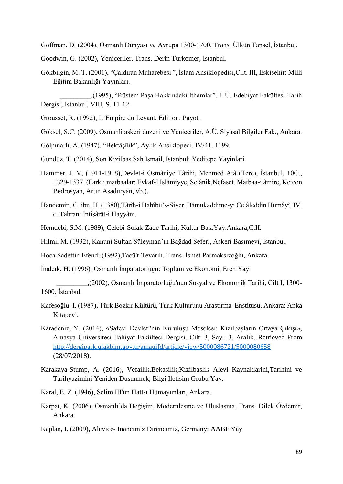Goffman, D. (2004), Osmanlı Dünyası ve Avrupa 1300-1700, Trans. Ülkün Tansel, İstanbul.

Goodwin, G. (2002), Yeniceriler, Trans. Derin Turkomer, Istanbul.

Gökbilgin, M. T. (2001), "Çaldıran Muharebesi ", İslam Ansiklopedisi,Cilt. III, Eskişehir: Milli Eğitim Bakanlığı Yayınları.

 \_\_\_\_\_\_\_\_\_,(1995), "Rüstem Paşa Hakkındaki İthamlar", İ. Ü. Edebiyat Fakültesi Tarih Dergisi, İstanbul, VIII, S. 11-12.

- Grousset, R. (1992), L'Empire du Levant, Edition: Payot.
- Göksel, S.C. (2009), Osmanli askeri duzeni ve Yeniceriler, A.Ü. Siyasal Bilgiler Fak., Ankara.
- Gölpınarlı, A. (1947). "Bektâşîlik", Aylık Ansiklopedi. IV/41. 1199.
- Gündüz, T. (2014), Son Kizilbas Sah Ismail, Istanbul: Yeditepe Yayinlari.
- Hammer, J. V, (1911-1918),Devlet-i Osmâniye Târihi, Mehmed Atâ (Terc), İstanbul, 10C., 1329-1337. (Farklı matbaalar: Evkaf-I Islâmiyye, Selânik,Nefaset, Matbaa-i âmire, Keteon Bedrosyan, Artin Asaduryan, vb.).
- Handemir , G. ibn. H. (1380),Târîh-i Habîbü's-Siyer. Bâmukaddime-yi Celâleddin Hümâyî. IV. c. Tahran: İntişârât-i Hayyâm.
- Hemdebi, S.M. (1989), Celebi-Solak-Zade Tarihi, Kultur Bak.Yay.Ankara,C.II.

Hilmi, M. (1932), Kanuni Sultan Süleyman'ın Bağdad Seferi, Askeri Basımevi, İstanbul.

Hoca Sadettin Efendi (1992),Tâcü't-Tevârih. Trans. İsmet Parmaksızoğlu, Ankara.

İnalcık, H. (1996), Osmanlı İmparatorluğu: Toplum ve Ekonomi, Eren Yay.

 \_\_\_\_\_\_\_\_\_,(2002), Osmanlı İmparatorluğu'nun Sosyal ve Ekonomik Tarihi, Cilt I, 1300- 1600, İstanbul.

- Kafesoğlu, I. (1987), Türk Bozkır Kültürü, Turk Kulturunu Arastirma Enstitusu, Ankara: Anka Kitapevi.
- Karadeniz, Y. (2014), «Safevi Devleti'nin Kuruluşu Meselesi: Kızılbaşların Ortaya Çıkışı», Amasya Üniversitesi İlahiyat Fakültesi Dergisi, Cilt: 3, Sayı: 3, Aralık. Retrieved From <http://dergipark.ulakbim.gov.tr/amauifd/article/view/5000086721/5000080658> (28/07/2018).
- Karakaya-Stump, A. (2016), Vefailik,Bekasilik,Kizilbaslik Alevi Kaynaklarini,Tarihini ve Tarihyazimini Yeniden Dusunmek, Bilgi Iletisim Grubu Yay.
- Karal, E. Z. (1946), Selim III'ün Hatt-ı Hümayunları, Ankara.
- Karpat, K. (2006), Osmanlı'da Değişim, Modernleşme ve Uluslaşma, Trans. Dilek Özdemir, Ankara.

Kaplan, I. (2009), Alevice- Inancimiz Direncimiz, Germany: AABF Yay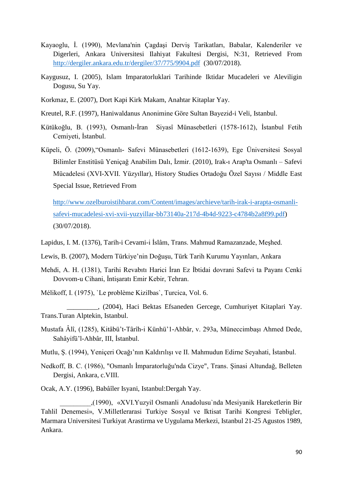- Kayaoglu, İ. (1990), Mevlana'nin Çagdaşi Derviş Tarikatları, Babalar, Kalenderiler ve Digerleri, Ankara Universitesi Ilahiyat Fakultesi Dergisi, N:31, Retrieved From <http://dergiler.ankara.edu.tr/dergiler/37/775/9904.pdf>(30/07/2018).
- Kaygusuz, I. (2005), Islam Imparatorluklari Tarihinde Iktidar Mucadeleri ve Aleviligin Dogusu, Su Yay.
- Korkmaz, E. (2007), Dort Kapi Kirk Makam, Anahtar Kitaplar Yay.
- Kreutel, R.F. (1997), Haniwaldanus Anonimine Göre Sultan Bayezid-i Veli, Istanbul.
- Kütükoğlu, B. (1993), Osmanlı-İran Siyasî Münasebetleri (1578-1612), İstanbul Fetih Cemiyeti, İstanbul.
- Küpeli, Ö. (2009),"Osmanlı- Safevi Münasebetleri (1612-1639), Ege Üniversitesi Sosyal Bilimler Enstitüsü Yeniçağ Anabilim Dalı, İzmir. (2010), Irak-ı Arap'ta Osmanlı – Safevi Mücadelesi (XVI-XVII. Yüzyıllar), History Studies Ortadoğu Özel Sayısı / Middle East Special Issue, Retrieved From

 [http://www.ozelburoistihbarat.com/Content/images/archieve/tarih-irak-i-arapta-osmanli](http://www.ozelburoistihbarat.com/Content/images/archieve/tarih-irak-i-arapta-osmanli-safevi-mucadelesi-xvi-xvii-yuzyillar-bb73140a-217d-4b4d-9223-c4784b2a8f99.pdf)[safevi-mucadelesi-xvi-xvii-yuzyillar-bb73140a-217d-4b4d-9223-c4784b2a8f99.pdf\)](http://www.ozelburoistihbarat.com/Content/images/archieve/tarih-irak-i-arapta-osmanli-safevi-mucadelesi-xvi-xvii-yuzyillar-bb73140a-217d-4b4d-9223-c4784b2a8f99.pdf) (30/07/2018).

Lapidus, I. M. (1376), Tarih-i Cevami-i İslâm, Trans. Mahmud Ramazanzade, Meşhed.

- Lewis, B. (2007), Modern Türkiye'nin Doğuşu, Türk Tarih Kurumu Yayınları, Ankara
- Mehdi, A. H. (1381), Tarihi Revabıtı Harici İran Ez İbtidai dovrani Safevi ta Payanı Cenki Dovvom-u Cihani, İntişaratı Emir Kebir, Tehran.
- Mélikoff, I. (1975), `Le problème Kizilbas`, Turcica, Vol. 6.
- \_\_\_\_\_\_\_\_\_, (2004), Haci Bektas Efsaneden Gercege, Cumhuriyet Kitaplari Yay. Trans.Turan Alptekin, Istanbul.
- Mustafa Âlî, (1285), Kitâbü't-Târîh-i Künhü'1-Ahbâr, v. 293a, Müneccimbaşı Ahmed Dede, Sahâyifü'l-Ahbâr, III, İstanbul.
- Mutlu, Ş. (1994), Yeniçeri Ocağı'nın Kaldırılışı ve II. Mahmudun Edirne Seyahati, İstanbul.
- Nedkoff, B. C. (1986), "Osmanlı İmparatorluğu'nda Cizye", Trans. Şinasi Altundağ, Belleten Dergisi, Ankara, c.VIII.
- Ocak, A.Y. (1996), Babâîler Isyani, Istanbul:Dergah Yay.

 \_\_\_\_\_\_\_\_\_,(1990), «XVI.Yuzyil Osmanli Anadolusu`nda Mesiyanik Hareketlerin Bir Tahlil Denemesi», V.Milletlerarasi Turkiye Sosyal ve Iktisat Tarihi Kongresi Tebligler, Marmara Universitesi Turkiyat Arastirma ve Uygulama Merkezi, Istanbul 21-25 Agustos 1989, Ankara.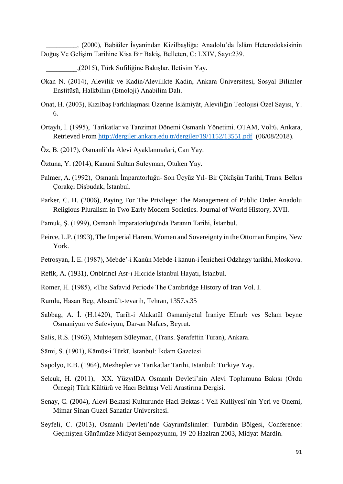\_\_\_\_\_\_\_\_\_, (2000), Babâîler İsyanindan Kizilbaşliğa: Anadolu'da İslâm Heterodoksisinin Doğuş Ve Gelişim Tarihine Kisa Bir Bakiş, Belleten, C: LXIV, Sayı:239.

\_\_\_\_\_\_\_\_\_,(2015), Türk Sufiliğine Bakışlar, Iletisim Yay.

- Okan N. (2014), Alevilik ve Kadin/Alevilikte Kadin, Ankara Üniversitesi, Sosyal Bilimler Enstitüsü, Halkbilim (Etnoloji) Anabilim Dalı.
- Onat, H. (2003), Kızılbaş Farklılaşması Üzerine İslâmiyât, Aleviliğin Teolojisi Özel Sayısı, Y. 6.
- Ortaylı, İ. (1995), Tarikatlar ve Tanzimat Dönemi Osmanlı Yönetimi. OTAM, Vol:6. Ankara, Retrieved From <http://dergiler.ankara.edu.tr/dergiler/19/1152/13551.pdf>(06/08/2018).
- Öz, B. (2017), Osmanli`da Alevi Ayaklanmalari, Can Yay.
- Öztuna, Y. (2014), Kanuni Sultan Suleyman, Otuken Yay.
- Palmer, A. (1992), Osmanlı İmparatorluğu- Son Üçyüz Yıl- Bir Çöküşün Tarihi, Trans. Belkıs Çorakçı Dişbudak, İstanbul.
- Parker, C. H. (2006), Paying For The Privilege: The Management of Public Order Anadolu Religious Pluralism in Two Early Modern Societies. Journal of World History, XVII.
- Pamuk, Ş. (1999), Osmanlı İmparatorluğu'nda Paranın Tarihi, İstanbul.
- Peirce, L.P. (1993), The Imperial Harem, Women and Sovereignty in the Ottoman Empire, New York.
- Petrosyan, İ. E. (1987), Mebde'-i Kanûn Mebde-i kanun-i Ĭenicheri Odzhagy tarikhi, Moskova.
- Refik, A. (1931), Onbirinci Asr-ı Hicride İstanbul Hayatı, İstanbul.
- Romer, H. (1985), «The Safavid Period» The Cambridge History of Iran Vol. I.
- Rumlu, Hasan Beg, Ahsenü't-tevarih, Tehran, 1357.s.35
- Sabbag, A. İ. (H.1420), Tarih-i Alakatül Osmaniyetul İraniye Elharb ves Selam beyne Osmaniyun ve Safeviyun, Dar-an Nafaes, Beyrut.
- Salis, R.S. (1963), Muhteşem Süleyman, (Trans. Şerafettin Turan), Ankara.
- Sāmi, S. (1901), Kāmūs-i Türkī, Istanbul: İkdam Gazetesi.
- Sapolyo, E.B. (1964), Mezhepler ve Tarikatlar Tarihi, Istanbul: Turkiye Yay.
- Selcuk, H. (2011), XX. YüzyılDA Osmanlı Devleti'nin Alevi Toplumuna Bakışı (Ordu Örnegi) Türk Kültürü ve Hacı Bektaşı Veli Arastirma Dergisi.
- Senay, C. (2004), Alevi Bektasi Kulturunde Haci Bektas-i Veli Kulliyesi`nin Yeri ve Onemi, Mimar Sinan Guzel Sanatlar Universitesi.
- Seyfeli, C. (2013), Osmanlı Devleti'nde Gayrimüslimler: Turabdin Bölgesi, Conference: Geçmişten Günümüze Midyat Sempozyumu, 19-20 Haziran 2003, Midyat-Mardin.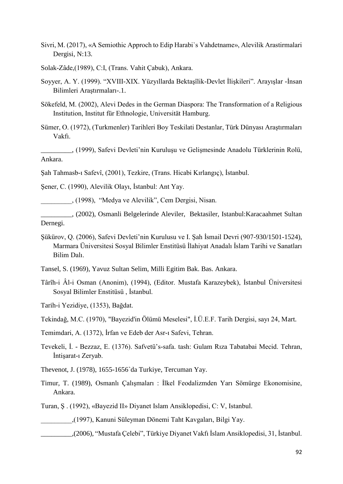Sivri, M. (2017), «A Semiothic Approch to Edip Harabi`s Vahdetname», Alevilik Arastirmalari Dergisi, N:13.

Solak-Zâde,(1989), C:I, (Trans. Vahit Çabuk), Ankara.

- Soyyer, A. Y. (1999). "XVIII-XIX. Yüzyıllarda Bektaşîlik-Devlet İlişkileri". Arayışlar -İnsan Bilimleri Araştırmaları-.1.
- Sökefeld, M. (2002), Alevi Dedes in the German Diaspora: The Transformation of a Religious Institution, Institut für Ethnologie, Universität Hamburg.
- Sümer, O. (1972), (Turkmenler) Tarihleri Boy Teskilati Destanlar, Türk Dünyası Araştırmaları Vakfı.

\_\_\_\_\_\_\_\_\_, (1999), Safevi Devleti'nin Kuruluşu ve Gelişmesinde Anadolu Türklerinin Rolü, Ankara.

Şah Tahmasb-ı Safevî, (2001), Tezkire, (Trans. Hicabi Kırlangıç), İstanbul.

Şener, C. (1990), Alevilik Olayı, İstanbul: Ant Yay.

\_\_\_\_\_\_\_\_\_, (1998), "Medya ve Alevilik", Cem Dergisi, Nisan.

\_\_\_\_\_\_\_\_\_, (2002), Osmanli Belgelerinde Aleviler, Bektasiler, Istanbul:Karacaahmet Sultan Dernegi.

Şükürov, Q. (2006), Safevi Devleti'nin Kurulusu ve I. Şah İsmail Devri (907-930/1501-1524), Marmara Üniversitesi Sosyal Bilimler Enstitüsü İlahiyat Anadalı İslam Tarihi ve Sanatları Bilim Dalı.

Tansel, S. (1969), Yavuz Sultan Selim, Milli Egitim Bak. Bas. Ankara.

Târîh-i Âl-i Osman (Anonim), (1994), (Editor. Mustafa Karazeybek), İstanbul Üniversitesi Sosyal Bilimler Enstitüsü , İstanbul.

Tarih-i Yezidiye, (1353), Bağdat.

Tekindağ, M.C. (1970), "Bayezid'in Ölümü Meselesi", İ.Ü.E.F. Tarih Dergisi, sayı 24, Mart.

Temimdari, A. (1372), İrfan ve Edeb der Asr-ı Safevi, Tehran.

- Tevekeli, İ. Bezzaz, E. (1376). Safvetü's-safa. tash: Gulam Rıza Tabatabai Mecid. Tehran, İntişarat-ı Zeryab.
- Thevenot, J. (1978), 1655-1656`da Turkiye, Tercuman Yay.
- Timur, T. (1989), Osmanlı Çalışmaları : İlkel Feodalizmden Yarı Sömürge Ekonomisine, Ankara.

Turan, Ş . (1992), «Bayezid II» Diyanet Islam Ansiklopedisi, C: V, Istanbul.

\_\_\_\_\_\_\_\_\_,(1997), Kanuni Süleyman Dönemi Taht Kavgaları, Bilgi Yay.

\_\_\_\_\_\_\_\_\_,(2006), "Mustafa Çelebi", Türkiye Diyanet Vakfı İslam Ansiklopedisi, 31, İstanbul.